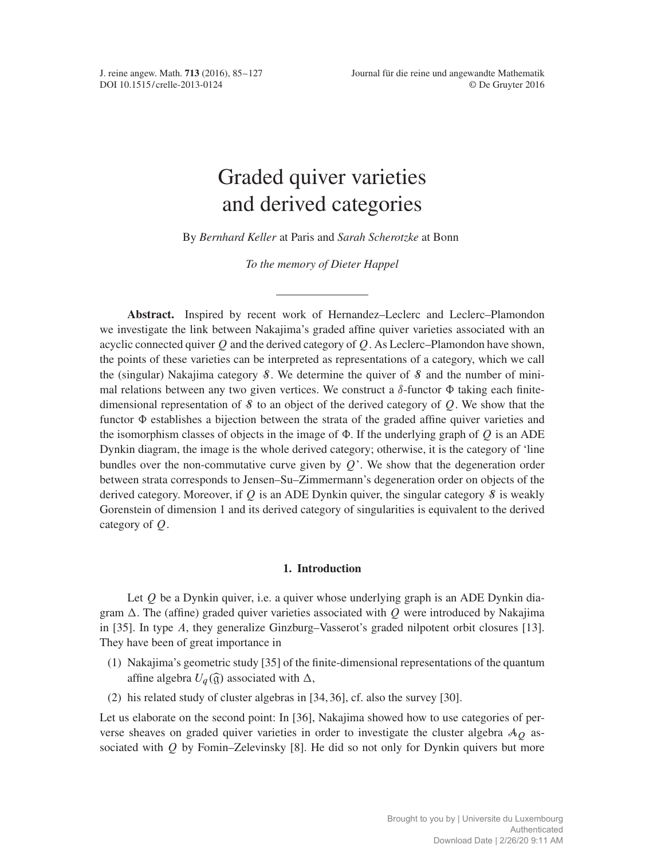<span id="page-0-0"></span>

# Graded quiver varieties and derived categories

By *Bernhard Keller* at Paris and *Sarah Scherotzke* at Bonn

*To the memory of Dieter Happel*

Abstract. Inspired by recent work of Hernandez–Leclerc and Leclerc–Plamondon we investigate the link between Nakajima's graded affine quiver varieties associated with an acyclic connected quiver  $Q$  and the derived category of  $Q$ . As Leclerc–Plamondon have shown, the points of these varieties can be interpreted as representations of a category, which we call the (singular) Nakajima category  $\delta$ . We determine the quiver of  $\delta$  and the number of minimal relations between any two given vertices. We construct a  $\delta$ -functor  $\Phi$  taking each finitedimensional representation of  $\delta$  to an object of the derived category of  $Q$ . We show that the functor  $\Phi$  establishes a bijection between the strata of the graded affine quiver varieties and the isomorphism classes of objects in the image of  $\Phi$ . If the underlying graph of O is an ADE Dynkin diagram, the image is the whole derived category; otherwise, it is the category of 'line bundles over the non-commutative curve given by  $Q'$ . We show that the degeneration order between strata corresponds to Jensen–Su–Zimmermann's degeneration order on objects of the derived category. Moreover, if Q is an ADE Dynkin quiver, the singular category  $\delta$  is weakly Gorenstein of dimension 1 and its derived category of singularities is equivalent to the derived category of Q.

# 1. Introduction

Let  $Q$  be a Dynkin quiver, i.e. a quiver whose underlying graph is an ADE Dynkin diagram  $\Delta$ . The (affine) graded quiver varieties associated with Q were introduced by Nakajima in [\[35\]](#page-42-0). In type A, they generalize Ginzburg–Vasserot's graded nilpotent orbit closures [\[13\]](#page-41-0). They have been of great importance in

- (1) Nakajima's geometric study [\[35\]](#page-42-0) of the finite-dimensional representations of the quantum affine algebra  $U_q(\hat{\mathfrak{g}})$  associated with  $\Delta$ ,
- (2) his related study of cluster algebras in [\[34,](#page-42-1) [36\]](#page-42-2), cf. also the survey [\[30\]](#page-42-3).

Let us elaborate on the second point: In [\[36\]](#page-42-2), Nakajima showed how to use categories of perverse sheaves on graded quiver varieties in order to investigate the cluster algebra  $\mathcal{A}_{\mathcal{O}}$  associated with  $Q$  by Fomin–Zelevinsky [\[8\]](#page-41-1). He did so not only for Dynkin quivers but more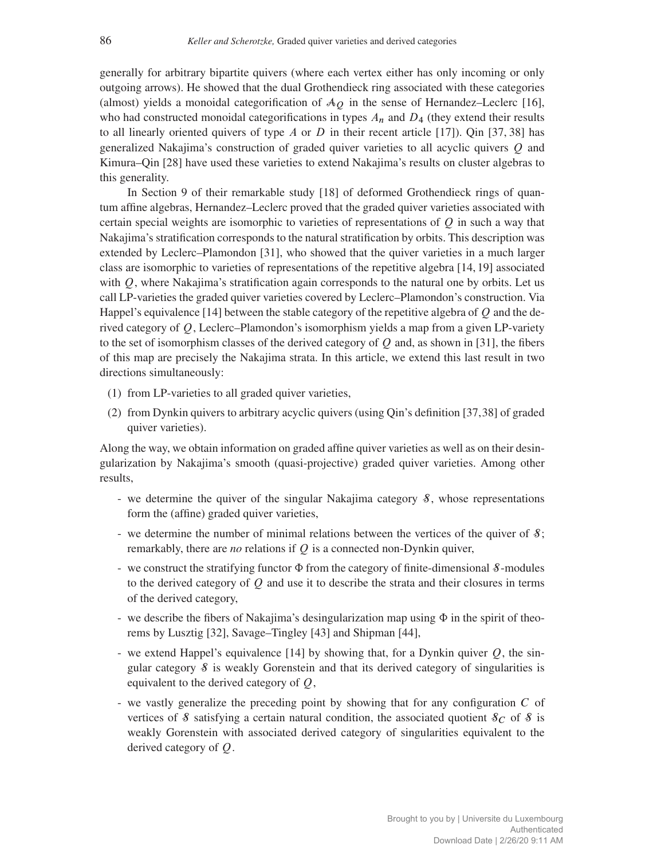generally for arbitrary bipartite quivers (where each vertex either has only incoming or only outgoing arrows). He showed that the dual Grothendieck ring associated with these categories (almost) yields a monoidal categorification of  $A<sub>O</sub>$  in the sense of Hernandez–Leclerc [\[16\]](#page-41-2), who had constructed monoidal categorifications in types  $A_n$  and  $D_4$  (they extend their results to all linearly oriented quivers of type A or D in their recent article [\[17\]](#page-41-3)). Qin [\[37,](#page-42-4) [38\]](#page-42-5) has generalized Nakajima's construction of graded quiver varieties to all acyclic quivers Q and Kimura–Qin [\[28\]](#page-42-6) have used these varieties to extend Nakajima's results on cluster algebras to this generality.

In Section 9 of their remarkable study [\[18\]](#page-41-4) of deformed Grothendieck rings of quantum affine algebras, Hernandez–Leclerc proved that the graded quiver varieties associated with certain special weights are isomorphic to varieties of representations of  $O$  in such a way that Nakajima's stratification corresponds to the natural stratification by orbits. This description was extended by Leclerc–Plamondon [\[31\]](#page-42-7), who showed that the quiver varieties in a much larger class are isomorphic to varieties of representations of the repetitive algebra [\[14,](#page-41-5) [19\]](#page-41-6) associated with  $Q$ , where Nakajima's stratification again corresponds to the natural one by orbits. Let us call LP-varieties the graded quiver varieties covered by Leclerc–Plamondon's construction. Via Happel's equivalence [\[14\]](#page-41-5) between the stable category of the repetitive algebra of  $\overline{O}$  and the derived category of Q, Leclerc–Plamondon's isomorphism yields a map from a given LP-variety to the set of isomorphism classes of the derived category of  $O$  and, as shown in [\[31\]](#page-42-7), the fibers of this map are precisely the Nakajima strata. In this article, we extend this last result in two directions simultaneously:

- (1) from LP-varieties to all graded quiver varieties,
- (2) from Dynkin quivers to arbitrary acyclic quivers (using Qin's definition [\[37,](#page-42-4)[38\]](#page-42-5) of graded quiver varieties).

Along the way, we obtain information on graded affine quiver varieties as well as on their desingularization by Nakajima's smooth (quasi-projective) graded quiver varieties. Among other results,

- we determine the quiver of the singular Nakajima category  $\delta$ , whose representations form the (affine) graded quiver varieties,
- we determine the number of minimal relations between the vertices of the quiver of  $\mathcal{S}$ ; remarkably, there are *no* relations if Q is a connected non-Dynkin quiver,
- we construct the stratifying functor  $\Phi$  from the category of finite-dimensional  $\delta$ -modules to the derived category of  $Q$  and use it to describe the strata and their closures in terms of the derived category,
- we describe the fibers of Nakajima's desingularization map using  $\Phi$  in the spirit of theorems by Lusztig [\[32\]](#page-42-8), Savage–Tingley [\[43\]](#page-42-9) and Shipman [\[44\]](#page-42-10),
- we extend Happel's equivalence [\[14\]](#page-41-5) by showing that, for a Dynkin quiver  $Q$ , the singular category  $\delta$  is weakly Gorenstein and that its derived category of singularities is equivalent to the derived category of Q,
- we vastly generalize the preceding point by showing that for any configuration C of vertices of S satisfying a certain natural condition, the associated quotient  $\mathcal{S}_C$  of S is weakly Gorenstein with associated derived category of singularities equivalent to the derived category of Q.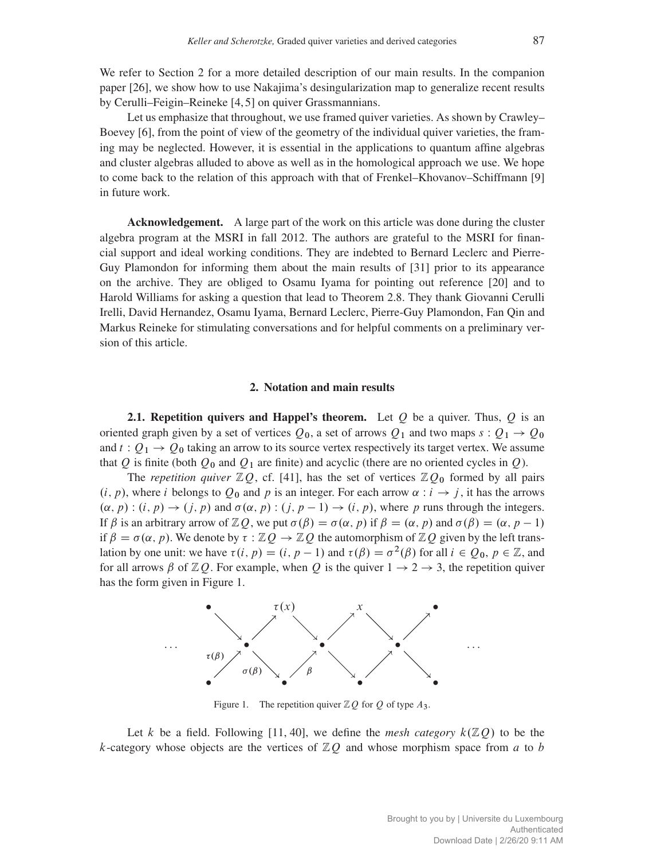We refer to Section [2](#page-2-0) for a more detailed description of our main results. In the companion paper [\[26\]](#page-42-11), we show how to use Nakajima's desingularization map to generalize recent results by Cerulli–Feigin–Reineke [\[4,](#page-41-7) [5\]](#page-41-8) on quiver Grassmannians.

Let us emphasize that throughout, we use framed quiver varieties. As shown by Crawley– Boevey [\[6\]](#page-41-9), from the point of view of the geometry of the individual quiver varieties, the framing may be neglected. However, it is essential in the applications to quantum affine algebras and cluster algebras alluded to above as well as in the homological approach we use. We hope to come back to the relation of this approach with that of Frenkel–Khovanov–Schiffmann [\[9\]](#page-41-10) in future work.

Acknowledgement. A large part of the work on this article was done during the cluster algebra program at the MSRI in fall 2012. The authors are grateful to the MSRI for financial support and ideal working conditions. They are indebted to Bernard Leclerc and Pierre-Guy Plamondon for informing them about the main results of [\[31\]](#page-42-7) prior to its appearance on the archive. They are obliged to Osamu Iyama for pointing out reference [\[20\]](#page-41-11) and to Harold Williams for asking a question that lead to Theorem [2.8.](#page-7-0) They thank Giovanni Cerulli Irelli, David Hernandez, Osamu Iyama, Bernard Leclerc, Pierre-Guy Plamondon, Fan Qin and Markus Reineke for stimulating conversations and for helpful comments on a preliminary version of this article.

## 2. Notation and main results

<span id="page-2-2"></span><span id="page-2-0"></span>**2.1. Repetition quivers and Happel's theorem.** Let O be a quiver. Thus, O is an oriented graph given by a set of vertices  $Q_0$ , a set of arrows  $Q_1$  and two maps  $s: Q_1 \rightarrow Q_0$ and  $t: Q_1 \rightarrow Q_0$  taking an arrow to its source vertex respectively its target vertex. We assume that Q is finite (both  $Q_0$  and  $Q_1$  are finite) and acyclic (there are no oriented cycles in Q).

The *repetition quiver*  $\mathbb{Z}Q$ , cf. [\[41\]](#page-42-12), has the set of vertices  $\mathbb{Z}Q_0$  formed by all pairs  $(i, p)$ , where i belongs to  $Q_0$  and p is an integer. For each arrow  $\alpha : i \rightarrow j$ , it has the arrows  $(\alpha, p) : (i, p) \rightarrow (j, p)$  and  $\sigma(\alpha, p) : (j, p - 1) \rightarrow (i, p)$ , where p runs through the integers. If  $\beta$  is an arbitrary arrow of  $\mathbb{Z}Q$ , we put  $\sigma(\beta) = \sigma(\alpha, p)$  if  $\beta = (\alpha, p)$  and  $\sigma(\beta) = (\alpha, p - 1)$ if  $\beta = \sigma(\alpha, p)$ . We denote by  $\tau : \mathbb{Z}Q \to \mathbb{Z}Q$  the automorphism of  $\mathbb{Z}Q$  given by the left translation by one unit: we have  $\tau(i, p) = (i, p - 1)$  and  $\tau(\beta) = \sigma^2(\beta)$  for all  $i \in Q_0$ ,  $p \in \mathbb{Z}$ , and for all arrows  $\beta$  of  $\mathbb{Z}Q$ . For example, when Q is the quiver  $1 \rightarrow 2 \rightarrow 3$ , the repetition quiver has the form given in Figure [1.](#page-2-1)

<span id="page-2-1"></span>

Figure 1. The repetition quiver  $\mathbb{Z}Q$  for  $Q$  of type  $A_3$ .

Let k be a field. Following [\[11,](#page-41-12) [40\]](#page-42-13), we define the *mesh category*  $k(\mathbb{Z}Q)$  to be the k-category whose objects are the vertices of  $ZQ$  and whose morphism space from a to b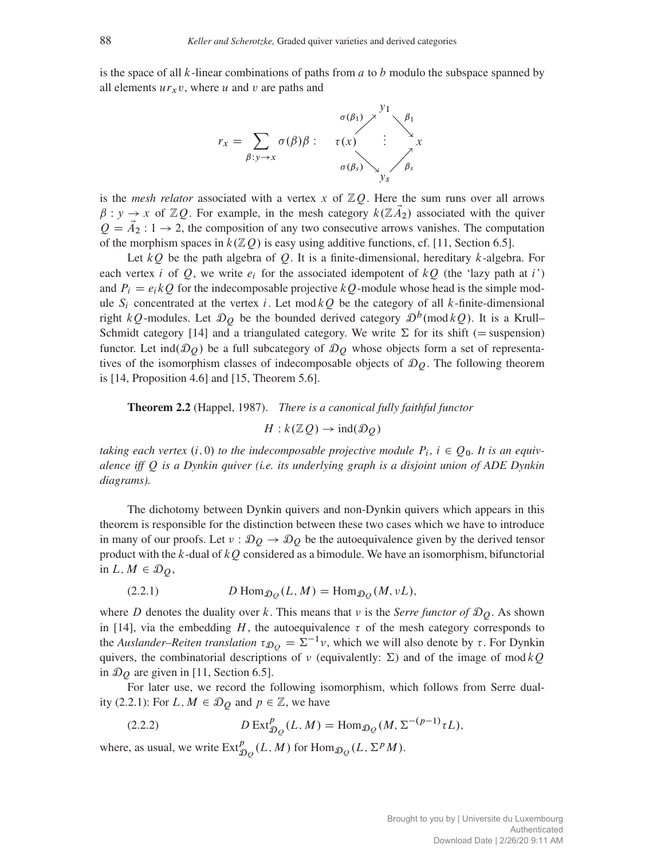is the space of all  $k$ -linear combinations of paths from  $a$  to  $b$  modulo the subspace spanned by all elements  $ur_xv$ , where u and v are paths and



is the *mesh relator* associated with a vertex x of  $\mathbb{Z}Q$ . Here the sum runs over all arrows  $\beta : y \to x$  of  $\mathbb{Z}Q$ . For example, in the mesh category  $k(\mathbb{Z}A_2)$  associated with the quiver  $Q = \vec{A}_2 : 1 \rightarrow 2$ , the composition of any two consecutive arrows vanishes. The computation of the morphism spaces in  $k(\mathbb{Z}Q)$  is easy using additive functions, cf. [\[11,](#page-41-12) Section 6.5].

Let  $kQ$  be the path algebra of Q. It is a finite-dimensional, hereditary k-algebra. For each vertex i of Q, we write  $e_i$  for the associated idempotent of  $kQ$  (the 'lazy path at i') and  $P_i = e_i kQ$  for the indecomposable projective kQ-module whose head is the simple module  $S_i$  concentrated at the vertex i. Let mod  $kQ$  be the category of all k-finite-dimensional right kQ-modules. Let  $\mathcal{D}_Q$  be the bounded derived category  $\mathcal{D}^b(\text{mod }kQ)$ . It is a Krull– Schmidt category [\[14\]](#page-41-5) and a triangulated category. We write  $\Sigma$  for its shift (= suspension) functor. Let ind $(\mathcal{D}_0)$  be a full subcategory of  $\mathcal{D}_0$  whose objects form a set of representatives of the isomorphism classes of indecomposable objects of  $\mathcal{D}_O$ . The following theorem is [\[14,](#page-41-5) Proposition 4.6] and [\[15,](#page-41-13) Theorem 5.6].

<span id="page-3-1"></span>Theorem 2.2 (Happel, 1987). *There is a canonical fully faithful functor*

 $H : k(**Z**,Q) \rightarrow \text{ind}(\mathcal{D}_Q)$ 

taking each vertex  $(i, 0)$  to the indecomposable projective module  $P_i$ ,  $i \in Q_0$ . It is an equiv*alence iff* Q *is a Dynkin quiver (i.e. its underlying graph is a disjoint union of ADE Dynkin diagrams).*

The dichotomy between Dynkin quivers and non-Dynkin quivers which appears in this theorem is responsible for the distinction between these two cases which we have to introduce in many of our proofs. Let  $v : \mathcal{D}_Q \to \mathcal{D}_Q$  be the autoequivalence given by the derived tensor product with the  $k$ -dual of  $kQ$  considered as a bimodule. We have an isomorphism, bifunctorial in  $L, M \in \mathcal{D}_Q$ ,

<span id="page-3-0"></span>(2.2.1) 
$$
D \operatorname{Hom}_{\mathcal{D}_Q}(L, M) = \operatorname{Hom}_{\mathcal{D}_Q}(M, vL),
$$

where D denotes the duality over k. This means that  $\nu$  is the *Serre functor of*  $\mathfrak{D}_O$ . As shown in [\[14\]](#page-41-5), via the embedding H, the autoequivalence  $\tau$  of the mesh category corresponds to the *Auslander–Reiten translation*  $\tau_{\mathcal{D}_O} = \Sigma^{-1} v$ , which we will also denote by  $\tau$ . For Dynkin quivers, the combinatorial descriptions of  $\nu$  (equivalently:  $\Sigma$ ) and of the image of mod kQ in  $\mathcal{D}_O$  are given in [\[11,](#page-41-12) Section 6.5].

For later use, we record the following isomorphism, which follows from Serre dual-ity [\(2.2.1\)](#page-3-0): For L,  $M \in \mathcal{D}_Q$  and  $p \in \mathbb{Z}$ , we have

<span id="page-3-2"></span>(2.2.2) 
$$
D \operatorname{Ext}^p_{\mathcal{D}_Q}(L, M) = \operatorname{Hom}_{\mathcal{D}_Q}(M, \Sigma^{-(p-1)} \tau L),
$$

where, as usual, we write  $\text{Ext}^p_{\mathcal{D}_Q}(L, M)$  for  $\text{Hom}_{\mathcal{D}_Q}(L, \Sigma^p M)$ .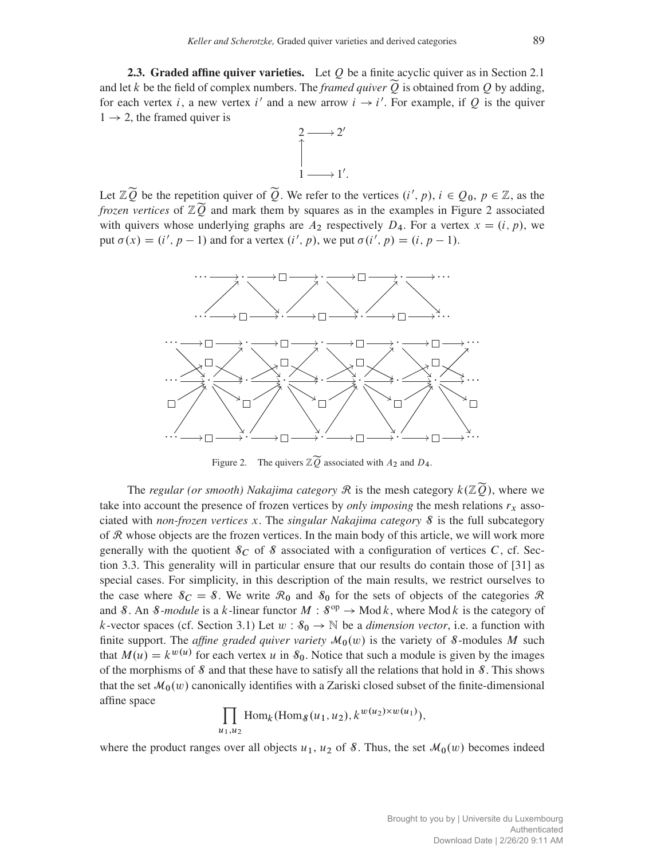<span id="page-4-1"></span>2.3. Graded affine quiver varieties. Let  $Q$  be a finite acyclic quiver as in Section [2.1](#page-2-2) and let k be the field of complex numbers. The *framed quiver*  $\widetilde{O}$  is obtained from O by adding, for each vertex i, a new vertex i' and a new arrow  $i \rightarrow i'$ . For example, if Q is the quiver  $1 \rightarrow 2$ , the framed quiver is



Let  $\mathbb{Z}\widetilde{Q}$  be the repetition quiver of  $\widetilde{Q}$ . We refer to the vertices  $(i', p)$ ,  $i \in Q_0$ ,  $p \in \mathbb{Z}$ , as the *frozen vertices* of  $\mathbb{Z}\widetilde{Q}$  and mark them by squares as in the examples in Figure [2](#page-4-0) associated with quivers whose underlying graphs are  $A_2$  respectively  $D_4$ . For a vertex  $x = (i, p)$ , we put  $\sigma(x) = (i', p - 1)$  and for a vertex  $(i', p)$ , we put  $\sigma(i', p) = (i, p - 1)$ .

<span id="page-4-0"></span>

Figure 2. The quivers  $\mathbb{Z} \widetilde{Q}$  associated with  $A_2$  and  $D_4$ .

The *regular (or smooth) Nakajima category*  $\mathcal R$  is the mesh category  $k(\mathbb{Z}\widetilde{Q})$ , where we take into account the presence of frozen vertices by *only imposing* the mesh relations  $r_x$  associated with *non-frozen vertices* x. The *singular Nakajima category* S is the full subcategory of  $R$  whose objects are the frozen vertices. In the main body of this article, we will work more generally with the quotient  $\mathcal{S}_C$  of  $\mathcal S$  associated with a configuration of vertices C, cf. Section [3.3.](#page-11-0) This generality will in particular ensure that our results do contain those of [\[31\]](#page-42-7) as special cases. For simplicity, in this description of the main results, we restrict ourselves to the case where  $\delta_C = \delta$ . We write  $\mathcal{R}_0$  and  $\delta_0$  for the sets of objects of the categories  $\mathcal{R}$ and S. An S-module is a k-linear functor  $M : S^{op} \to \text{Mod } k$ , where Mod k is the category of k-vector spaces (cf. Section [3.1\)](#page-10-0) Let  $w : \mathcal{S}_0 \to \mathbb{N}$  be a *dimension vector*, i.e. a function with finite support. The *affine graded quiver variety*  $M_0(w)$  is the variety of *S*-modules M such that  $M(u) = k^{w(u)}$  for each vertex u in  $S_0$ . Notice that such a module is given by the images of the morphisms of  $\delta$  and that these have to satisfy all the relations that hold in  $\delta$ . This shows that the set  $\mathcal{M}_0(w)$  canonically identifies with a Zariski closed subset of the finite-dimensional affine space

$$
\prod_{u_1,u_2} \text{Hom}_k(\text{Hom}_{\delta}(u_1,u_2), k^{w(u_2)\times w(u_1)}),
$$

where the product ranges over all objects  $u_1$ ,  $u_2$  of S. Thus, the set  $\mathcal{M}_0(w)$  becomes indeed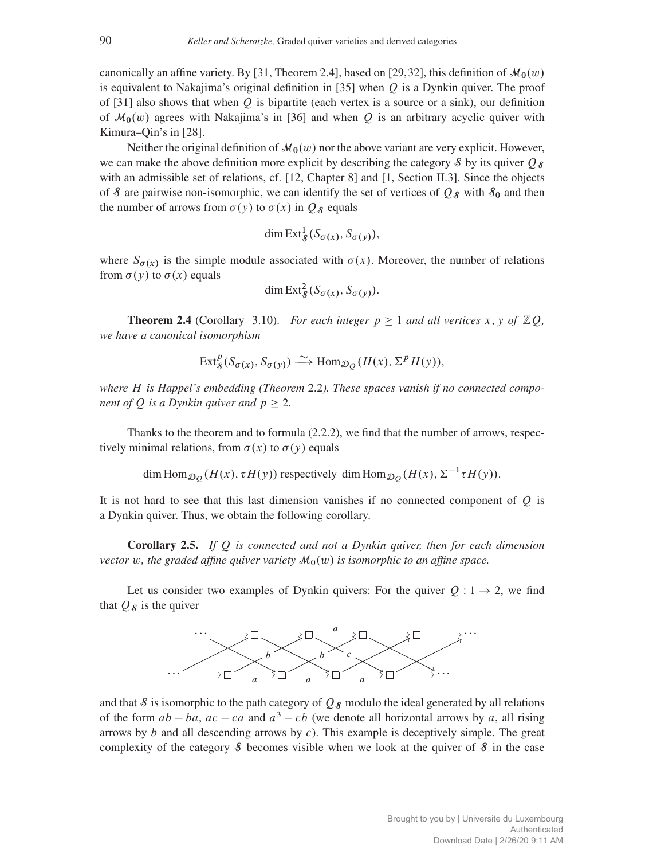canonically an affine variety. By [\[31,](#page-42-7) Theorem 2.4], based on [\[29,](#page-42-14)[32\]](#page-42-8), this definition of  $\mathcal{M}_0(w)$ is equivalent to Nakajima's original definition in [\[35\]](#page-42-0) when  $O$  is a Dynkin quiver. The proof of [\[31\]](#page-42-7) also shows that when  $Q$  is bipartite (each vertex is a source or a sink), our definition of  $\mathcal{M}_0(w)$  agrees with Nakajima's in [\[36\]](#page-42-2) and when Q is an arbitrary acyclic quiver with Kimura–Qin's in [\[28\]](#page-42-6).

Neither the original definition of  $\mathcal{M}_0(w)$  nor the above variant are very explicit. However, we can make the above definition more explicit by describing the category  $\mathcal{S}$  by its quiver  $\mathcal{O}_{\mathcal{S}}$ with an admissible set of relations, cf. [\[12,](#page-41-14) Chapter 8] and [\[1,](#page-41-15) Section II.3]. Since the objects of S are pairwise non-isomorphic, we can identify the set of vertices of  $Q_8$  with  $S_0$  and then the number of arrows from  $\sigma(y)$  to  $\sigma(x)$  in  $Q_s$  equals

$$
\dim \operatorname{Ext}^1_{\mathcal{S}}(S_{\sigma(x)}, S_{\sigma(y)}),
$$

where  $S_{\sigma(x)}$  is the simple module associated with  $\sigma(x)$ . Moreover, the number of relations from  $\sigma(y)$  to  $\sigma(x)$  equals

$$
\dim \operatorname{Ext}_{\mathcal{S}}^2(S_{\sigma(x)}, S_{\sigma(y)}).
$$

**Theorem 2.4** (Corollary [3.10\)](#page-15-0). *For each integer*  $p \ge 1$  *and all vertices* x, y of  $\mathbb{Z}Q$ , *we have a canonical isomorphism*

$$
\operatorname{Ext}^p_{\mathcal{S}}(S_{\sigma(x)}, S_{\sigma(y)}) \xrightarrow{\sim} \operatorname{Hom}_{\mathcal{D}_{\mathcal{Q}}}(H(x), \Sigma^p H(y)),
$$

*where* H *is Happel's embedding (Theorem* [2.2](#page-3-1)*). These spaces vanish if no connected component of Q is a Dynkin quiver and*  $p \geq 2$ .

Thanks to the theorem and to formula [\(2.2.2\)](#page-3-2), we find that the number of arrows, respectively minimal relations, from  $\sigma(x)$  to  $\sigma(y)$  equals

dim Hom $_{\mathcal{D}_Q}(H(x), \tau H(y))$  respectively dim Hom $_{\mathcal{D}_Q}(H(x), \Sigma^{-1} \tau H(y)).$ 

It is not hard to see that this last dimension vanishes if no connected component of  $Q$  is a Dynkin quiver. Thus, we obtain the following corollary.

Corollary 2.5. *If* Q *is connected and not a Dynkin quiver, then for each dimension vector* w, the graded affine quiver variety  $M_0(w)$  is isomorphic to an affine space.

Let us consider two examples of Dynkin quivers: For the quiver  $Q: 1 \rightarrow 2$ , we find that  $Q_{\mathcal{S}}$  is the quiver



and that  $\delta$  is isomorphic to the path category of  $Q_{\delta}$  modulo the ideal generated by all relations of the form  $ab - ba$ ,  $ac - ca$  and  $a^3 - cb$  (we denote all horizontal arrows by a, all rising arrows by  $b$  and all descending arrows by  $c$ ). This example is deceptively simple. The great complexity of the category  $\delta$  becomes visible when we look at the quiver of  $\delta$  in the case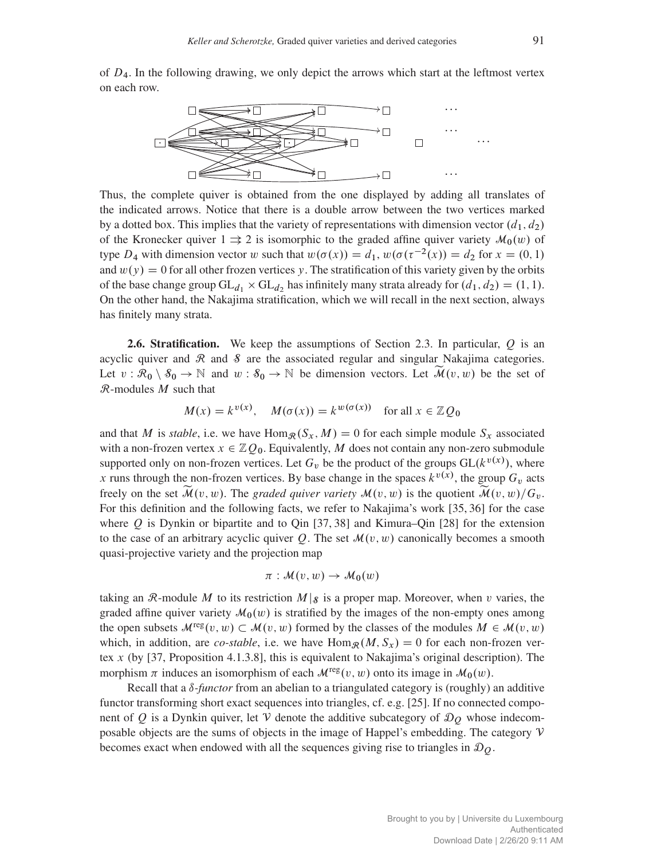of  $D_4$ . In the following drawing, we only depict the arrows which start at the leftmost vertex on each row.



Thus, the complete quiver is obtained from the one displayed by adding all translates of the indicated arrows. Notice that there is a double arrow between the two vertices marked by a dotted box. This implies that the variety of representations with dimension vector  $(d_1, d_2)$ of the Kronecker quiver  $1 \Rightarrow 2$  is isomorphic to the graded affine quiver variety  $\mathcal{M}_0(w)$  of type  $D_4$  with dimension vector w such that  $w(\sigma(x)) = d_1$ ,  $w(\sigma(\tau^{-2}(x)) = d_2$  for  $x = (0, 1)$ and  $w(y) = 0$  for all other frozen vertices y. The stratification of this variety given by the orbits of the base change group  $GL_{d_1} \times GL_{d_2}$  has infinitely many strata already for  $(d_1, d_2) = (1, 1)$ . On the other hand, the Nakajima stratification, which we will recall in the next section, always has finitely many strata.

<span id="page-6-0"></span>**2.6. Stratification.** We keep the assumptions of Section [2.3.](#page-4-1) In particular,  $Q$  is an acyclic quiver and  $\Re$  and  $\delta$  are the associated regular and singular Nakajima categories. Let  $v : \mathcal{R}_0 \setminus \mathcal{S}_0 \to \mathbb{N}$  and  $w : \mathcal{S}_0 \to \mathbb{N}$  be dimension vectors. Let  $\widetilde{\mathcal{M}}(v, w)$  be the set of  $\mathcal{R}$ -modules  $M$  such that

$$
M(x) = k^{v(x)}
$$
,  $M(\sigma(x)) = k^{w(\sigma(x))}$  for all  $x \in \mathbb{Z}Q_0$ 

and that M is *stable*, i.e. we have Hom<sub>R</sub> $(S_x, M) = 0$  for each simple module  $S_x$  associated with a non-frozen vertex  $x \in \mathbb{Z}Q_0$ . Equivalently, M does not contain any non-zero submodule supported only on non-frozen vertices. Let  $G_v$  be the product of the groups  $GL(k^{v(x)})$ , where x runs through the non-frozen vertices. By base change in the spaces  $k^{v(x)}$ , the group  $G_v$  acts freely on the set  $\mathcal{\tilde{M}}(v, w)$ . The *graded quiver variety*  $\mathcal{M}(v, w)$  is the quotient  $\mathcal{\tilde{M}}(v, w)/G_v$ . For this definition and the following facts, we refer to Nakajima's work [\[35,](#page-42-0) [36\]](#page-42-2) for the case where Q is Dynkin or bipartite and to Qin  $[37, 38]$  $[37, 38]$  $[37, 38]$  and Kimura–Qin  $[28]$  for the extension to the case of an arbitrary acyclic quiver Q. The set  $\mathcal{M}(v, w)$  canonically becomes a smooth quasi-projective variety and the projection map

$$
\pi: \mathcal{M}(v, w) \to \mathcal{M}_0(w)
$$

taking an R-module M to its restriction  $M|_{\mathcal{S}}$  is a proper map. Moreover, when v varies, the graded affine quiver variety  $\mathcal{M}_0(w)$  is stratified by the images of the non-empty ones among the open subsets  $\mathcal{M}^{\text{reg}}(v, w) \subset \mathcal{M}(v, w)$  formed by the classes of the modules  $M \in \mathcal{M}(v, w)$ which, in addition, are *co-stable*, i.e. we have  $\text{Hom}_{\mathcal{R}}(M, S_x) = 0$  for each non-frozen vertex  $x$  (by [\[37,](#page-42-4) Proposition 4.1.3.8], this is equivalent to Nakajima's original description). The morphism  $\pi$  induces an isomorphism of each  $\mathcal{M}^{\text{reg}}(v, w)$  onto its image in  $\mathcal{M}_0(w)$ .

Recall that a  $\delta$ -*functor* from an abelian to a triangulated category is (roughly) an additive functor transforming short exact sequences into triangles, cf. e.g. [\[25\]](#page-42-15). If no connected component of Q is a Dynkin quiver, let V denote the additive subcategory of  $\mathcal{D}_{Q}$  whose indecomposable objects are the sums of objects in the image of Happel's embedding. The category V becomes exact when endowed with all the sequences giving rise to triangles in  $\mathcal{D}_Q$ .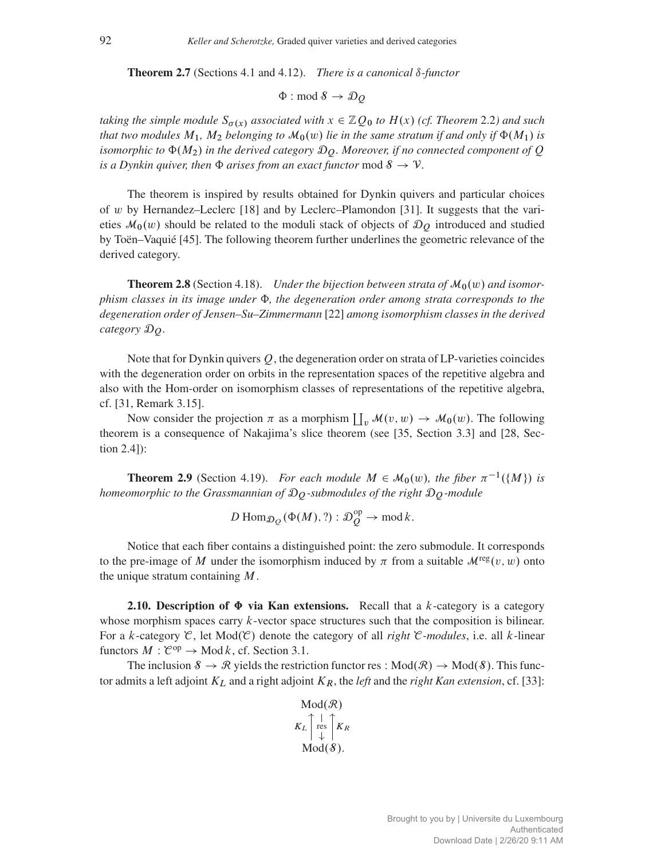<span id="page-7-1"></span>**Theorem 2.7** (Sections [4.1](#page-15-1) and [4.12\)](#page-21-0). *There is a canonical*  $\delta$ *-functor* 

$$
\Phi: \operatorname{mod} \mathcal{S} \to \mathcal{D}_{Q}
$$

*taking the simple module*  $S_{\sigma(x)}$  *associated with*  $x \in \mathbb{Z}Q_0$  *to*  $H(x)$  *(cf. Theorem* [2.2](#page-3-1)*)* and such *that two modules*  $M_1$ ,  $M_2$  *belonging to*  $\mathcal{M}_0(w)$  *lie in the same stratum if and only if*  $\Phi(M_1)$  *is isomorphic to*  $\Phi(M_2)$  *in the derived category*  $\mathcal{D}_O$ *. Moreover, if no connected component of*  $Q$ *is a Dynkin quiver, then*  $\Phi$  *arises from an exact functor* mod  $\mathcal{S} \to \mathcal{V}$ *.* 

The theorem is inspired by results obtained for Dynkin quivers and particular choices of w by Hernandez–Leclerc [\[18\]](#page-41-4) and by Leclerc–Plamondon [\[31\]](#page-42-7). It suggests that the varieties  $\mathcal{M}_0(w)$  should be related to the moduli stack of objects of  $\mathcal{D}_O$  introduced and studied by Toën–Vaquié [\[45\]](#page-42-16). The following theorem further underlines the geometric relevance of the derived category.

<span id="page-7-0"></span>**Theorem 2.8** (Section [4.18\)](#page-23-0). *Under the bijection between strata of*  $M_0(w)$  *and isomorphism classes in its image under*  $\Phi$ *, the degeneration order among strata corresponds to the degeneration order of Jensen–Su–Zimmermann* [\[22\]](#page-42-17) *among isomorphism classes in the derived category* DQ*.*

Note that for Dynkin quivers  $Q$ , the degeneration order on strata of LP-varieties coincides with the degeneration order on orbits in the representation spaces of the repetitive algebra and also with the Hom-order on isomorphism classes of representations of the repetitive algebra, cf. [\[31,](#page-42-7) Remark 3.15].

Now consider the projection  $\pi$  as a morphism  $\prod_{v} M(v, w) \to M_0(w)$ . The following theorem is a consequence of Nakajima's slice theorem (see [\[35,](#page-42-0) Section 3.3] and [\[28,](#page-42-6) Section 2.4]):

<span id="page-7-2"></span>**Theorem 2.9** (Section [4.19\)](#page-25-0). For each module  $M \in \mathcal{M}_0(w)$ , the fiber  $\pi^{-1}(\{M\})$  is *homeomorphic to the Grassmannian of* DQ*-submodules of the right* DQ*-module*

$$
D\operatorname{Hom}_{\mathcal{D}_{Q}}(\Phi(M), ?): \mathcal{D}_{Q}^{\operatorname{op}} \to \operatorname{mod} k.
$$

Notice that each fiber contains a distinguished point: the zero submodule. It corresponds to the pre-image of M under the isomorphism induced by  $\pi$  from a suitable  $\mathcal{M}^{\text{reg}}(v, w)$  onto the unique stratum containing  $M$ .

<span id="page-7-3"></span>**2.10. Description of**  $\Phi$  **via Kan extensions.** Recall that a k-category is a category whose morphism spaces carry  $k$ -vector space structures such that the composition is bilinear. For a k-category  $\mathcal{C}$ , let  $Mod(\mathcal{C})$  denote the category of all *right*  $\mathcal{C}$ *-modules*, i.e. all k-linear functors  $M : \mathcal{C}^{op} \to \text{Mod } k$ , cf. Section [3.1.](#page-10-0)

The inclusion  $\delta \to \mathcal{R}$  yields the restriction functor res :  $Mod(\mathcal{R}) \to Mod(\delta)$ . This functor admits a left adjoint  $K_L$  and a right adjoint  $K_R$ , the *left* and the *right Kan extension*, cf. [\[33\]](#page-42-18):

$$
\text{Mod}(\mathcal{R})
$$
  

$$
K_L \uparrow_{\text{res}}^{\uparrow} \uparrow_{K_R}
$$
  

$$
\text{Mod}(\mathcal{S}).
$$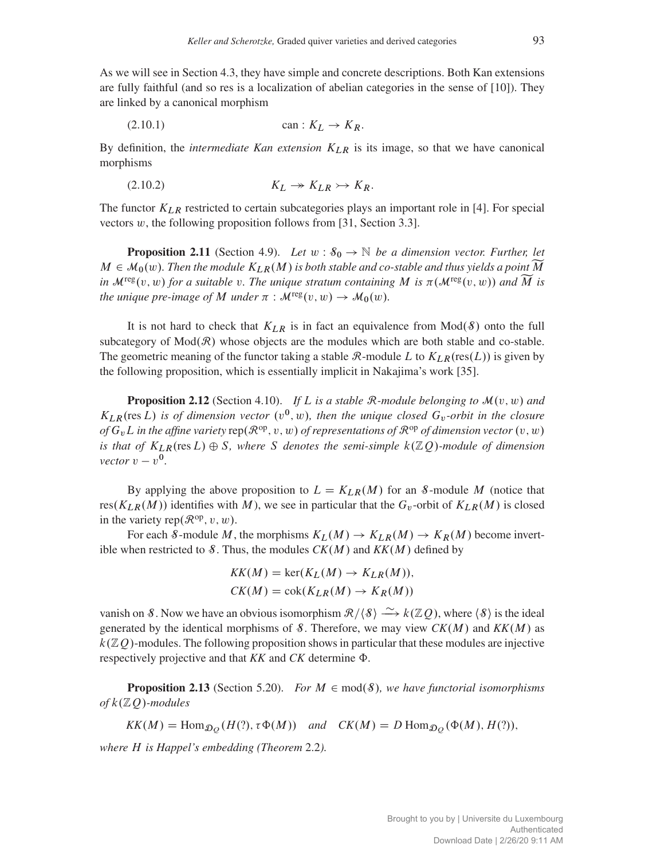As we will see in Section [4.3,](#page-16-0) they have simple and concrete descriptions. Both Kan extensions are fully faithful (and so res is a localization of abelian categories in the sense of [\[10\]](#page-41-16)). They are linked by a canonical morphism

$$
(2.10.1) \t\t can: K_L \to K_R.
$$

By definition, the *intermediate Kan extension*  $K_{LR}$  is its image, so that we have canonical morphisms

$$
(2.10.2) \t\t\t K_L \twoheadrightarrow K_{LR} \rightarrow K_R.
$$

The functor  $K_{LR}$  restricted to certain subcategories plays an important role in [\[4\]](#page-41-7). For special vectors  $w$ , the following proposition follows from [\[31,](#page-42-7) Section 3.3].

<span id="page-8-0"></span>**Proposition 2.11** (Section [4.9\)](#page-19-0). Let  $w : \mathcal{S}_0 \to \mathbb{N}$  be a dimension vector. Further, let  $M \in \mathcal{M}_0(w)$ *. Then the module*  $K_{LR}(M)$  *is both stable and co-stable and thus yields a point* M *in*  $\mathcal{M}^{\text{reg}}(v, w)$  *for a suitable* v. The unique stratum containing M is  $\pi(\mathcal{M}^{\text{reg}}(v, w))$  and M is *the unique pre-image of* M *under*  $\pi$  :  $\mathcal{M}^{\text{reg}}(v, w) \rightarrow \mathcal{M}_0(w)$ *.* 

It is not hard to check that  $K_{LR}$  is in fact an equivalence from  $Mod(8)$  onto the full subcategory of  $Mod(R)$  whose objects are the modules which are both stable and co-stable. The geometric meaning of the functor taking a stable  $\mathcal{R}\text{-module }L$  to  $K_{LR}(\text{res}(L))$  is given by the following proposition, which is essentially implicit in Nakajima's work [\[35\]](#page-42-0).

<span id="page-8-1"></span>**Proposition 2.12** (Section [4.10\)](#page-20-0). If L is a stable R-module belonging to  $\mathcal{M}(v, w)$  and  $K_{LR}$ (res L) is of dimension vector  $(v^0, w)$ , then the unique closed  $G_v$ -orbit in the closure *of*  $G_vL$  *in the affine variety* rep $(\mathcal{R}^{op}, v, w)$  *of representations of*  $\mathcal{R}^{op}$  *of dimension vector*  $(v, w)$ *is that of*  $K_{LR}$ (res L)  $\oplus$  S, where S denotes the semi-simple  $k(\mathbb{Z}Q)$ *-module of dimension vector*  $v - v^0$ .

By applying the above proposition to  $L = K_{LR}(M)$  for an S-module M (notice that res $(K_{LR}(M))$  identifies with M), we see in particular that the  $G_v$ -orbit of  $K_{LR}(M)$  is closed in the variety rep $(\mathcal{R}^{\text{op}}, v, w)$ .

For each S-module M, the morphisms  $K_L(M) \to K_{LR}(M) \to K_R(M)$  become invertible when restricted to  $\mathcal{S}$ . Thus, the modules  $CK(M)$  and  $KK(M)$  defined by

$$
KK(M) = \ker(K_L(M) \to K_{LR}(M)),
$$
  

$$
CK(M) = \operatorname{cok}(K_{LR}(M) \to K_R(M))
$$

vanish on S. Now we have an obvious isomorphism  $\mathcal{R}/\langle \mathcal{S} \rangle \stackrel{\sim}{\longrightarrow} k(\mathbb{Z}Q)$ , where  $\langle \mathcal{S} \rangle$  is the ideal generated by the identical morphisms of  $\mathcal{S}$ . Therefore, we may view  $CK(M)$  and  $KK(M)$  as  $k(\mathbb{Z}Q)$ -modules. The following proposition shows in particular that these modules are injective respectively projective and that  $KK$  and  $CK$  determine  $\Phi$ .

<span id="page-8-2"></span>**Proposition 2.13** (Section [5.20\)](#page-36-0). *For*  $M \in \text{mod}(\mathcal{S})$ *, we have functorial isomorphisms*  $of k(\mathbb{Z}Q)$ *-modules* 

$$
KK(M) = \text{Hom}_{\mathcal{D}_{Q}}(H(?) \, \tau \Phi(M)) \quad \text{and} \quad CK(M) = D \text{ Hom}_{\mathcal{D}_{Q}}(\Phi(M), H(?)),
$$

*where* H *is Happel's embedding (Theorem* [2.2](#page-3-1)*).*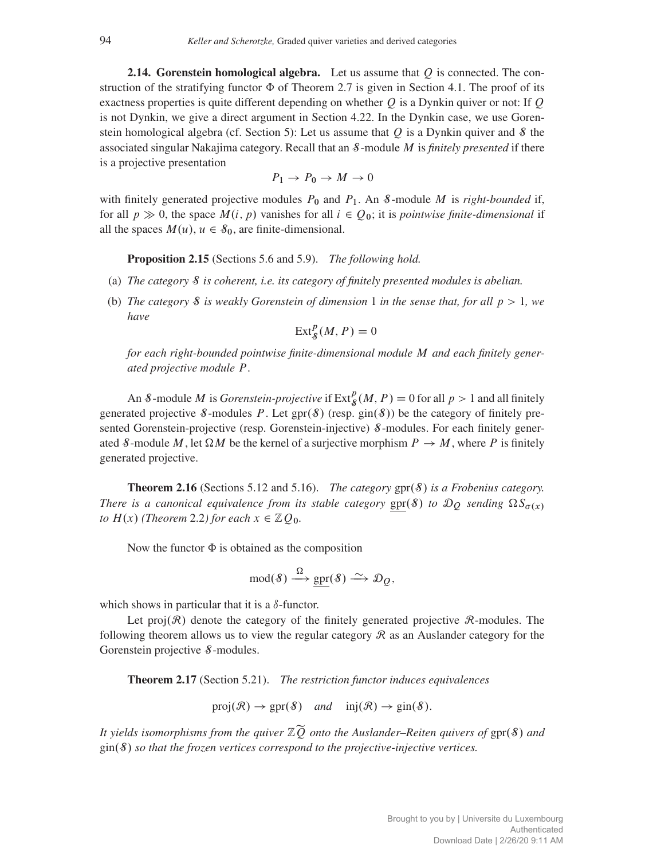<span id="page-9-0"></span>**2.14. Gorenstein homological algebra.** Let us assume that  $Q$  is connected. The construction of the stratifying functor  $\Phi$  of Theorem [2.7](#page-7-1) is given in Section [4.1.](#page-15-1) The proof of its exactness properties is quite different depending on whether  $Q$  is a Dynkin quiver or not: If  $Q$ is not Dynkin, we give a direct argument in Section [4.22.](#page-26-0) In the Dynkin case, we use Goren-stein homological algebra (cf. Section [5\)](#page-28-0): Let us assume that Q is a Dynkin quiver and  $\delta$  the associated singular Nakajima category. Recall that an S-module M is *finitely presented* if there is a projective presentation

$$
P_1 \to P_0 \to M \to 0
$$

with finitely generated projective modules  $P_0$  and  $P_1$ . An *S*-module *M* is *right-bounded* if, for all  $p \gg 0$ , the space  $M(i, p)$  vanishes for all  $i \in Q_0$ ; it is *pointwise finite-dimensional* if all the spaces  $M(u)$ ,  $u \in \mathcal{S}_0$ , are finite-dimensional.

<span id="page-9-1"></span>Proposition 2.15 (Sections [5.6](#page-30-0) and [5.9\)](#page-31-0). *The following hold.*

- (a) *The category* S *is coherent, i.e. its category of finitely presented modules is abelian.*
- (b) *The category* S *is weakly Gorenstein of dimension* 1 *in the sense that, for all* p > 1*, we have*

 $\text{Ext}^p_{\mathcal{S}}(M, P) = 0$ 

*for each right-bounded pointwise finite-dimensional module* M *and each finitely generated projective module* P*.*

An *S*-module *M* is *Gorenstein-projective* if  $\text{Ext}_{\mathcal{S}}^p(M, P) = 0$  for all  $p > 1$  and all finitely generated projective S-modules P. Let  $spr(S)$  (resp.  $gin(S)$ ) be the category of finitely presented Gorenstein-projective (resp. Gorenstein-injective)  $\delta$ -modules. For each finitely generated S-module M, let  $\Omega M$  be the kernel of a surjective morphism  $P \to M$ , where P is finitely generated projective.

**Theorem 2.16** (Sections [5.12](#page-33-0) and [5.16\)](#page-34-0). *The category*  $\text{gpr}(\mathcal{S})$  *is a Frobenius category. There is a canonical equivalence from its stable category*  $gpr(S)$  *to*  $\mathcal{D}_Q$  *sending*  $\Omega S_{\sigma(X)}$ *to*  $H(x)$  *(Theorem [2.2](#page-3-1)) for each*  $x \in \mathbb{Z}Q_0$ *.* 

Now the functor  $\Phi$  is obtained as the composition

$$
\operatorname{mod}(8) \xrightarrow{\Omega} \underline{\operatorname{gpr}}(8) \xrightarrow{\sim} \mathcal{D}_Q,
$$

which shows in particular that it is a  $\delta$ -functor.

Let proj $(\mathcal{R})$  denote the category of the finitely generated projective  $\mathcal{R}$ -modules. The following theorem allows us to view the regular category  $\mathcal R$  as an Auslander category for the Gorenstein projective S-modules.

<span id="page-9-2"></span>Theorem 2.17 (Section [5.21\)](#page-38-0). *The restriction functor induces equivalences*

 $proj(R) \rightarrow spr(S)$  *and*  $inj(R) \rightarrow gin(S).$ 

*It yields isomorphisms from the quiver*  $\mathbb{Z}\widetilde{Q}$  *onto the Auslander–Reiten quivers of* gpr(8) *and*  $\sin(\theta)$  *so that the frozen vertices correspond to the projective-injective vertices.*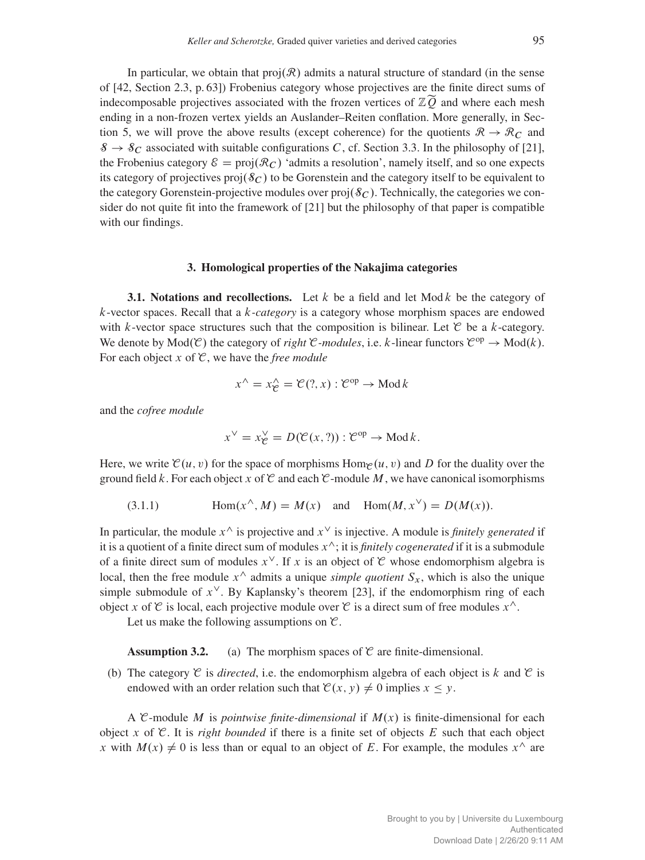In particular, we obtain that  $proj(R)$  admits a natural structure of standard (in the sense of [\[42,](#page-42-19) Section 2.3, p. 63]) Frobenius category whose projectives are the finite direct sums of indecomposable projectives associated with the frozen vertices of  $\mathbb{Z}\widetilde{Q}$  and where each mesh ending in a non-frozen vertex yields an Auslander–Reiten conflation. More generally, in Sec-tion [5,](#page-28-0) we will prove the above results (except coherence) for the quotients  $\mathcal{R} \to \mathcal{R}_C$  and  $\mathcal{S} \to \mathcal{S}_C$  associated with suitable configurations C, cf. Section [3.3.](#page-11-0) In the philosophy of [\[21\]](#page-42-20), the Frobenius category  $\mathcal{E} = \text{proj}(\mathcal{R}_C)$  'admits a resolution', namely itself, and so one expects its category of projectives  $proj(\mathcal{S}_C)$  to be Gorenstein and the category itself to be equivalent to the category Gorenstein-projective modules over  $proj(\mathcal{S}_C)$ . Technically, the categories we consider do not quite fit into the framework of [\[21\]](#page-42-20) but the philosophy of that paper is compatible with our findings.

## 3. Homological properties of the Nakajima categories

<span id="page-10-0"></span>**3.1. Notations and recollections.** Let k be a field and let  $Mod k$  be the category of k-vector spaces. Recall that a k*-category* is a category whose morphism spaces are endowed with k-vector space structures such that the composition is bilinear. Let  $\mathcal C$  be a k-category. We denote by  $Mod(\mathcal{C})$  the category of *right*  $\mathcal{C}$ *-modules*, i.e. k-linear functors  $\mathcal{C}^{op} \to Mod(k)$ . For each object  $x$  of  $\mathcal{C}$ , we have the *free module* 

$$
x^{\wedge} = x_{\mathcal{C}}^{\wedge} = \mathcal{C}(?, x) : \mathcal{C}^{op} \to \text{Mod } k
$$

and the *cofree module*

<span id="page-10-1"></span>
$$
x^{\vee} = x_{\mathcal{C}}^{\vee} = D(\mathcal{C}(x, ?)) : \mathcal{C}^{op} \to \text{Mod } k.
$$

Here, we write  $\mathcal{C}(u, v)$  for the space of morphisms Hom $\mathcal{C}(u, v)$  and D for the duality over the ground field k. For each object x of  $\mathcal C$  and each  $\mathcal C$ -module M, we have canonical isomorphisms

(3.1.1) 
$$
\text{Hom}(x^{\wedge}, M) = M(x) \text{ and } \text{Hom}(M, x^{\vee}) = D(M(x)).
$$

In particular, the module  $x^{\wedge}$  is projective and  $x^{\vee}$  is injective. A module is *finitely generated* if it is a quotient of a finite direct sum of modules  $x^{\wedge}$ ; it is *finitely cogenerated* if it is a submodule of a finite direct sum of modules  $x^{\vee}$ . If x is an object of C whose endomorphism algebra is local, then the free module  $x^{\wedge}$  admits a unique *simple quotient*  $S_x$ , which is also the unique simple submodule of  $x^{\vee}$ . By Kaplansky's theorem [\[23\]](#page-42-21), if the endomorphism ring of each object x of  $\mathcal C$  is local, each projective module over  $\mathcal C$  is a direct sum of free modules  $x^{\wedge}$ .

Let us make the following assumptions on  $\mathcal{C}$ .

# **Assumption 3.2.** (a) The morphism spaces of  $\mathcal{C}$  are finite-dimensional.

(b) The category  $\mathcal C$  is *directed*, i.e. the endomorphism algebra of each object is k and  $\mathcal C$  is endowed with an order relation such that  $\mathcal{C}(x, y) \neq 0$  implies  $x \leq y$ .

A C-module M is *pointwise finite-dimensional* if  $M(x)$  is finite-dimensional for each object x of  $\mathcal C$ . It is *right bounded* if there is a finite set of objects E such that each object x with  $M(x) \neq 0$  is less than or equal to an object of E. For example, the modules  $x^{\wedge}$  are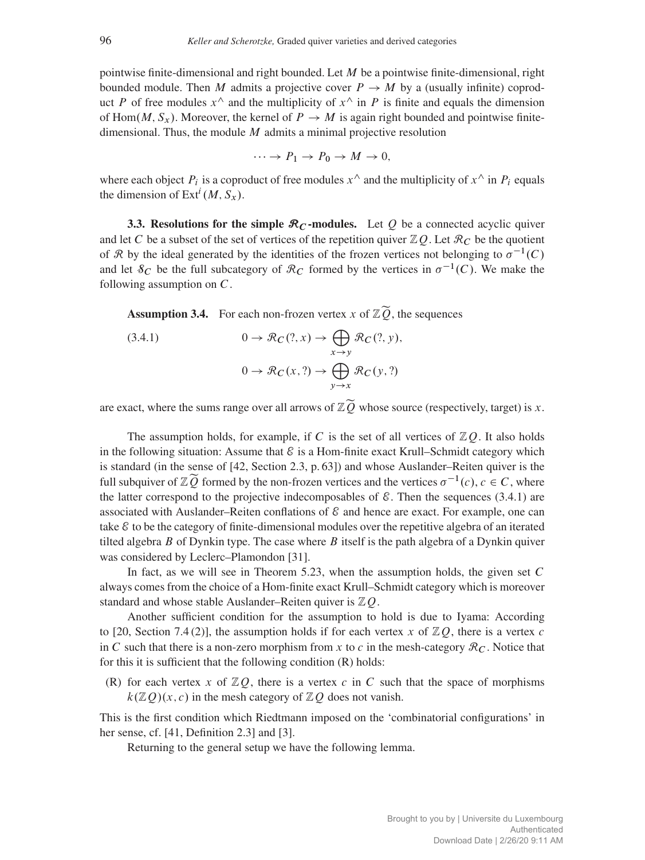pointwise finite-dimensional and right bounded. Let  $M$  be a pointwise finite-dimensional, right bounded module. Then M admits a projective cover  $P \rightarrow M$  by a (usually infinite) coproduct P of free modules  $x^{\wedge}$  and the multiplicity of  $x^{\wedge}$  in P is finite and equals the dimension of Hom $(M, S_x)$ . Moreover, the kernel of  $P \to M$  is again right bounded and pointwise finitedimensional. Thus, the module  $M$  admits a minimal projective resolution

$$
\cdots \to P_1 \to P_0 \to M \to 0,
$$

where each object  $P_i$  is a coproduct of free modules  $x^{\wedge}$  and the multiplicity of  $x^{\wedge}$  in  $P_i$  equals the dimension of  $\text{Ext}^i(M, S_x)$ .

<span id="page-11-0"></span>3.3. Resolutions for the simple  $\mathcal{R}_C$ -modules. Let Q be a connected acyclic quiver and let C be a subset of the set of vertices of the repetition quiver  $\mathbb{Z}Q$ . Let  $\mathcal{R}_C$  be the quotient of R by the ideal generated by the identities of the frozen vertices not belonging to  $\sigma^{-1}(C)$ and let  $\mathcal{S}_C$  be the full subcategory of  $\mathcal{R}_C$  formed by the vertices in  $\sigma^{-1}(C)$ . We make the following assumption on  $C$ .

<span id="page-11-2"></span>**Assumption 3.4.** For each non-frozen vertex x of  $\mathbb{Z}\widetilde{Q}$ , the sequences

<span id="page-11-1"></span>(3.4.1) 
$$
0 \to \mathcal{R}_C(?, x) \to \bigoplus_{x \to y} \mathcal{R}_C(?, y),
$$

$$
0 \to \mathcal{R}_C(x, ?) \to \bigoplus_{y \to x} \mathcal{R}_C(y, ?)
$$

are exact, where the sums range over all arrows of  $\mathbb{Z}\widetilde{Q}$  whose source (respectively, target) is x.

The assumption holds, for example, if C is the set of all vertices of  $\mathbb{Z}Q$ . It also holds in the following situation: Assume that  $\mathcal E$  is a Hom-finite exact Krull–Schmidt category which is standard (in the sense of [\[42,](#page-42-19) Section 2.3, p. 63]) and whose Auslander–Reiten quiver is the full subquiver of  $\mathbb{Z}\widetilde{Q}$  formed by the non-frozen vertices and the vertices  $\sigma^{-1}(c)$ ,  $c \in C$ , where the latter correspond to the projective indecomposables of  $\mathcal{E}$ . Then the sequences [\(3.4.1\)](#page-11-1) are associated with Auslander–Reiten conflations of  $\mathcal E$  and hence are exact. For example, one can take  $\mathcal E$  to be the category of finite-dimensional modules over the repetitive algebra of an iterated tilted algebra B of Dynkin type. The case where B itself is the path algebra of a Dynkin quiver was considered by Leclerc–Plamondon [\[31\]](#page-42-7).

In fact, as we will see in Theorem [5.23,](#page-39-0) when the assumption holds, the given set C always comes from the choice of a Hom-finite exact Krull–Schmidt category which is moreover standard and whose stable Auslander–Reiten quiver is  $ZQ$ .

Another sufficient condition for the assumption to hold is due to Iyama: According to [\[20,](#page-41-11) Section 7.4 (2)], the assumption holds if for each vertex x of  $\mathbb{Z}Q$ , there is a vertex c in C such that there is a non-zero morphism from x to c in the mesh-category  $\mathcal{R}_C$ . Notice that for this it is sufficient that the following condition (R) holds:

(R) for each vertex x of  $\mathbb{Z}Q$ , there is a vertex c in C such that the space of morphisms  $k(\mathbb{Z}Q)(x, c)$  in the mesh category of  $\mathbb{Z}Q$  does not vanish.

This is the first condition which Riedtmann imposed on the 'combinatorial configurations' in her sense, cf. [\[41,](#page-42-12) Definition 2.3] and [\[3\]](#page-41-17).

Returning to the general setup we have the following lemma.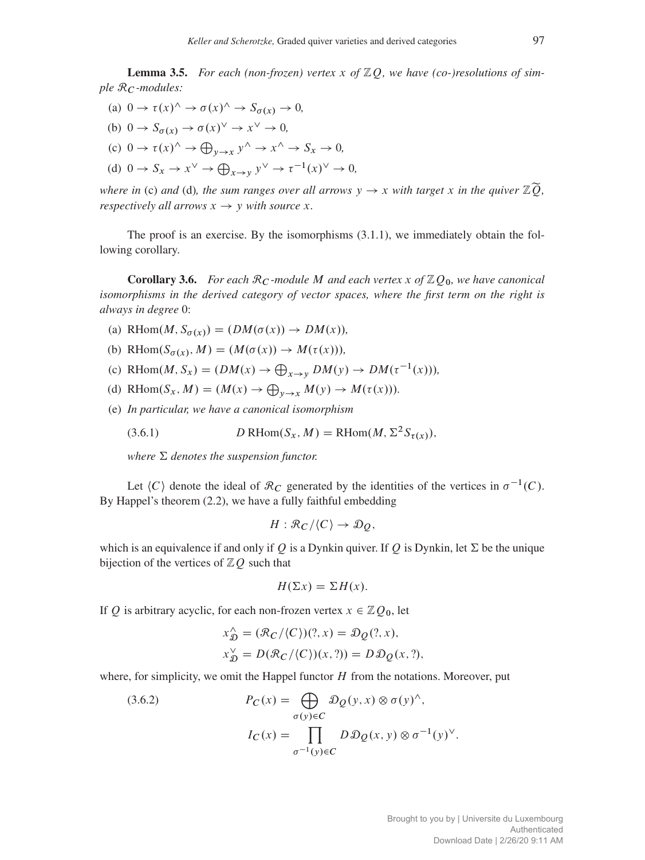<span id="page-12-0"></span>**Lemma 3.5.** For each (non-frozen) vertex x of  $\mathbb{Z}Q$ , we have (co-)resolutions of sim $ple$   $\mathcal{R}_C$ *-modules:* 

- (a)  $0 \to \tau(x)$ <sup>^</sup>  $\to \sigma(x)$ <sup>^</sup>  $\to S_{\sigma(x)} \to 0$ , (b)  $0 \to S_{\sigma(x)} \to \sigma(x)^\vee \to x^\vee \to 0$ ,
- (c)  $0 \to \tau(x)^\wedge \to \bigoplus_{y \to x} y^\wedge \to x^\wedge \to S_x \to 0$ ,

(d) 
$$
0 \to S_x \to x^{\vee} \to \bigoplus_{x \to y} y^{\vee} \to \tau^{-1}(x)^{\vee} \to 0
$$
,

*where in* (c) *and* (d)*, the sum ranges over all arrows*  $y \rightarrow x$  *with target* x *in the quiver*  $\mathbb{Z}[\widetilde{O}]$ *, respectively all arrows*  $x \rightarrow y$  *with source* x.

The proof is an exercise. By the isomorphisms [\(3.1.1\)](#page-10-1), we immediately obtain the following corollary.

<span id="page-12-2"></span>**Corollary 3.6.** *For each*  $\mathcal{R}_C$ *-module* M *and each vertex* x of  $\mathbb{Z}Q_0$ *, we have canonical isomorphisms in the derived category of vector spaces, where the first term on the right is always in degree* 0:

- (a) RHom $(M, S_{\sigma(x)}) = (DM(\sigma(x)) \rightarrow DM(x)),$
- (b) RHom $(S_{\sigma(x)}, M) = (M(\sigma(x))) \rightarrow M(\tau(x))),$
- (c) RHom $(M, S_x) = (DM(x) \rightarrow \bigoplus_{x \rightarrow y} DM(y) \rightarrow DM(\tau^{-1}(x))),$
- (d) RHom $(S_x, M) = (M(x) \rightarrow \bigoplus_{y \rightarrow x} M(y) \rightarrow M(\tau(x))).$
- (e) *In particular, we have a canonical isomorphism*

(3.6.1) 
$$
D \text{ RHom}(S_x, M) = \text{RHom}(M, \Sigma^2 S_{\tau(x)}),
$$

*where*  $\Sigma$  *denotes the suspension functor.* 

Let  $\langle C \rangle$  denote the ideal of  $\mathcal{R}_C$  generated by the identities of the vertices in  $\sigma^{-1}(C)$ . By Happel's theorem [\(2.2\)](#page-3-1), we have a fully faithful embedding

<span id="page-12-3"></span>
$$
H: \mathcal{R}_C/\langle C \rangle \to \mathcal{D}_Q,
$$

which is an equivalence if and only if Q is a Dynkin quiver. If Q is Dynkin, let  $\Sigma$  be the unique bijection of the vertices of  $\mathbb{Z}Q$  such that

$$
H(\Sigma x) = \Sigma H(x).
$$

If Q is arbitrary acyclic, for each non-frozen vertex  $x \in \mathbb{Z}Q_0$ , let

$$
x_{\mathcal{D}}^{\wedge} = (\mathcal{R}_C/\langle C \rangle)(?, x) = \mathcal{D}_Q(?, x),
$$
  
\n
$$
x_{\mathcal{D}}^{\vee} = D(\mathcal{R}_C/\langle C \rangle)(x, ?)) = D\mathcal{D}_Q(x, ?),
$$

<span id="page-12-1"></span>where, for simplicity, we omit the Happel functor  $H$  from the notations. Moreover, put

(3.6.2) 
$$
P_C(x) = \bigoplus_{\sigma(y)\in C} \mathcal{D}_Q(y, x) \otimes \sigma(y)^{\wedge},
$$

$$
I_C(x) = \prod_{\sigma^{-1}(y)\in C} D \mathcal{D}_Q(x, y) \otimes \sigma^{-1}(y)^{\vee}.
$$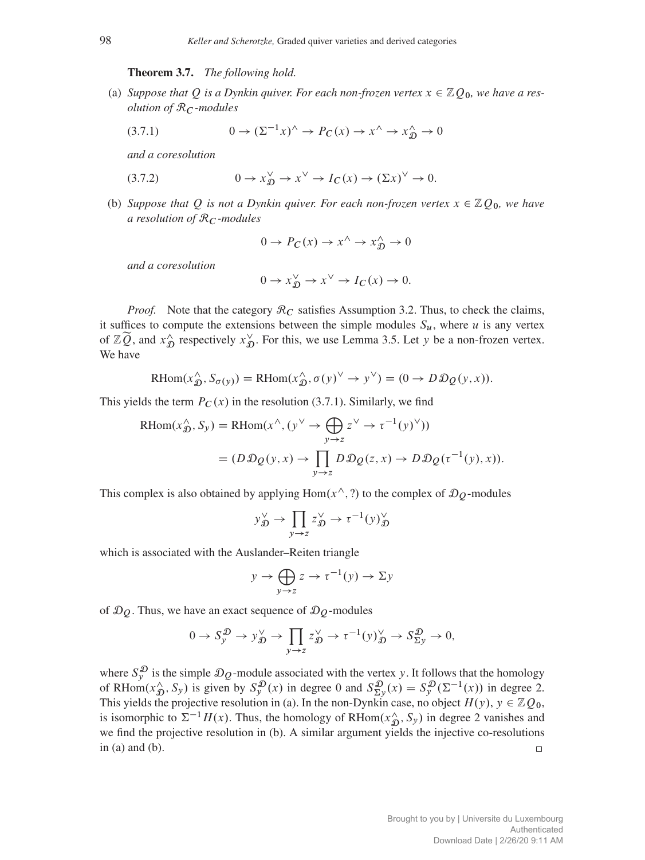Theorem 3.7. *The following hold.*

<span id="page-13-1"></span>(a) *Suppose that Q is a Dynkin quiver. For each non-frozen vertex*  $x \in \mathbb{Z}Q_0$ *, we have a resolution of* R<sup>C</sup> *-modules*

<span id="page-13-0"></span>
$$
(3.7.1) \t\t 0 \to (\Sigma^{-1}x)^{\hat{ }} \to P_C(x) \to x^{\hat{ }} \to x^{\hat{ }}_D \to 0
$$

*and a coresolution*

(3.7.2) 
$$
0 \to x_{\mathcal{D}}^{\vee} \to x^{\vee} \to I_C(x) \to (\Sigma x)^{\vee} \to 0.
$$

(b) *Suppose that* Q *is not a Dynkin quiver. For each non-frozen vertex*  $x \in \mathbb{Z}Q_0$ *, we have a resolution of* R<sup>C</sup> *-modules*

$$
0 \to P_C(x) \to x^{\wedge} \to x^{\wedge}_D \to 0
$$

*and a coresolution*

$$
0 \to x_{\mathfrak{D}}^{\vee} \to x^{\vee} \to I_C(x) \to 0.
$$

*Proof.* Note that the category  $\mathcal{R}_C$  satisfies Assumption [3.2.](#page-0-0) Thus, to check the claims, it suffices to compute the extensions between the simple modules  $S_u$ , where u is any vertex of  $\mathbb{Z}\widetilde{Q}$ , and  $x_{\mathcal{L}}^{\wedge}$  $\hat{D}$  respectively  $x_{\mathcal{L}}^{\vee}$  $\gamma_{\mathcal{D}}^{\vee}$ . For this, we use Lemma [3.5.](#page-12-0) Let y be a non-frozen vertex. We have

RHom
$$
(x_D^{\wedge}, S_{\sigma(y)})
$$
 = RHom $(x_D^{\wedge}, \sigma(y)^{\vee} \rightarrow y^{\vee})$  =  $(0 \rightarrow D \mathcal{D} \mathcal{Q}(y, x)).$ 

This yields the term  $P_C(x)$  in the resolution [\(3.7.1\)](#page-13-0). Similarly, we find

$$
\begin{aligned} \text{RHom}(x^{\wedge}_{\mathcal{D}}, S_{\mathcal{Y}}) &= \text{RHom}(x^{\wedge}, (y^{\vee} \to \bigoplus_{y \to z} z^{\vee} \to \tau^{-1}(y)^{\vee})) \\ &= (D \mathcal{D} \mathcal{Q}(y, x) \to \prod_{y \to z} D \mathcal{D} \mathcal{Q}(z, x) \to D \mathcal{D} \mathcal{Q}(\tau^{-1}(y), x)). \end{aligned}
$$

This complex is also obtained by applying Hom $(x^{\wedge}, ?)$  to the complex of  $\mathcal{D}_{\mathcal{O}}$ -modules

$$
y_{\mathcal{D}}^{\vee} \to \prod_{y \to z} z_{\mathcal{D}}^{\vee} \to \tau^{-1}(y)_{\mathcal{D}}^{\vee}
$$

which is associated with the Auslander–Reiten triangle

$$
y \to \bigoplus_{y \to z} z \to \tau^{-1}(y) \to \Sigma y
$$

of  $\mathcal{D}_Q$ . Thus, we have an exact sequence of  $\mathcal{D}_Q$ -modules

$$
0 \to S_y^{\mathcal{D}} \to y_{\mathcal{D}}^{\vee} \to \prod_{y \to z} z_{\mathcal{D}}^{\vee} \to \tau^{-1}(y)_{\mathcal{D}}^{\vee} \to S_{\Sigma y}^{\mathcal{D}} \to 0,
$$

where  $S_y^{\mathcal{D}}$  is the simple  $\mathcal{D}_Q$ -module associated with the vertex y. It follows that the homology of RHom $(x_0, \delta_y)$  is given by  $S_y^{\mathcal{D}}(x)$  in degree 0 and  $S_{\Sigma y}^{\mathcal{D}}(x) = S_y^{\mathcal{D}}(\Sigma^{-1}(x))$  in degree 2. This yields the projective resolution in (a). In the non-Dynkin case, no object  $H(y)$ ,  $y \in \mathbb{Z}Q_0$ , is isomorphic to  $\Sigma^{-1}H(x)$ . Thus, the homology of RHom $(x^{\wedge}_{\mathcal{D}}, S_y)$  in degree 2 vanishes and we find the projective resolution in (b). A similar argument yields the injective co-resolutions in  $(a)$  and  $(b)$ .  $\Box$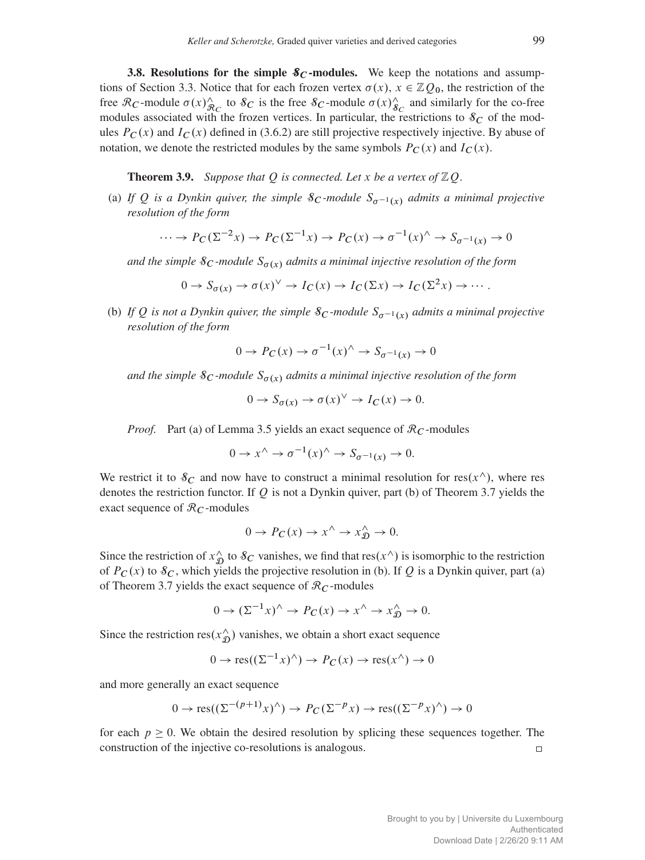**3.8. Resolutions for the simple**  $\mathcal{S}_C$ **-modules.** We keep the notations and assump-tions of Section [3.3.](#page-11-0) Notice that for each frozen vertex  $\sigma(x)$ ,  $x \in \mathbb{Z}Q_0$ , the restriction of the free  $\mathcal{R}_C$ -module  $\sigma(x)_{\mathcal{R}_C}^{\wedge}$  to  $\mathcal{S}_C$  is the free  $\mathcal{S}_C$ -module  $\sigma(x)_{\mathcal{S}_C}^{\wedge}$  and similarly for the co-free modules associated with the frozen vertices. In particular, the restrictions to  $\delta_C$  of the modules  $P_C(x)$  and  $I_C(x)$  defined in [\(3.6.2\)](#page-12-1) are still projective respectively injective. By abuse of notation, we denote the restricted modules by the same symbols  $P_C(x)$  and  $I_C(x)$ .

**Theorem 3.9.** Suppose that  $Q$  is connected. Let  $x$  be a vertex of  $\mathbb{Z}Q$ .

<span id="page-14-0"></span>(a) If Q is a Dynkin quiver, the simple  $\mathcal{S}_C$ -module  $S_{\sigma^{-1}(x)}$  admits a minimal projective *resolution of the form*

$$
\cdots \to P_C(\Sigma^{-2}x) \to P_C(\Sigma^{-1}x) \to P_C(x) \to \sigma^{-1}(x) \to S_{\sigma^{-1}(x)} \to 0
$$

and the simple  $S_C$ -module  $S_{\sigma(x)}$  admits a minimal injective resolution of the form

$$
0 \to S_{\sigma(x)} \to \sigma(x)^{\vee} \to I_C(x) \to I_C(\Sigma x) \to I_C(\Sigma^2 x) \to \cdots
$$

(b) If Q is not a Dynkin quiver, the simple  $S_C$ -module  $S_{\sigma^{-1}(x)}$  admits a minimal projective *resolution of the form*

$$
0 \to P_C(x) \to \sigma^{-1}(x) \land \to S_{\sigma^{-1}(x)} \to 0
$$

*and the simple*  $\mathcal{S}_{C}$ *-module*  $S_{\sigma(x)}$  *admits a minimal injective resolution of the form* 

$$
0 \to S_{\sigma(x)} \to \sigma(x)^{\vee} \to I_C(x) \to 0.
$$

*Proof.* Part (a) of Lemma [3.5](#page-12-0) yields an exact sequence of  $\mathcal{R}_C$ -modules

$$
0 \to x^{\wedge} \to \sigma^{-1}(x)^{\wedge} \to S_{\sigma^{-1}(x)} \to 0.
$$

We restrict it to  $\mathcal{S}_C$  and now have to construct a minimal resolution for res $(x^{\wedge})$ , where res denotes the restriction functor. If  $Q$  is not a Dynkin quiver, part (b) of Theorem [3.7](#page-13-1) yields the exact sequence of  $\mathcal{R}_C$ -modules

$$
0 \to P_C(x) \to x^{\wedge} \to x_{\mathfrak{D}}^{\wedge} \to 0.
$$

Since the restriction of  $x^{\wedge}_f$  $\hat{D}_{\Omega}$  to  $\delta_C$  vanishes, we find that res $(x^{\wedge})$  is isomorphic to the restriction of  $P_C(x)$  to  $\mathcal{S}_C$ , which yields the projective resolution in (b). If Q is a Dynkin quiver, part (a) of Theorem [3.7](#page-13-1) yields the exact sequence of  $\mathcal{R}_C$ -modules

$$
0 \to (\Sigma^{-1}x)^\wedge \to P_C(x) \to x^\wedge \to x_0^\wedge \to 0.
$$

Since the restriction  $res(x_{\mathcal{D}}^{\wedge})$  vanishes, we obtain a short exact sequence

$$
0 \to \text{res}((\Sigma^{-1}x)^{\wedge}) \to P_C(x) \to \text{res}(x^{\wedge}) \to 0
$$

and more generally an exact sequence

$$
0 \to \text{res}((\Sigma^{-(p+1)} x)^\wedge) \to P_C(\Sigma^{-p} x) \to \text{res}((\Sigma^{-p} x)^\wedge) \to 0
$$

for each  $p \ge 0$ . We obtain the desired resolution by splicing these sequences together. The construction of the injective co-resolutions is analogous.  $\Box$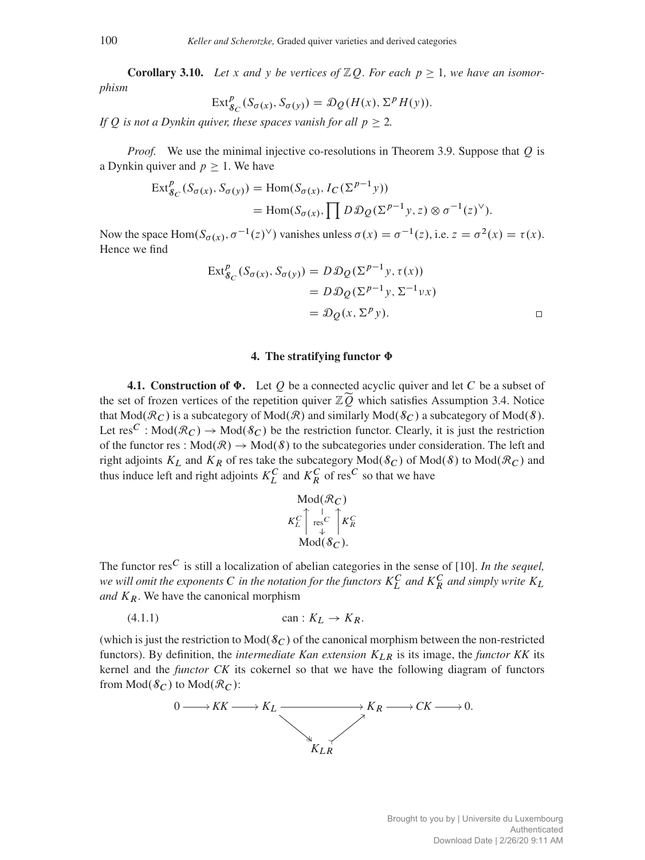<span id="page-15-0"></span>**Corollary 3.10.** Let x and y be vertices of  $\mathbb{Z}Q$ . For each  $p \geq 1$ , we have an isomor*phism*

$$
\operatorname{Ext}^p_{\mathcal{S}_C}(S_{\sigma(x)}, S_{\sigma(y)}) = \mathcal{D}_{\mathcal{Q}}(H(x), \Sigma^p H(y)).
$$

*If Q is not a Dynkin quiver, these spaces vanish for all*  $p \ge 2$ *.* 

*Proof.* We use the minimal injective co-resolutions in Theorem [3.9.](#page-14-0) Suppose that Q is a Dynkin quiver and  $p \geq 1$ . We have

$$
\begin{aligned} \operatorname{Ext}^p_{\mathcal{S}_C}(S_{\sigma(x)}, S_{\sigma(y)}) &= \operatorname{Hom}(S_{\sigma(x)}, I_C(\Sigma^{p-1}y)) \\ &= \operatorname{Hom}(S_{\sigma(x)}, \prod D \mathcal{D}_Q(\Sigma^{p-1}y, z) \otimes \sigma^{-1}(z)^\vee). \end{aligned}
$$

Now the space Hom $(S_{\sigma(x)}, \sigma^{-1}(z)^{\vee})$  vanishes unless  $\sigma(x) = \sigma^{-1}(z)$ , i.e.  $z = \sigma^2(x) = \tau(x)$ . Hence we find

$$
\operatorname{Ext}^{p}_{\mathcal{S}_{C}}(S_{\sigma(x)}, S_{\sigma(y)}) = D \mathcal{D} \mathcal{Q}(\Sigma^{p-1} y, \tau(x))
$$
  
=  $D \mathcal{D} \mathcal{Q}(\Sigma^{p-1} y, \Sigma^{-1} \nu x)$   
=  $\mathcal{D} \mathcal{Q}(x, \Sigma^{p} y).$ 

### 4. The stratifying functor  $\Phi$

<span id="page-15-1"></span>4.1. Construction of  $\Phi$ . Let O be a connected acyclic quiver and let C be a subset of the set of frozen vertices of the repetition quiver  $\mathbb{Z}\widetilde{Q}$  which satisfies Assumption [3.4.](#page-11-2) Notice that  $Mod(R_C)$  is a subcategory of  $Mod(R)$  and similarly  $Mod(\mathcal{S}_C)$  a subcategory of  $Mod(\mathcal{S})$ . Let res<sup>C</sup>: Mod $(\mathcal{R}_C) \to \text{Mod}(\mathcal{S}_C)$  be the restriction functor. Clearly, it is just the restriction of the functor res :  $Mod(R) \rightarrow Mod(S)$  to the subcategories under consideration. The left and right adjoints  $K_L$  and  $K_R$  of res take the subcategory  $Mod(\mathcal{S}_C)$  of  $Mod(\mathcal{S})$  to  $Mod(\mathcal{R}_C)$  and thus induce left and right adjoints  $K_L^C$  and  $K_R^C$  of res<sup> $C$ </sup> so that we have

$$
\text{Mod}(\mathcal{R}_C)
$$
\n
$$
K_L^C \uparrow_{\text{res}^C}^{\uparrow} \uparrow_{K_R^C}
$$
\n
$$
\text{Mod}(\mathcal{S}_C).
$$

The functor res<sup> $C$ </sup> is still a localization of abelian categories in the sense of [\[10\]](#page-41-16). *In the sequel*, we will omit the exponents  $C$  in the notation for the functors  $K_L^C$  and  $K_R^C$  and simply write  $K_L$ *and*  $K_R$ . We have the canonical morphism

$$
(4.1.1) \t\t can: K_L \to K_R.
$$

(which is just the restriction to  $Mod(\mathcal{S}_C)$  of the canonical morphism between the non-restricted functors). By definition, the *intermediate Kan extension*  $K_{LR}$  is its image, the *functor KK* its kernel and the *functor CK* its cokernel so that we have the following diagram of functors from  $Mod(\mathcal{S}_C)$  to  $Mod(\mathcal{R}_C)$ :

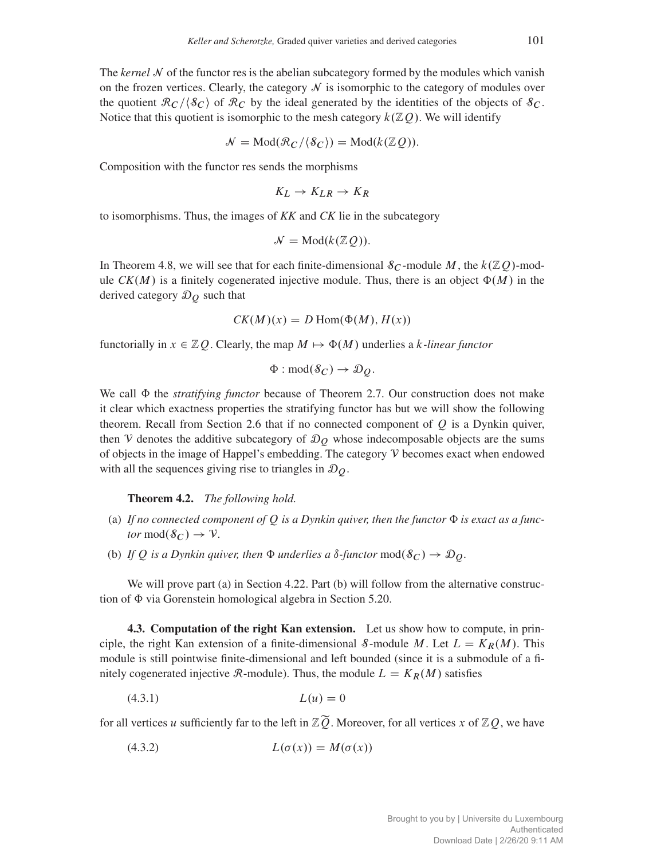The *kernel*  $N$  of the functor res is the abelian subcategory formed by the modules which vanish on the frozen vertices. Clearly, the category  $\mathcal N$  is isomorphic to the category of modules over the quotient  $\mathcal{R}_C/\langle \mathcal{S}_C \rangle$  of  $\mathcal{R}_C$  by the ideal generated by the identities of the objects of  $\mathcal{S}_C$ . Notice that this quotient is isomorphic to the mesh category  $k(\mathbb{Z}Q)$ . We will identify

$$
\mathcal{N} = \text{Mod}(\mathcal{R}_C/\langle \mathcal{S}_C \rangle) = \text{Mod}(k(\mathbb{Z}Q)).
$$

Composition with the functor res sends the morphisms

$$
K_L \to K_{LR} \to K_R
$$

to isomorphisms. Thus, the images of *KK* and *CK* lie in the subcategory

$$
\mathcal{N}=\text{Mod}(k(\mathbb{Z}\mathcal{Q})).
$$

In Theorem [4.8,](#page-19-1) we will see that for each finite-dimensional  $\delta_C$ -module M, the  $k(\mathbb{Z}Q)$ -module  $CK(M)$  is a finitely cogenerated injective module. Thus, there is an object  $\Phi(M)$  in the derived category  $\mathcal{D}_Q$  such that

$$
CK(M)(x) = D \operatorname{Hom}(\Phi(M), H(x))
$$

functorially in  $x \in \mathbb{Z}Q$ . Clearly, the map  $M \mapsto \Phi(M)$  underlies a k-linear functor

$$
\Phi: \mathrm{mod}(\mathcal{S}_C) \to \mathcal{D}_Q.
$$

We call  $\Phi$  the *stratifying functor* because of Theorem [2.7.](#page-7-1) Our construction does not make it clear which exactness properties the stratifying functor has but we will show the following theorem. Recall from Section [2.6](#page-6-0) that if no connected component of  $Q$  is a Dynkin quiver, then V denotes the additive subcategory of  $\mathcal{D}_O$  whose indecomposable objects are the sums of objects in the image of Happel's embedding. The category  $\nabla$  becomes exact when endowed with all the sequences giving rise to triangles in  $\mathcal{D}_0$ .

Theorem 4.2. *The following hold.*

- (a) If no connected component of  $\overline{O}$  is a Dynkin quiver, then the functor  $\Phi$  is exact as a func*tor* mod $(\mathcal{S}_C) \to \mathcal{V}$ *.*
- (b) If Q is a Dynkin quiver, then  $\Phi$  *underlies a*  $\delta$ -functor mod $(\delta_C) \to \mathcal{D}_Q$ .

We will prove part (a) in Section [4.22.](#page-26-0) Part (b) will follow from the alternative construction of  $\Phi$  via Gorenstein homological algebra in Section [5.20.](#page-36-0)

<span id="page-16-0"></span>4.3. Computation of the right Kan extension. Let us show how to compute, in principle, the right Kan extension of a finite-dimensional S-module M. Let  $L = K_R(M)$ . This module is still pointwise finite-dimensional and left bounded (since it is a submodule of a finitely cogenerated injective  $\mathcal{R}$ -module). Thus, the module  $L = K_R(M)$  satisfies

<span id="page-16-1"></span>
$$
(4.3.1) \t\t\t L(u) = 0
$$

for all vertices u sufficiently far to the left in  $\mathbb{Z}\widetilde{Q}$ . Moreover, for all vertices x of  $\mathbb{Z}Q$ , we have

<span id="page-16-2"></span>
$$
(4.3.2) \t\t\t L(\sigma(x)) = M(\sigma(x))
$$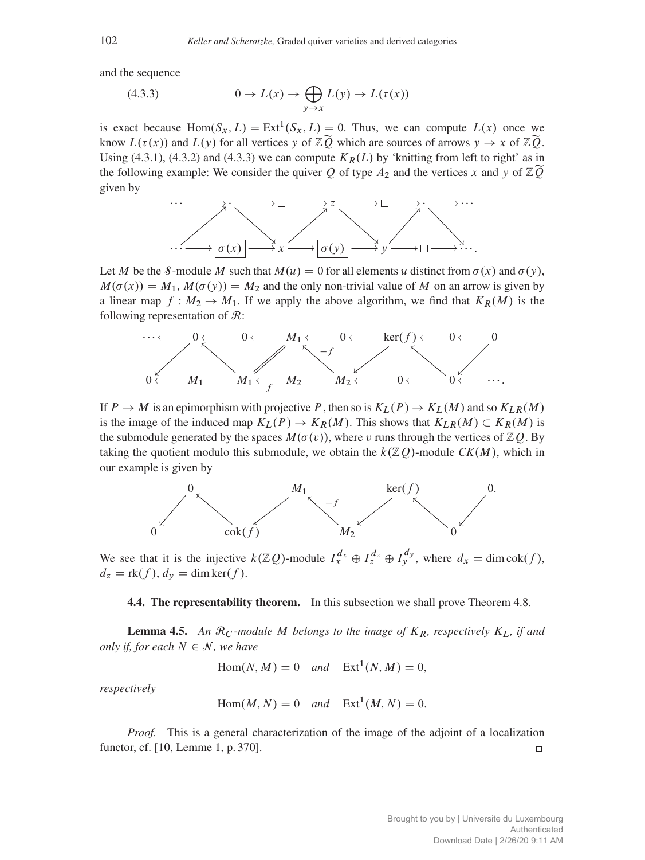and the sequence

<span id="page-17-0"></span>(4.3.3) 
$$
0 \to L(x) \to \bigoplus_{y \to x} L(y) \to L(\tau(x))
$$

is exact because  $Hom(S_x, L) = Ext^1(S_x, L) = 0$ . Thus, we can compute  $L(x)$  once we know  $L(\tau(x))$  and  $L(y)$  for all vertices y of  $\mathbb{Z}\widetilde{Q}$  which are sources of arrows  $y \to x$  of  $\mathbb{Z}\widetilde{Q}$ . Using [\(4.3.1\)](#page-16-1), [\(4.3.2\)](#page-16-2) and [\(4.3.3\)](#page-17-0) we can compute  $K_R(L)$  by 'knitting from left to right' as in the following example: We consider the quiver Q of type  $A_2$  and the vertices x and y of  $\mathbb{Z}\widetilde{Q}$ given by



Let M be the 8-module M such that  $M(u) = 0$  for all elements u distinct from  $\sigma(x)$  and  $\sigma(y)$ ,  $M(\sigma(x)) = M_1$ ,  $M(\sigma(y)) = M_2$  and the only non-trivial value of M on an arrow is given by a linear map  $f : M_2 \to M_1$ . If we apply the above algorithm, we find that  $K_R(M)$  is the following representation of  $\mathcal{R}$ :



If  $P \to M$  is an epimorphism with projective P, then so is  $K_L(P) \to K_L(M)$  and so  $K_{LR}(M)$ is the image of the induced map  $K_L(P) \to K_R(M)$ . This shows that  $K_{LR}(M) \subset K_R(M)$  is the submodule generated by the spaces  $M(\sigma(v))$ , where v runs through the vertices of  $\mathbb{Z}Q$ . By taking the quotient modulo this submodule, we obtain the  $k(\mathbb{Z}Q)$ -module  $CK(M)$ , which in our example is given by



We see that it is the injective  $k(\mathbb{Z}Q)$ -module  $I_x^{d_x} \oplus I_y^{d_z} \oplus I_y^{d_y}$ , where  $d_x = \dim \text{cok}(f)$ ,  $d_z = \text{rk}(f), d_y = \dim \text{ker}(f).$ 

4.4. The representability theorem. In this subsection we shall prove Theorem [4.8.](#page-19-1)

<span id="page-17-1"></span>**Lemma 4.5.** An  $\mathcal{R}_C$ -module M belongs to the image of  $K_R$ , respectively  $K_L$ , if and *only if, for each*  $N \in \mathcal{N}$ *, we have* 

$$
Hom(N, M) = 0 \quad and \quad Ext^1(N, M) = 0,
$$

*respectively*

$$
Hom(M, N) = 0 \quad and \quad Ext^1(M, N) = 0.
$$

*Proof.* This is a general characterization of the image of the adjoint of a localization functor, cf. [\[10,](#page-41-16) Lemme 1, p. 370].  $\Box$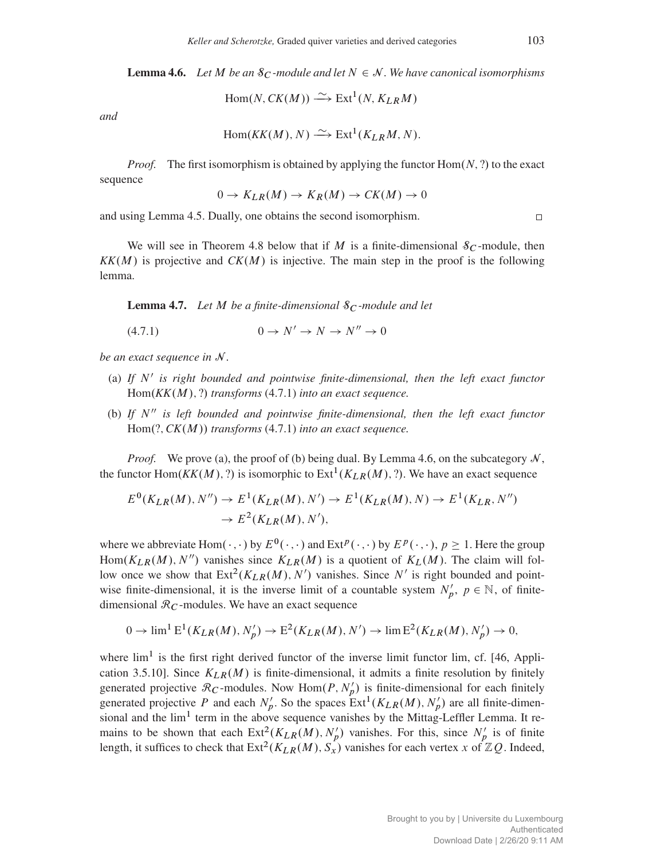<span id="page-18-1"></span>**Lemma 4.6.** Let M be an  $\mathcal{S}_C$ -module and let  $N \in \mathcal{N}$ . We have canonical isomorphisms

$$
\text{Hom}(N, CK(M)) \xrightarrow{\sim} \text{Ext}^1(N, K_{LR}M)
$$

*and*

$$
Hom(KK(M), N) \xrightarrow{\sim} Ext^{1}(K_{LR}M, N).
$$

*Proof.* The first isomorphism is obtained by applying the functor  $Hom(N, ?)$  to the exact sequence

$$
0 \to K_{LR}(M) \to K_R(M) \to CK(M) \to 0
$$

and using Lemma [4.5.](#page-17-1) Dually, one obtains the second isomorphism.

We will see in Theorem [4.8](#page-19-1) below that if M is a finite-dimensional  $\delta_C$ -module, then  $KK(M)$  is projective and  $CK(M)$  is injective. The main step in the proof is the following lemma.

<span id="page-18-2"></span>**Lemma 4.7.** Let M be a finite-dimensional  $\mathcal{S}_C$ -module and let

<span id="page-18-0"></span>
$$
(4.7.1) \t\t 0 \to N' \to N \to N'' \to 0
$$

*be an exact sequence in* N *.*

- (a) If  $N'$  is right bounded and pointwise finite-dimensional, then the left exact functor  $Hom(KK(M), ?)$  *transforms* [\(4.7.1\)](#page-18-0) *into an exact sequence.*
- (b) If  $N''$  is left bounded and pointwise finite-dimensional, then the left exact functor  $Hom(?, CK(M))$  *transforms*  $(4.7.1)$  *into an exact sequence.*

*Proof.* We prove (a), the proof of (b) being dual. By Lemma [4.6,](#page-18-1) on the subcategory  $\mathcal{N}$ , the functor  $Hom(KK(M), ?)$  is isomorphic to  $Ext^1(K_{LR}(M), ?)$ . We have an exact sequence

$$
E^{0}(K_{LR}(M), N'') \to E^{1}(K_{LR}(M), N') \to E^{1}(K_{LR}(M), N) \to E^{1}(K_{LR}, N'')
$$
  

$$
\to E^{2}(K_{LR}(M), N'),
$$

where we abbreviate Hom $(\cdot, \cdot)$  by  $E^0(\cdot, \cdot)$  and  $Ext^p(\cdot, \cdot)$  by  $E^p(\cdot, \cdot)$ ,  $p \ge 1$ . Here the group Hom $(K_{LR}(M), N'')$  vanishes since  $K_{LR}(M)$  is a quotient of  $K_L(M)$ . The claim will follow once we show that  $Ext^2(K_{LR}(M), N')$  vanishes. Since N' is right bounded and pointwise finite-dimensional, it is the inverse limit of a countable system  $N'_p$ ,  $p \in \mathbb{N}$ , of finitedimensional  $\mathcal{R}_C$ -modules. We have an exact sequence

$$
0 \to \lim^{1} E^{1}(K_{LR}(M), N'_{p}) \to E^{2}(K_{LR}(M), N') \to \lim E^{2}(K_{LR}(M), N'_{p}) \to 0,
$$

where  $\lim^1$  is the first right derived functor of the inverse limit functor lim, cf. [\[46,](#page-42-22) Application 3.5.10]. Since  $K_{LR}(M)$  is finite-dimensional, it admits a finite resolution by finitely generated projective  $\mathcal{R}_C$ -modules. Now Hom $(P, N_p')$  is finite-dimensional for each finitely generated projective P and each  $N'_p$ . So the spaces  $Ext^1(K_{LR}(M), N'_p)$  are all finite-dimensional and the  $lim<sup>1</sup>$  term in the above sequence vanishes by the Mittag-Leffler Lemma. It remains to be shown that each  $Ext^2(K_{LR}(M), N'_p)$  vanishes. For this, since  $N'_p$  is of finite length, it suffices to check that  $\text{Ext}^2(K_{LR}(M), S_x)$  vanishes for each vertex x of  $\mathbb{Z}Q$ . Indeed,

 $\Box$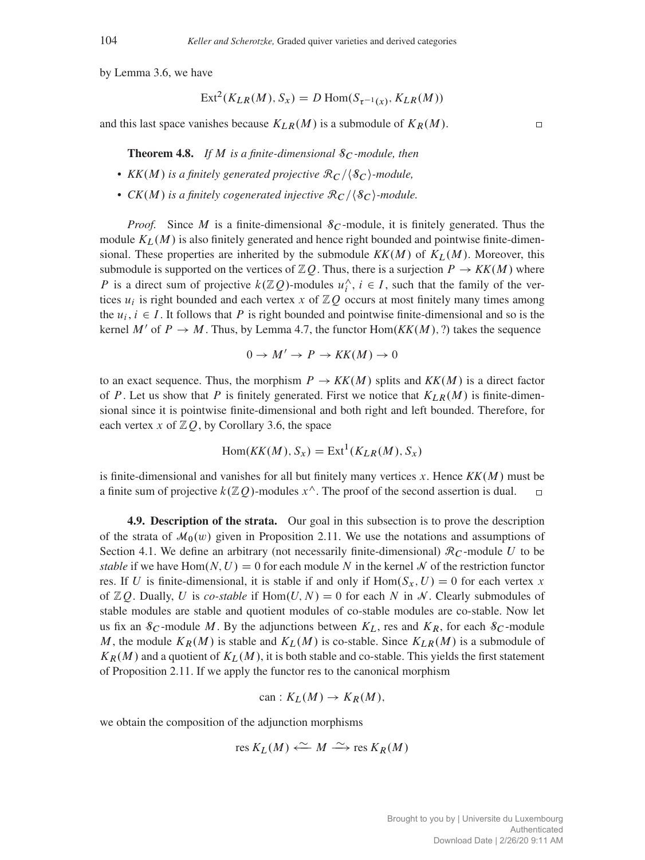by Lemma [3.6,](#page-12-2) we have

$$
Ext2(KLR(M), Sx) = D Hom(Sτ-1(x), KLR(M))
$$

<span id="page-19-1"></span>and this last space vanishes because  $K_{LR}(M)$  is a submodule of  $K_R(M)$ .

**Theorem 4.8.** If M is a finite-dimensional  $\mathcal{S}_C$ -module, then

- $KK(M)$  *is a finitely generated projective*  $\mathcal{R}_C$  / $\{S_C\}$ *-module,*
- $CK(M)$  *is a finitely cogenerated injective*  $\mathcal{R}_C/\langle \mathcal{S}_C \rangle$ *-module.*

*Proof.* Since M is a finite-dimensional  $\delta_C$ -module, it is finitely generated. Thus the module  $K_L(M)$  is also finitely generated and hence right bounded and pointwise finite-dimensional. These properties are inherited by the submodule  $KK(M)$  of  $K_L(M)$ . Moreover, this submodule is supported on the vertices of  $\mathbb{Z}Q$ . Thus, there is a surjection  $P \to KK(M)$  where P is a direct sum of projective  $k(\mathbb{Z}Q)$ -modules  $u_i^{\wedge}$  $i, i \in I$ , such that the family of the vertices  $u_i$  is right bounded and each vertex x of  $\mathbb{Z}Q$  occurs at most finitely many times among the  $u_i$ ,  $i \in I$ . It follows that P is right bounded and pointwise finite-dimensional and so is the kernel M' of  $P \to M$ . Thus, by Lemma [4.7,](#page-18-2) the functor Hom $(KK(M), ?)$  takes the sequence

$$
0 \to M' \to P \to KK(M) \to 0
$$

to an exact sequence. Thus, the morphism  $P \to KK(M)$  splits and  $KK(M)$  is a direct factor of P. Let us show that P is finitely generated. First we notice that  $K_{LR}(M)$  is finite-dimensional since it is pointwise finite-dimensional and both right and left bounded. Therefore, for each vertex x of  $\mathbb{Z}Q$ , by Corollary [3.6,](#page-12-2) the space

$$
Hom(KK(M), S_x) = Ext1(K_{LR}(M), S_x)
$$

is finite-dimensional and vanishes for all but finitely many vertices  $x$ . Hence  $KK(M)$  must be a finite sum of projective  $k(\mathbb{Z}Q)$ -modules  $x^{\wedge}$ . The proof of the second assertion is dual.

<span id="page-19-0"></span>4.9. Description of the strata. Our goal in this subsection is to prove the description of the strata of  $\mathcal{M}_0(w)$  given in Proposition [2.11.](#page-8-0) We use the notations and assumptions of Section [4.1.](#page-15-1) We define an arbitrary (not necessarily finite-dimensional)  $\mathcal{R}_C$ -module U to be *stable* if we have  $Hom(N, U) = 0$  for each module N in the kernel N of the restriction functor res. If U is finite-dimensional, it is stable if and only if  $Hom(S_x, U) = 0$  for each vertex x of  $\mathbb{Z}Q$ . Dually, U is *co-stable* if  $Hom(U, N) = 0$  for each N in N. Clearly submodules of stable modules are stable and quotient modules of co-stable modules are co-stable. Now let us fix an  $\mathcal{S}_C$ -module M. By the adjunctions between  $K_L$ , res and  $K_R$ , for each  $\mathcal{S}_C$ -module M, the module  $K_R(M)$  is stable and  $K_L(M)$  is co-stable. Since  $K_{LR}(M)$  is a submodule of  $K_R(M)$  and a quotient of  $K_L(M)$ , it is both stable and co-stable. This yields the first statement of Proposition [2.11.](#page-8-0) If we apply the functor res to the canonical morphism

$$
\mathrm{can}: K_L(M) \to K_R(M),
$$

we obtain the composition of the adjunction morphisms

res 
$$
K_L(M) \xleftarrow{\sim} M \xrightarrow{\sim}
$$
 res  $K_R(M)$ 

 $\Box$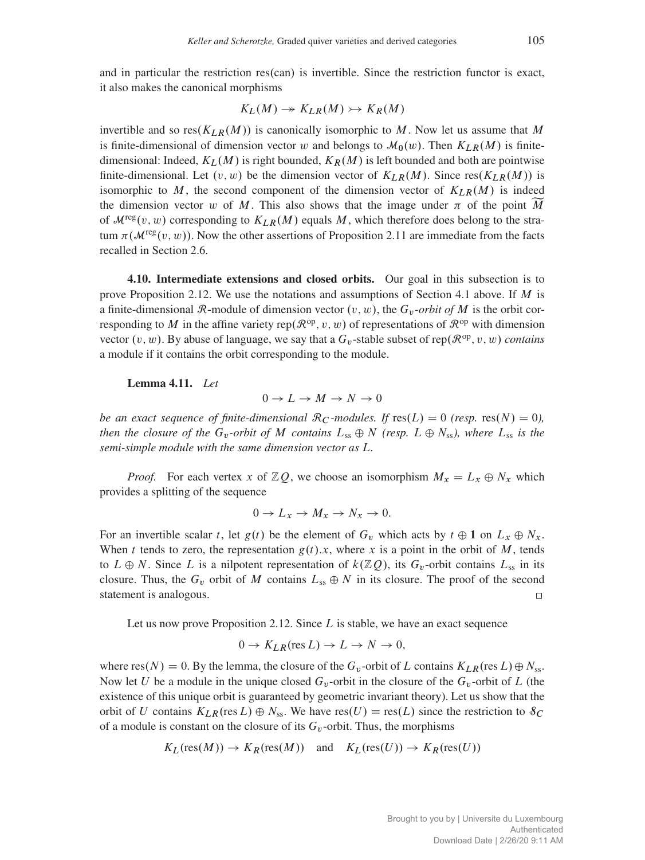and in particular the restriction res $(can)$  is invertible. Since the restriction functor is exact, it also makes the canonical morphisms

$$
K_L(M) \to K_{LR}(M) \to K_R(M)
$$

invertible and so res $(K_{LR}(M))$  is canonically isomorphic to M. Now let us assume that M is finite-dimensional of dimension vector w and belongs to  $\mathcal{M}_0(w)$ . Then  $K_{LR}(M)$  is finitedimensional: Indeed,  $K_L(M)$  is right bounded,  $K_R(M)$  is left bounded and both are pointwise finite-dimensional. Let  $(v, w)$  be the dimension vector of  $K_{LR}(M)$ . Since  $res(K_{LR}(M))$  is isomorphic to M, the second component of the dimension vector of  $K_{LR}(M)$  is indeed the dimension vector w of M. This also shows that the image under  $\pi$  of the point M of  $\mathcal{M}^{\text{reg}}(v, w)$  corresponding to  $K_{LR}(M)$  equals M, which therefore does belong to the stratum  $\pi(\mathcal{M}^{\text{reg}}(v, w))$ . Now the other assertions of Proposition [2.11](#page-8-0) are immediate from the facts recalled in Section [2.6.](#page-6-0)

<span id="page-20-0"></span>4.10. Intermediate extensions and closed orbits. Our goal in this subsection is to prove Proposition [2.12.](#page-8-1) We use the notations and assumptions of Section [4.1](#page-15-1) above. If  $M$  is a finite-dimensional R-module of dimension vector  $(v, w)$ , the  $G_v$ -*orbit of* M is the orbit corresponding to M in the affine variety rep $(\mathcal{R}^{\text{op}}, v, w)$  of representations of  $\mathcal{R}^{\text{op}}$  with dimension vector  $(v, w)$ . By abuse of language, we say that a  $G_v$ -stable subset of rep $(\mathcal{R}^{\text{op}}, v, w)$  *contains* a module if it contains the orbit corresponding to the module.

Lemma 4.11. *Let*

 $0 \to L \to M \to N \to 0$ 

*be an exact sequence of finite-dimensional*  $\mathcal{R}_C$ *-modules. If*  $res(L) = 0$  *(resp.*  $res(N) = 0$ *), then the closure of the*  $G_v$ -orbit of M *contains*  $L_{ss} \oplus N$  *(resp.*  $L \oplus N_{ss}$ *), where*  $L_{ss}$  *is the semi-simple module with the same dimension vector as* L*.*

*Proof.* For each vertex x of  $\mathbb{Z}Q$ , we choose an isomorphism  $M_x = L_x \oplus N_x$  which provides a splitting of the sequence

$$
0 \to L_x \to M_x \to N_x \to 0.
$$

For an invertible scalar t, let  $g(t)$  be the element of  $G_v$  which acts by  $t \oplus 1$  on  $L_x \oplus N_x$ . When t tends to zero, the representation  $g(t)$ .x, where x is a point in the orbit of M, tends to  $L \oplus N$ . Since L is a nilpotent representation of  $k(\mathbb{Z}Q)$ , its  $G_v$ -orbit contains  $L_{ss}$  in its closure. Thus, the  $G_v$  orbit of M contains  $L_{ss} \oplus N$  in its closure. The proof of the second statement is analogous.  $\Box$ 

Let us now prove Proposition [2.12.](#page-8-1) Since  $L$  is stable, we have an exact sequence

$$
0 \to K_{LR}(\text{res } L) \to L \to N \to 0,
$$

where res $(N) = 0$ . By the lemma, the closure of the  $G_v$ -orbit of L contains  $K_{LR}$ (res L)  $\oplus N_{ss}$ . Now let U be a module in the unique closed  $G_v$ -orbit in the closure of the  $G_v$ -orbit of L (the existence of this unique orbit is guaranteed by geometric invariant theory). Let us show that the orbit of U contains  $K_{LR}$ (res L)  $\oplus N_{ss}$ . We have res $(U)$  = res $(L)$  since the restriction to  $\mathcal{S}_C$ of a module is constant on the closure of its  $G_v$ -orbit. Thus, the morphisms

$$
K_L(\text{res}(M)) \to K_R(\text{res}(M))
$$
 and  $K_L(\text{res}(U)) \to K_R(\text{res}(U))$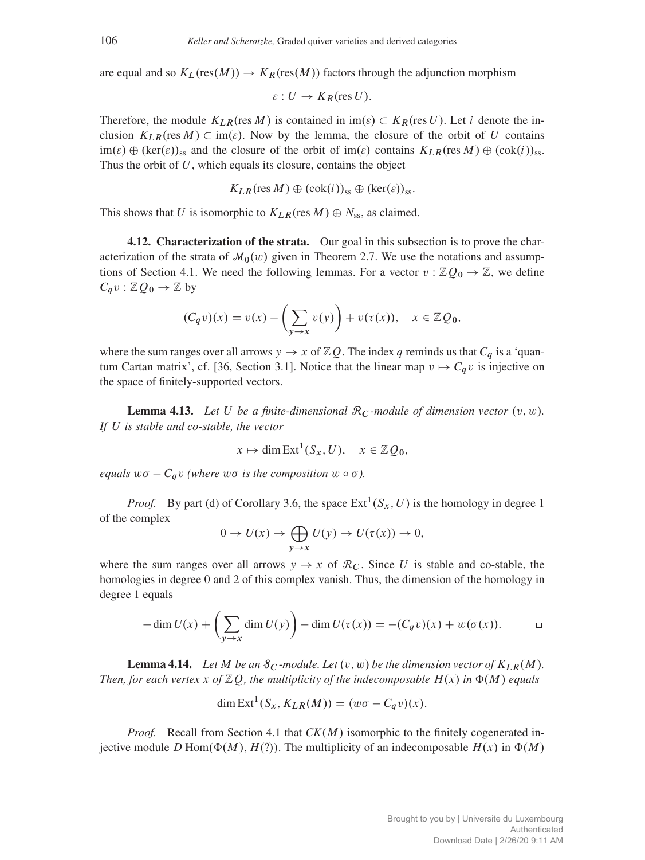are equal and so  $K_L(res(M)) \to K_R(res(M))$  factors through the adjunction morphism

$$
\varepsilon: U \to K_R(\text{res } U).
$$

Therefore, the module  $K_{LR}$ (res M) is contained in im( $\varepsilon$ )  $\subset K_R$ (res U). Let i denote the inclusion  $K_{LR}$ (res  $M$ )  $\subset$  im( $\varepsilon$ ). Now by the lemma, the closure of the orbit of U contains  $\text{im}(\varepsilon) \oplus (\text{ker}(\varepsilon))_{ss}$  and the closure of the orbit of  $\text{im}(\varepsilon)$  contains  $K_{LR}(\text{res }M) \oplus (\text{cok}(i))_{ss}$ . Thus the orbit of  $U$ , which equals its closure, contains the object

$$
K_{LR}(\text{res }M)\oplus(\text{cok}(i))_{ss}\oplus(\text{ker}(\varepsilon))_{ss}.
$$

This shows that U is isomorphic to  $K_{LR}$  (res  $M$ )  $\oplus$   $N_{ss}$ , as claimed.

<span id="page-21-0"></span>4.12. Characterization of the strata. Our goal in this subsection is to prove the characterization of the strata of  $\mathcal{M}_0(w)$  given in Theorem [2.7.](#page-7-1) We use the notations and assump-tions of Section [4.1.](#page-15-1) We need the following lemmas. For a vector  $v : \mathbb{Z}Q_0 \to \mathbb{Z}$ , we define  $C_q v : \mathbb{Z} Q_0 \to \mathbb{Z}$  by

$$
(C_q v)(x) = v(x) - \left(\sum_{y \to x} v(y)\right) + v(\tau(x)), \quad x \in \mathbb{Z}Q_0,
$$

where the sum ranges over all arrows  $y \to x$  of  $\mathbb{Z}Q$ . The index q reminds us that  $C_q$  is a 'quan-tum Cartan matrix', cf. [\[36,](#page-42-2) Section 3.1]. Notice that the linear map  $v \mapsto C_qv$  is injective on the space of finitely-supported vectors.

<span id="page-21-1"></span>**Lemma 4.13.** Let U be a finite-dimensional  $\mathcal{R}_C$ -module of dimension vector  $(v, w)$ . *If* U *is stable and co-stable, the vector*

$$
x \mapsto \dim \operatorname{Ext}^1(S_x, U), \quad x \in \mathbb{Z}Q_0,
$$

*equals*  $w\sigma - C_q v$  *(where wo is the composition*  $w \circ \sigma$ *).* 

*Proof.* By part (d) of Corollary [3.6,](#page-12-2) the space  $Ext^1(S_x, U)$  is the homology in degree 1 of the complex

$$
0 \to U(x) \to \bigoplus_{y \to x} U(y) \to U(\tau(x)) \to 0,
$$

where the sum ranges over all arrows  $y \rightarrow x$  of  $\mathcal{R}_C$ . Since U is stable and co-stable, the homologies in degree 0 and 2 of this complex vanish. Thus, the dimension of the homology in degree 1 equals

$$
-\dim U(x) + \left(\sum_{y \to x} \dim U(y)\right) - \dim U(\tau(x)) = -(C_q v)(x) + w(\sigma(x)). \qquad \Box
$$

<span id="page-21-2"></span>**Lemma 4.14.** Let M be an  $\mathcal{S}_C$ -module. Let  $(v, w)$  be the dimension vector of  $K_{LR}(M)$ . *Then, for each vertex* x of  $\mathbb{Z}Q$ *, the multiplicity of the indecomposable*  $H(x)$  *in*  $\Phi(M)$  *equals* 

$$
\dim \text{Ext}^1(S_x, K_{LR}(M)) = (w\sigma - C_q v)(x).
$$

*Proof.* Recall from Section [4.1](#page-15-1) that  $CK(M)$  isomorphic to the finitely cogenerated injective module D Hom $(\Phi(M), H(?)$ . The multiplicity of an indecomposable  $H(x)$  in  $\Phi(M)$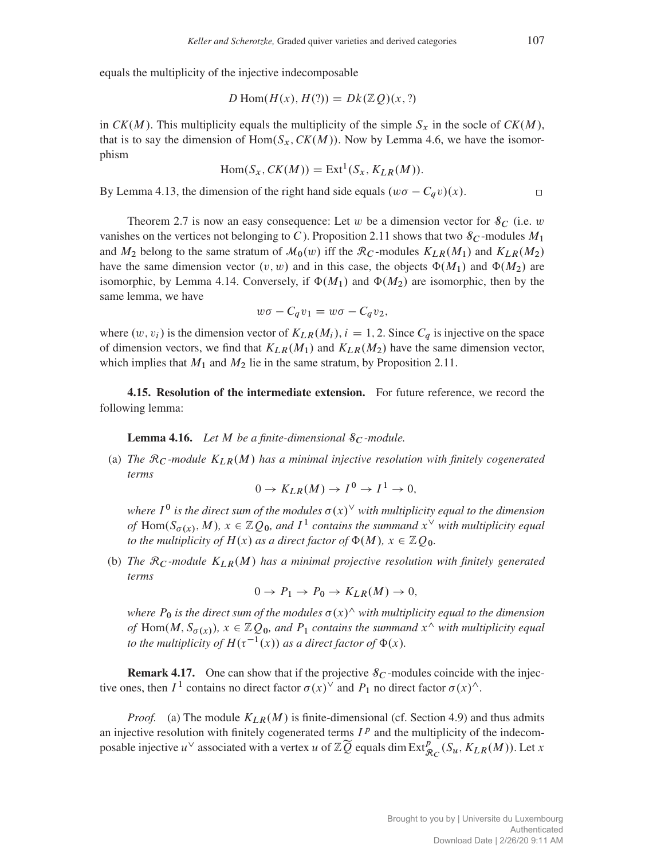equals the multiplicity of the injective indecomposable

$$
D\operatorname{Hom}(H(x), H(?) = Dk(\mathbb{Z}Q)(x, ?)
$$

in  $CK(M)$ . This multiplicity equals the multiplicity of the simple  $S_x$  in the socle of  $CK(M)$ , that is to say the dimension of Hom $(S_x, CK(M))$ . Now by Lemma [4.6,](#page-18-1) we have the isomorphism

$$
Hom(S_x, CK(M)) = Ext1(S_x, K_{LR}(M)).
$$

By Lemma [4.13,](#page-21-1) the dimension of the right hand side equals  $(w\sigma - C_qv)(x)$ .

Theorem [2.7](#page-7-1) is now an easy consequence: Let w be a dimension vector for  $\mathcal{S}_C$  (i.e. w vanishes on the vertices not belonging to C). Proposition [2.11](#page-8-0) shows that two  $\mathcal{S}_C$ -modules  $M_1$ and  $M_2$  belong to the same stratum of  $\mathcal{M}_0(w)$  iff the  $\mathcal{R}_C$ -modules  $K_{LR}(M_1)$  and  $K_{LR}(M_2)$ have the same dimension vector  $(v, w)$  and in this case, the objects  $\Phi(M_1)$  and  $\Phi(M_2)$  are isomorphic, by Lemma [4.14.](#page-21-2) Conversely, if  $\Phi(M_1)$  and  $\Phi(M_2)$  are isomorphic, then by the same lemma, we have

$$
w\sigma - C_q v_1 = w\sigma - C_q v_2,
$$

where  $(w, v_i)$  is the dimension vector of  $K_{LR}(M_i)$ ,  $i = 1, 2$ . Since  $C_q$  is injective on the space of dimension vectors, we find that  $K_{LR}(M_1)$  and  $K_{LR}(M_2)$  have the same dimension vector, which implies that  $M_1$  and  $M_2$  lie in the same stratum, by Proposition [2.11.](#page-8-0)

4.15. Resolution of the intermediate extension. For future reference, we record the following lemma:

**Lemma 4.16.** *Let*  $M$  *be a finite-dimensional*  $\mathcal{S}_C$ *-module.* 

(a) *The*  $\mathcal{R}_C$ *-module*  $K_{LR}(M)$  *has a minimal injective resolution with finitely cogenerated terms*

 $0 \to K_{LR}(M) \to I^0 \to I^1 \to 0,$ 

where  $I^0$  is the direct sum of the modules  $\sigma(x)^\vee$  with multiplicity equal to the dimension of  $\text{Hom}(S_{\sigma(x)}, M)$ ,  $x \in \mathbb{Z}Q_0$ , and  $I^1$  contains the summand  $x^{\vee}$  with multiplicity equal *to the multiplicity of*  $H(x)$  *as a direct factor of*  $\Phi(M)$ *,*  $x \in \mathbb{Z}Q_0$ *.* 

(b) *The*  $\mathcal{R}_C$ *-module*  $K_{LR}(M)$  *has a minimal projective resolution with finitely generated terms*

$$
0 \to P_1 \to P_0 \to K_{LR}(M) \to 0,
$$

*where*  $P_0$  *is the direct sum of the modules*  $\sigma(x)^\wedge$  *with multiplicity equal to the dimension* of  $\text{Hom}(M, S_{\sigma(x)})$ ,  $x \in \mathbb{Z}Q_0$ , and  $P_1$  contains the summand  $x^{\wedge}$  with multiplicity equal to the multiplicity of  $H(\tau^{-1}(x))$  as a direct factor of  $\Phi(x)$ *.* 

**Remark 4.17.** One can show that if the projective  $\mathcal{S}_C$ -modules coincide with the injective ones, then  $I^1$  contains no direct factor  $\sigma(x)^\vee$  and  $P_1$  no direct factor  $\sigma(x)^\wedge$ .

*Proof.* (a) The module  $K_{LR}(M)$  is finite-dimensional (cf. Section [4.9\)](#page-19-0) and thus admits an injective resolution with finitely cogenerated terms  $I<sup>p</sup>$  and the multiplicity of the indecomposable injective  $u^{\vee}$  associated with a vertex u of  $\mathbb{Z}\widetilde{Q}$  equals dim  $\text{Ext}^p_{\mathcal{R}_C}(S_u, K_{LR}(M))$ . Let x

 $\Box$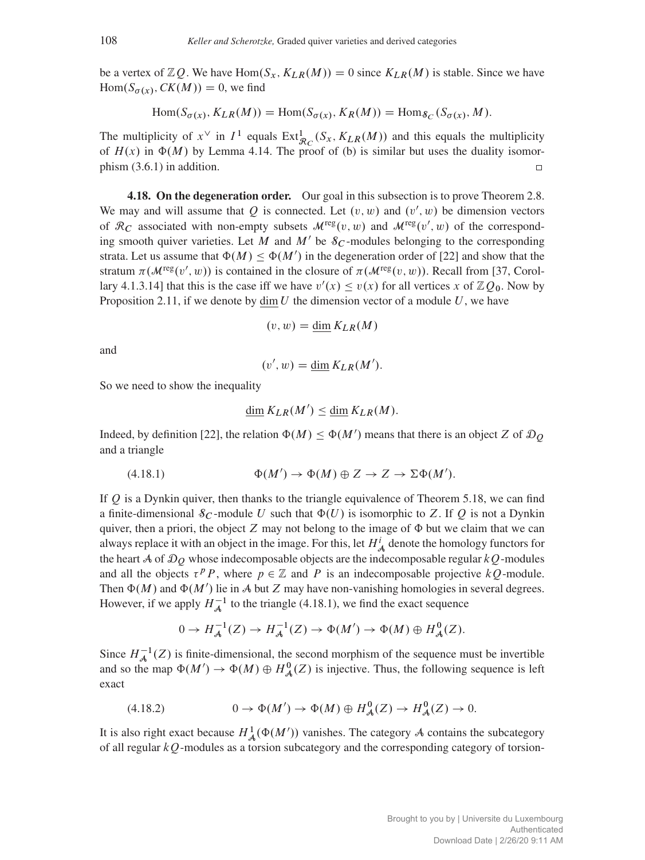be a vertex of  $\mathbb{Z}Q$ . We have  $\text{Hom}(S_x, K_{LR}(M)) = 0$  since  $K_{LR}(M)$  is stable. Since we have  $Hom(S_{\sigma(x)}, CK(M)) = 0$ , we find

$$
\text{Hom}(S_{\sigma(x)}, K_{LR}(M)) = \text{Hom}(S_{\sigma(x)}, K_R(M)) = \text{Hom}_{\mathcal{S}_C}(S_{\sigma(x)}, M).
$$

The multiplicity of  $x^{\vee}$  in  $I^1$  equals  $\text{Ext}^1_{\mathcal{R}_C}(S_x, K_{LR}(M))$  and this equals the multiplicity of  $H(x)$  in  $\Phi(M)$  by Lemma [4.14.](#page-21-2) The proof of (b) is similar but uses the duality isomorphism [\(3.6.1\)](#page-12-3) in addition.  $\Box$ 

<span id="page-23-0"></span>4.18. On the degeneration order. Our goal in this subsection is to prove Theorem [2.8.](#page-7-0) We may and will assume that Q is connected. Let  $(v, w)$  and  $(v', w)$  be dimension vectors of  $\mathcal{R}_C$  associated with non-empty subsets  $\mathcal{M}^{\text{reg}}(v,w)$  and  $\mathcal{M}^{\text{reg}}(v',w)$  of the corresponding smooth quiver varieties. Let M and M' be  $\mathcal{S}_C$ -modules belonging to the corresponding strata. Let us assume that  $\Phi(M) \leq \Phi(M')$  in the degeneration order of [\[22\]](#page-42-17) and show that the stratum  $\pi(\mathcal{M}^{\text{reg}}(v', w))$  is contained in the closure of  $\pi(\mathcal{M}^{\text{reg}}(v, w))$ . Recall from [\[37,](#page-42-4) Corollary 4.1.3.14] that this is the case iff we have  $v'(x) \le v(x)$  for all vertices x of  $\mathbb{Z}Q_0$ . Now by Proposition [2.11,](#page-8-0) if we denote by dim U the dimension vector of a module U, we have

$$
(v, w) = \underline{\dim} K_{LR}(M)
$$

and

$$
(v', w) = \underline{\dim} K_{LR}(M').
$$

So we need to show the inequality

<span id="page-23-1"></span>
$$
\underline{\dim} K_{LR}(M') \le \underline{\dim} K_{LR}(M).
$$

Indeed, by definition [\[22\]](#page-42-17), the relation  $\Phi(M) \leq \Phi(M')$  means that there is an object Z of  $\mathcal{D}_{Q}$ and a triangle

(4.18.1) 
$$
\Phi(M') \to \Phi(M) \oplus Z \to Z \to \Sigma \Phi(M').
$$

If  $Q$  is a Dynkin quiver, then thanks to the triangle equivalence of Theorem [5.18,](#page-35-0) we can find a finite-dimensional  $\mathcal{S}_C$ -module U such that  $\Phi(U)$  is isomorphic to Z. If Q is not a Dynkin quiver, then a priori, the object  $Z$  may not belong to the image of  $\Phi$  but we claim that we can always replace it with an object in the image. For this, let  $H^i_{\mathcal{A}}$  denote the homology functors for the heart A of  $\mathcal{D}_Q$  whose indecomposable objects are the indecomposable regular  $kQ$ -modules and all the objects  $\tau^p P$ , where  $p \in \mathbb{Z}$  and P is an indecomposable projective  $kQ$ -module. Then  $\Phi(M)$  and  $\Phi(M')$  lie in A but Z may have non-vanishing homologies in several degrees. However, if we apply  $H_{\mathcal{A}}^{-1}$  to the triangle [\(4.18.1\)](#page-23-1), we find the exact sequence

<span id="page-23-2"></span>
$$
0 \to H^{-1}_{\mathcal{A}}(Z) \to H^{-1}_{\mathcal{A}}(Z) \to \Phi(M') \to \Phi(M) \oplus H^0_{\mathcal{A}}(Z).
$$

Since  $H_A^{-1}(Z)$  is finite-dimensional, the second morphism of the sequence must be invertible and so the map  $\Phi(M') \to \Phi(M) \oplus H^0_{\mathcal{A}}(Z)$  is injective. Thus, the following sequence is left exact

$$
(4.18.2) \qquad \qquad 0 \to \Phi(M') \to \Phi(M) \oplus H^0_{\mathcal{A}}(Z) \to H^0_{\mathcal{A}}(Z) \to 0.
$$

It is also right exact because  $H^1_{\mathcal{A}}(\Phi(M'))$  vanishes. The category A contains the subcategory of all regular  $kQ$ -modules as a torsion subcategory and the corresponding category of torsion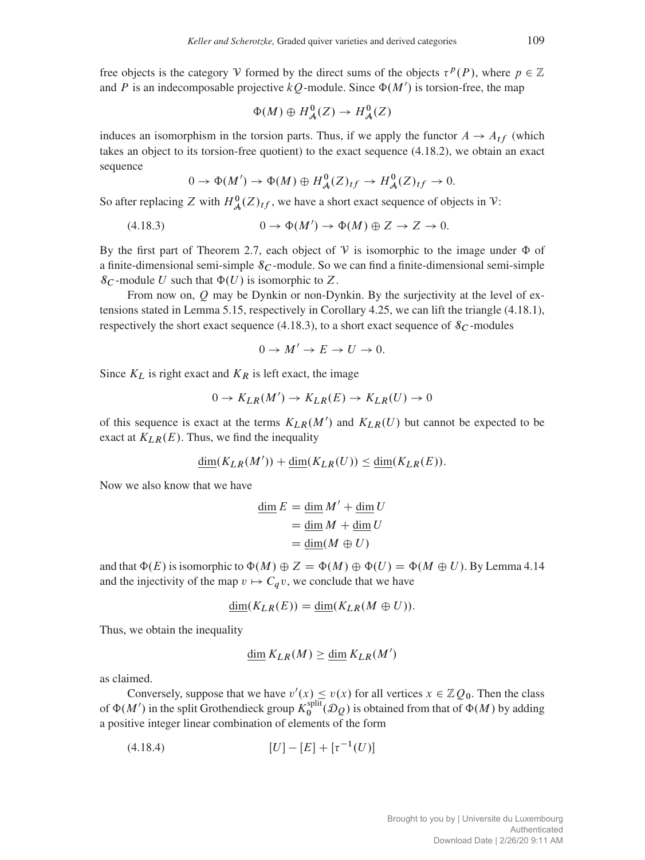free objects is the category V formed by the direct sums of the objects  $\tau^p(P)$ , where  $p \in \mathbb{Z}$ and P is an indecomposable projective  $kQ$ -module. Since  $\Phi(M')$  is torsion-free, the map

$$
\Phi(M) \oplus H^0_{\mathcal{A}}(Z) \to H^0_{\mathcal{A}}(Z)
$$

induces an isomorphism in the torsion parts. Thus, if we apply the functor  $A \rightarrow A_{tf}$  (which takes an object to its torsion-free quotient) to the exact sequence [\(4.18.2\)](#page-23-2), we obtain an exact sequence

<span id="page-24-0"></span>
$$
0 \to \Phi(M') \to \Phi(M) \oplus H^0_{\mathcal{A}}(Z)_{tf} \to H^0_{\mathcal{A}}(Z)_{tf} \to 0.
$$

So after replacing Z with  $H^0_{\mathcal{A}}(Z)_{tf}$ , we have a short exact sequence of objects in V:

$$
(4.18.3) \t 0 \to \Phi(M') \to \Phi(M) \oplus Z \to Z \to 0.
$$

By the first part of Theorem [2.7,](#page-7-1) each object of  $V$  is isomorphic to the image under  $\Phi$  of a finite-dimensional semi-simple  $\delta_C$ -module. So we can find a finite-dimensional semi-simple  $\mathcal{S}_C$ -module U such that  $\Phi(U)$  is isomorphic to Z.

From now on,  $Q$  may be Dynkin or non-Dynkin. By the surjectivity at the level of extensions stated in Lemma [5.15,](#page-34-1) respectively in Corollary [4.25,](#page-27-0) we can lift the triangle [\(4.18.1\)](#page-23-1), respectively the short exact sequence [\(4.18.3\)](#page-24-0), to a short exact sequence of  $\mathcal{S}_C$ -modules

$$
0 \to M' \to E \to U \to 0.
$$

Since  $K_L$  is right exact and  $K_R$  is left exact, the image

$$
0 \to K_{LR}(M') \to K_{LR}(E) \to K_{LR}(U) \to 0
$$

of this sequence is exact at the terms  $K_{LR}(M')$  and  $K_{LR}(U)$  but cannot be expected to be exact at  $K_{LR}(E)$ . Thus, we find the inequality

$$
\underline{\dim}(K_{LR}(M')) + \underline{\dim}(K_{LR}(U)) \le \underline{\dim}(K_{LR}(E)).
$$

Now we also know that we have

$$
\frac{\dim E = \dim M' + \dim U}{\dim M + \dim U}
$$

$$
= \frac{\dim M + \dim U}{\dim (M \oplus U)}
$$

and that  $\Phi(E)$  is isomorphic to  $\Phi(M) \oplus Z = \Phi(M) \oplus \Phi(U) = \Phi(M \oplus U)$ . By Lemma [4.14](#page-21-2) and the injectivity of the map  $v \mapsto C_qv$ , we conclude that we have

$$
\underline{\dim}(K_{LR}(E)) = \underline{\dim}(K_{LR}(M \oplus U)).
$$

Thus, we obtain the inequality

<span id="page-24-1"></span>
$$
\underline{\dim}\, K_{LR}(M) \ge \underline{\dim}\, K_{LR}(M')
$$

as claimed.

Conversely, suppose that we have  $v'(x) \le v(x)$  for all vertices  $x \in \mathbb{Z}Q_0$ . Then the class of  $\Phi(M')$  in the split Grothendieck group  $K_0^{\text{split}}$  $\mathcal{O}_0^{\text{spm}}(\mathcal{D}_Q)$  is obtained from that of  $\Phi(M)$  by adding a positive integer linear combination of elements of the form

$$
(4.18.4) \t\t [U] - [E] + [\tau^{-1}(U)]
$$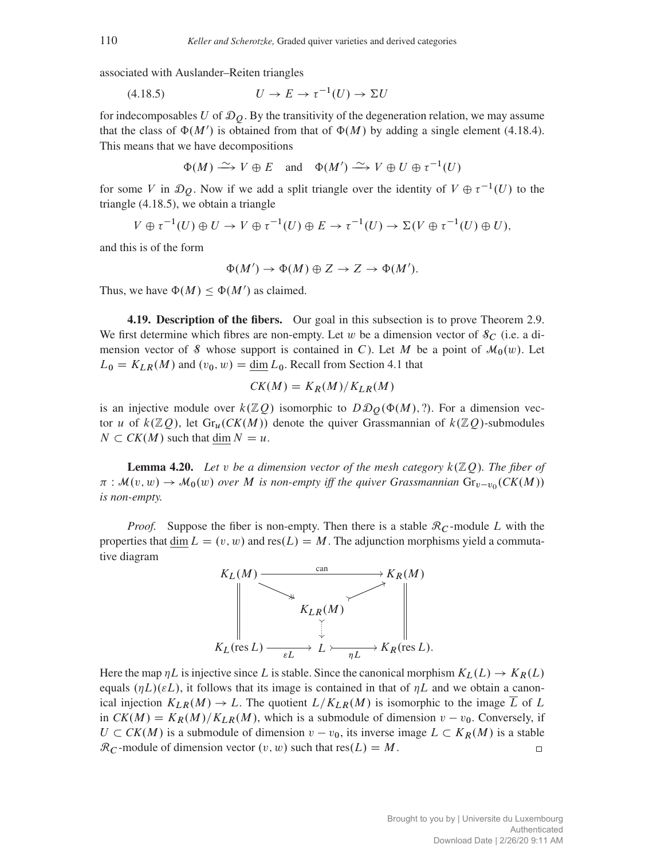associated with Auslander–Reiten triangles

$$
(4.18.5) \t\t\t U \to E \to \tau^{-1}(U) \to \Sigma U
$$

for indecomposables U of  $\mathcal{D}_0$ . By the transitivity of the degeneration relation, we may assume that the class of  $\Phi(M')$  is obtained from that of  $\Phi(M)$  by adding a single element [\(4.18.4\)](#page-24-1). This means that we have decompositions

<span id="page-25-1"></span>
$$
\Phi(M) \xrightarrow{\sim} V \oplus E
$$
 and  $\Phi(M') \xrightarrow{\sim} V \oplus U \oplus \tau^{-1}(U)$ 

for some V in  $\mathcal{D}_Q$ . Now if we add a split triangle over the identity of  $V \oplus \tau^{-1}(U)$  to the triangle [\(4.18.5\)](#page-25-1), we obtain a triangle

$$
V \oplus \tau^{-1}(U) \oplus U \to V \oplus \tau^{-1}(U) \oplus E \to \tau^{-1}(U) \to \Sigma(V \oplus \tau^{-1}(U) \oplus U),
$$

and this is of the form

$$
\Phi(M') \to \Phi(M) \oplus Z \to Z \to \Phi(M').
$$

Thus, we have  $\Phi(M) \leq \Phi(M')$  as claimed.

<span id="page-25-0"></span>4.19. Description of the fibers. Our goal in this subsection is to prove Theorem [2.9.](#page-7-2) We first determine which fibres are non-empty. Let w be a dimension vector of  $\mathcal{S}_C$  (i.e. a dimension vector of S whose support is contained in C). Let M be a point of  $\mathcal{M}_0(w)$ . Let  $L_0 = K_{LR}(M)$  and  $(v_0, w) = \underline{\dim} L_0$ . Recall from Section [4.1](#page-15-1) that

$$
CK(M) = K_R(M)/K_{LR}(M)
$$

is an injective module over  $k(\mathbb{Z}Q)$  isomorphic to  $D\mathcal{D}_O(\Phi(M), ?)$ . For a dimension vector u of  $k(\mathbb{Z}Q)$ , let  $Gr_u(CK(M))$  denote the quiver Grassmannian of  $k(\mathbb{Z}Q)$ -submodules  $N \subset CK(M)$  such that dim  $N = u$ .

<span id="page-25-2"></span>**Lemma 4.20.** Let v be a dimension vector of the mesh category  $k(\mathbb{Z}Q)$ . The fiber of  $\pi : \mathcal{M}(v, w) \to \mathcal{M}_0(w)$  over M is non-empty iff the quiver Grassmannian  $\text{Gr}_{v-v_0}(CK(M))$ *is non-empty.*

*Proof.* Suppose the fiber is non-empty. Then there is a stable  $\mathcal{R}_C$ -module L with the properties that dim  $L = (v, w)$  and res $(L) = M$ . The adjunction morphisms yield a commutative diagram



Here the map  $\eta L$  is injective since L is stable. Since the canonical morphism  $K_L(L) \to K_R(L)$ equals  $(\eta L)(\varepsilon L)$ , it follows that its image is contained in that of  $\eta L$  and we obtain a canonical injection  $K_{LR}(M) \to L$ . The quotient  $L/K_{LR}(M)$  is isomorphic to the image  $\overline{L}$  of  $L$ in  $CK(M) = K_R(M)/K_{LR}(M)$ , which is a submodule of dimension  $v - v_0$ . Conversely, if  $U \subset CK(M)$  is a submodule of dimension  $v - v_0$ , its inverse image  $L \subset K_R(M)$  is a stable  $\mathcal{R}_C$ -module of dimension vector  $(v, w)$  such that res $(L) = M$ .  $\Box$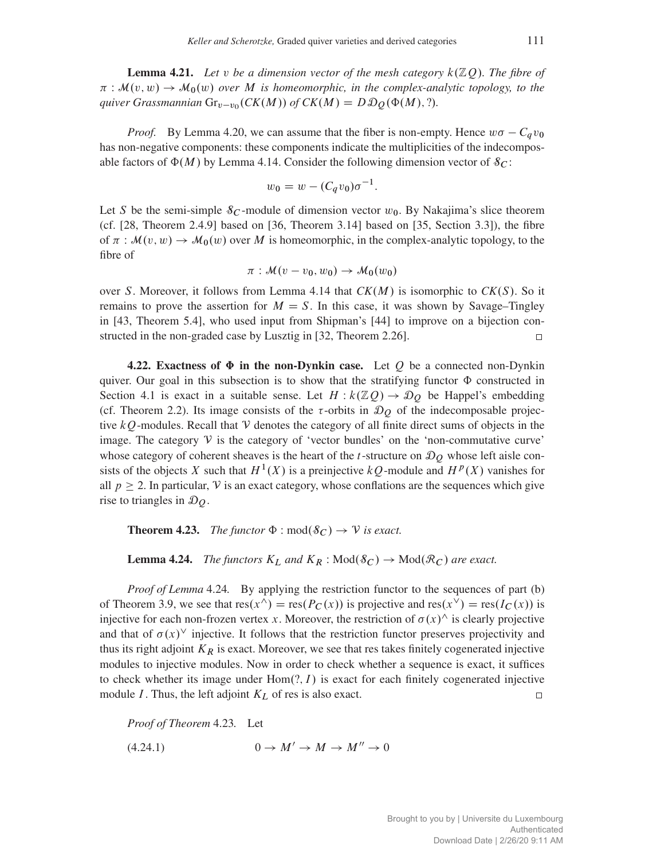**Lemma 4.21.** Let v be a dimension vector of the mesh category  $k(\mathbb{Z}Q)$ . The fibre of  $\pi : \mathcal{M}(v, w) \to \mathcal{M}_0(w)$  over M is homeomorphic, in the complex-analytic topology, to the quiver Grassmannian  $\text{Gr}_{v-v_0}(CK(M))$  of  $CK(M) = D \mathcal{D}_Q(\Phi(M), ?)$ .

*Proof.* By Lemma [4.20,](#page-25-2) we can assume that the fiber is non-empty. Hence  $w\sigma - C_qv_0$ has non-negative components: these components indicate the multiplicities of the indecomposable factors of  $\Phi(M)$  by Lemma [4.14.](#page-21-2) Consider the following dimension vector of  $\mathcal{S}_C$ :

$$
w_0 = w - (C_q v_0) \sigma^{-1}.
$$

Let S be the semi-simple  $\delta_C$ -module of dimension vector  $w_0$ . By Nakajima's slice theorem (cf. [\[28,](#page-42-6) Theorem 2.4.9] based on [\[36,](#page-42-2) Theorem 3.14] based on [\[35,](#page-42-0) Section 3.3]), the fibre of  $\pi : \mathcal{M}(v, w) \to \mathcal{M}_0(w)$  over M is homeomorphic, in the complex-analytic topology, to the fibre of

$$
\pi: \mathcal{M}(v-v_0,w_0) \to \mathcal{M}_0(w_0)
$$

over S. Moreover, it follows from Lemma [4.14](#page-21-2) that  $CK(M)$  is isomorphic to  $CK(S)$ . So it remains to prove the assertion for  $M = S$ . In this case, it was shown by Savage–Tingley in [\[43,](#page-42-9) Theorem 5.4], who used input from Shipman's [\[44\]](#page-42-10) to improve on a bijection constructed in the non-graded case by Lusztig in [\[32,](#page-42-8) Theorem 2.26].  $\Box$ 

<span id="page-26-0"></span>4.22. Exactness of  $\Phi$  in the non-Dynkin case. Let Q be a connected non-Dynkin quiver. Our goal in this subsection is to show that the stratifying functor  $\Phi$  constructed in Section [4.1](#page-15-1) is exact in a suitable sense. Let  $H : k(\mathbb{Z}Q) \to \mathcal{D}_Q$  be Happel's embedding (cf. Theorem [2.2\)](#page-3-1). Its image consists of the  $\tau$ -orbits in  $\mathcal{D}_O$  of the indecomposable projective  $kQ$ -modules. Recall that V denotes the category of all finite direct sums of objects in the image. The category  $V$  is the category of 'vector bundles' on the 'non-commutative curve' whose category of coherent sheaves is the heart of the *t*-structure on  $\mathcal{D}_Q$  whose left aisle consists of the objects X such that  $H^1(X)$  is a preinjective  $kQ$ -module and  $H^p(X)$  vanishes for all  $p \ge 2$ . In particular, V is an exact category, whose conflations are the sequences which give rise to triangles in  $\mathcal{D}_Q$ .

<span id="page-26-2"></span>**Theorem 4.23.** *The functor*  $\Phi$  :  $\text{mod}(\mathcal{S}_C) \rightarrow \mathcal{V}$  *is exact.* 

<span id="page-26-1"></span>**Lemma 4.24.** *The functors*  $K_L$  *and*  $K_R$  :  $Mod(\mathcal{S}_C) \rightarrow Mod(\mathcal{R}_C)$  *are exact.* 

*Proof of Lemma* [4.24](#page-26-1). By applying the restriction functor to the sequences of part (b) of Theorem [3.9,](#page-14-0) we see that  $res(x^{\wedge}) = res(P_C(x))$  is projective and  $res(x^{\vee}) = res(I_C(x))$  is injective for each non-frozen vertex x. Moreover, the restriction of  $\sigma(x)$  is clearly projective and that of  $\sigma(x)$ <sup>V</sup> injective. It follows that the restriction functor preserves projectivity and thus its right adjoint  $K_R$  is exact. Moreover, we see that res takes finitely cogenerated injective modules to injective modules. Now in order to check whether a sequence is exact, it suffices to check whether its image under  $Hom(?, I)$  is exact for each finitely cogenerated injective module  $I$ . Thus, the left adjoint  $K_L$  of res is also exact.  $\Box$ 

*Proof of Theorem* [4.23](#page-26-2)*.* Let

<span id="page-26-3"></span>(4.24.1)  $0 \rightarrow M' \rightarrow M \rightarrow M'' \rightarrow 0$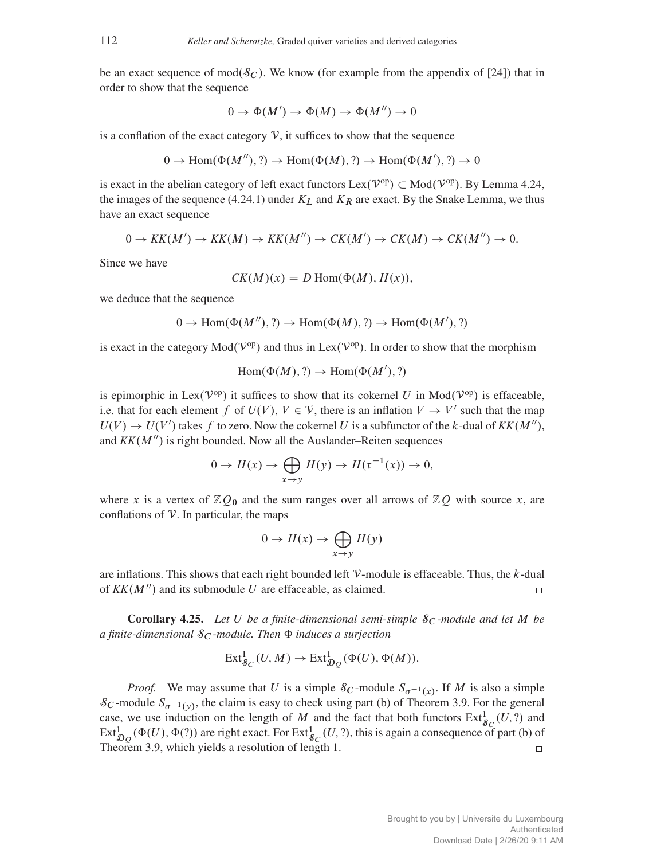be an exact sequence of mod $(\mathcal{S}_C)$ . We know (for example from the appendix of [\[24\]](#page-42-23)) that in order to show that the sequence

$$
0 \to \Phi(M') \to \Phi(M) \to \Phi(M'') \to 0
$$

is a conflation of the exact category  $V$ , it suffices to show that the sequence

$$
0 \to \text{Hom}(\Phi(M''), ?) \to \text{Hom}(\Phi(M), ?) \to \text{Hom}(\Phi(M'), ?) \to 0
$$

is exact in the abelian category of left exact functors  $Lex(V^{op}) \subset Mod(V^{op})$ . By Lemma [4.24,](#page-26-1) the images of the sequence [\(4.24.1\)](#page-26-3) under  $K_L$  and  $K_R$  are exact. By the Snake Lemma, we thus have an exact sequence

$$
0 \to KK(M') \to KK(M) \to KK(M'') \to CK(M') \to CK(M) \to CK(M'') \to 0.
$$

Since we have

$$
CK(M)(x) = D \operatorname{Hom}(\Phi(M), H(x)),
$$

we deduce that the sequence

$$
0 \to \text{Hom}(\Phi(M''), ?) \to \text{Hom}(\Phi(M), ?) \to \text{Hom}(\Phi(M'), ?)
$$

is exact in the category  $Mod(V^{op})$  and thus in  $Lex(V^{op})$ . In order to show that the morphism

$$
Hom(\Phi(M), ?) \to Hom(\Phi(M'), ?)
$$

is epimorphic in Lex( $V^{op}$ ) it suffices to show that its cokernel U in Mod( $V^{op}$ ) is effaceable, i.e. that for each element f of  $U(V)$ ,  $V \in V$ , there is an inflation  $V \to V'$  such that the map  $U(V) \rightarrow U(V')$  takes f to zero. Now the cokernel U is a subfunctor of the k-dual of  $KK(M'')$ , and  $KK(M'')$  is right bounded. Now all the Auslander–Reiten sequences

$$
0 \to H(x) \to \bigoplus_{x \to y} H(y) \to H(\tau^{-1}(x)) \to 0,
$$

where x is a vertex of  $\mathbb{Z}Q_0$  and the sum ranges over all arrows of  $\mathbb{Z}Q$  with source x, are conflations of  $V$ . In particular, the maps

$$
0 \to H(x) \to \bigoplus_{x \to y} H(y)
$$

are inflations. This shows that each right bounded left  $V$ -module is effaceable. Thus, the  $k$ -dual of  $KK(M'')$  and its submodule U are effaceable, as claimed.

<span id="page-27-0"></span>**Corollary 4.25.** Let U be a finite-dimensional semi-simple  $\mathcal{S}_C$ -module and let M be *a finite-dimensional*  $\mathcal{S}_C$ *-module. Then*  $\Phi$  *induces a surjection* 

$$
\operatorname{Ext}^1_{\mathcal{S}_C}(U, M) \to \operatorname{Ext}^1_{\mathcal{D}_Q}(\Phi(U), \Phi(M)).
$$

*Proof.* We may assume that U is a simple  $S_C$ -module  $S_{\sigma^{-1}(x)}$ . If M is also a simple  $\delta_C$ -module  $S_{\sigma^{-1}(v)}$ , the claim is easy to check using part (b) of Theorem [3.9.](#page-14-0) For the general case, we use induction on the length of M and the fact that both functors  $\text{Ext}^1_{\mathcal{S}_C}(U, ?)$  and  $\mathrm{Ext}^1_{\mathcal{D}_Q}(\Phi(U), \Phi(?) )$  are right exact. For  $\mathrm{Ext}^1_{\mathcal{S}_C}(U, ?)$ , this is again a consequence of part (b) of Theorem [3.9,](#page-14-0) which yields a resolution of length 1.  $\Box$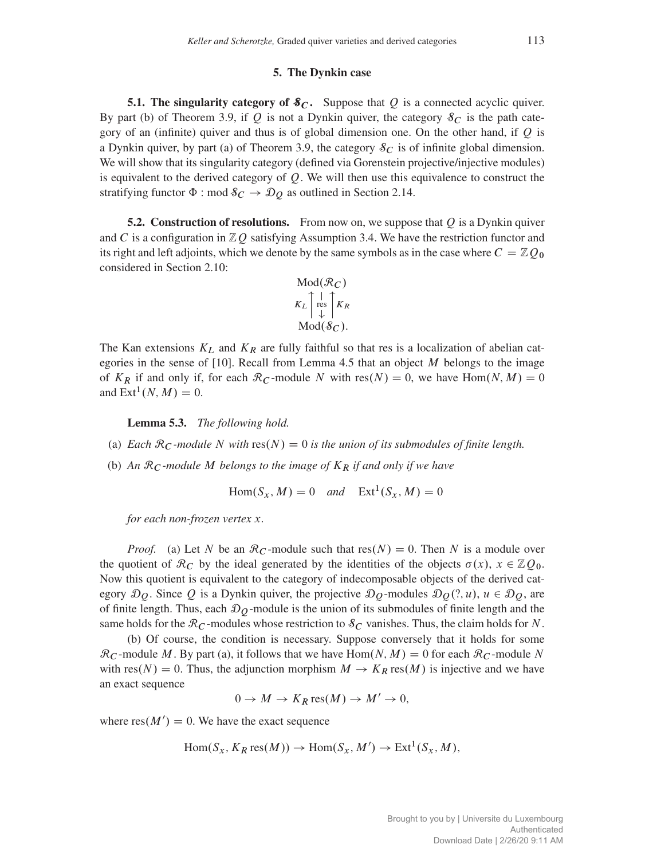#### 5. The Dynkin case

<span id="page-28-0"></span>5.1. The singularity category of  $\mathcal{S}_C$ . Suppose that Q is a connected acyclic quiver. By part (b) of Theorem [3.9,](#page-14-0) if Q is not a Dynkin quiver, the category  $\mathcal{S}_C$  is the path category of an (infinite) quiver and thus is of global dimension one. On the other hand, if  $Q$  is a Dynkin quiver, by part (a) of Theorem [3.9,](#page-14-0) the category  $\delta_C$  is of infinite global dimension. We will show that its singularity category (defined via Gorenstein projective/injective modules) is equivalent to the derived category of  $Q$ . We will then use this equivalence to construct the stratifying functor  $\Phi$  : mod  $\delta_C \rightarrow \mathcal{D}_O$  as outlined in Section [2.14.](#page-9-0)

**5.2. Construction of resolutions.** From now on, we suppose that  $Q$  is a Dynkin quiver and C is a configuration in  $\mathbb{Z}Q$  satisfying Assumption [3.4.](#page-11-2) We have the restriction functor and its right and left adjoints, which we denote by the same symbols as in the case where  $C = \mathbb{Z}Q_0$ considered in Section [2.10:](#page-7-3)

$$
\operatorname{Mod}(\mathcal{R}_C)
$$
  

$$
K_L \uparrow_{\text{res}}^{\downarrow} \uparrow_{K_R}
$$
  

$$
\operatorname{Mod}(\mathcal{S}_C).
$$

The Kan extensions  $K_L$  and  $K_R$  are fully faithful so that res is a localization of abelian categories in the sense of  $[10]$ . Recall from Lemma [4.5](#page-17-1) that an object  $M$  belongs to the image of  $K_R$  if and only if, for each  $\mathcal{R}_C$ -module N with res $(N) = 0$ , we have Hom $(N, M) = 0$ and  $\text{Ext}^1(N, M) = 0$ .

<span id="page-28-1"></span>Lemma 5.3. *The following hold.*

- (a) *Each*  $\mathcal{R}_C$ *-module* N with  $res(N) = 0$  *is the union of its submodules of finite length.*
- (b) *An* R<sup>C</sup> *-module* M *belongs to the image of* K<sup>R</sup> *if and only if we have*

 $\text{Hom}(S_x, M) = 0$  *and*  $\text{Ext}^1(S_x, M) = 0$ 

*for each non-frozen vertex* x*.*

*Proof.* (a) Let N be an  $\mathcal{R}_C$ -module such that  $res(N) = 0$ . Then N is a module over the quotient of  $\mathcal{R}_C$  by the ideal generated by the identities of the objects  $\sigma(x)$ ,  $x \in \mathbb{Z}Q_0$ . Now this quotient is equivalent to the category of indecomposable objects of the derived category  $\mathcal{D}_0$ . Since Q is a Dynkin quiver, the projective  $\mathcal{D}_0$ -modules  $\mathcal{D}_0(?,u)$ ,  $u \in \mathcal{D}_0$ , are of finite length. Thus, each  $\mathcal{D}_O$ -module is the union of its submodules of finite length and the same holds for the  $\mathcal{R}_C$ -modules whose restriction to  $\mathcal{S}_C$  vanishes. Thus, the claim holds for N.

(b) Of course, the condition is necessary. Suppose conversely that it holds for some  $\mathcal{R}_C$ -module M. By part (a), it follows that we have Hom $(N, M) = 0$  for each  $\mathcal{R}_C$ -module N with res $(N) = 0$ . Thus, the adjunction morphism  $M \to K_R \text{res}(M)$  is injective and we have an exact sequence

$$
0 \to M \to K_R \operatorname{res}(M) \to M' \to 0,
$$

where  $res(M') = 0$ . We have the exact sequence

$$
Hom(S_x, K_R \text{res}(M)) \to Hom(S_x, M') \to Ext^1(S_x, M),
$$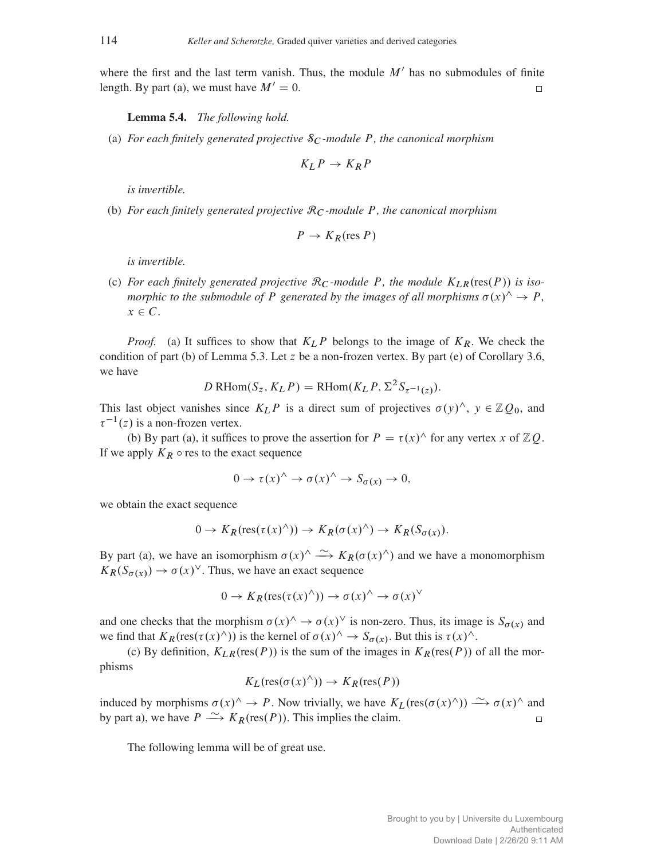where the first and the last term vanish. Thus, the module  $M'$  has no submodules of finite length. By part (a), we must have  $M' = 0$ .  $\Box$ 

<span id="page-29-0"></span>Lemma 5.4. *The following hold.*

(a) *For each finitely generated projective*  $\mathcal{S}_C$ *-module* P, the canonical morphism

$$
K_L P \to K_R P
$$

*is invertible.*

(b) *For each finitely generated projective* R<sup>C</sup> *-module* P*, the canonical morphism*

$$
P \to K_R(\text{res } P)
$$

*is invertible.*

(c) For each finitely generated projective  $\mathcal{R}_C$ -module P, the module  $K_{LR}(\text{res}(P))$  is iso*morphic to the submodule of* P *generated by the images of all morphisms*  $\sigma(x)$ <sup> $\land \rightarrow P$ </sup>,  $x \in \mathbb{C}$ .

*Proof.* (a) It suffices to show that  $K_L P$  belongs to the image of  $K_R$ . We check the condition of part (b) of Lemma [5.3.](#page-28-1) Let z be a non-frozen vertex. By part (e) of Corollary [3.6,](#page-12-2) we have

$$
D\operatorname{RHom}(S_z, K_L P) = \operatorname{RHom}(K_L P, \Sigma^2 S_{\tau^{-1}(z)}).
$$

This last object vanishes since  $K_L P$  is a direct sum of projectives  $\sigma(y)$ <sup>^</sup>,  $y \in \mathbb{Z}Q_0$ , and  $\tau^{-1}(z)$  is a non-frozen vertex.

(b) By part (a), it suffices to prove the assertion for  $P = \tau(x)^\wedge$  for any vertex x of ZQ. If we apply  $K_R \circ \text{res}$  to the exact sequence

$$
0 \to \tau(x)^{\wedge} \to \sigma(x)^{\wedge} \to S_{\sigma(x)} \to 0,
$$

we obtain the exact sequence

$$
0 \to K_R(\text{res}(\tau(x)^{\wedge})) \to K_R(\sigma(x)^{\wedge}) \to K_R(S_{\sigma(x)}).
$$

By part (a), we have an isomorphism  $\sigma(x)$ <sup>^</sup>  $\longrightarrow$   $K_R(\sigma(x)$ <sup>^</sup>) and we have a monomorphism  $K_R(S_{\sigma(x)}) \to \sigma(x)^\vee$ . Thus, we have an exact sequence

$$
0 \to K_R(\operatorname{res}(\tau(x)^{\wedge})) \to \sigma(x)^{\wedge} \to \sigma(x)^{\vee}
$$

and one checks that the morphism  $\sigma(x)$ <sup> $\land \rightarrow \sigma(x)$ <sup> $\lor$ </sup> is non-zero. Thus, its image is  $S_{\sigma(x)}$  and</sup> we find that  $K_R(\text{res}(\tau(x) \wedge))$  is the kernel of  $\sigma(x) \wedge \rightarrow S_{\sigma(x)}$ . But this is  $\tau(x) \wedge$ .

(c) By definition,  $K_{LR}(res(P))$  is the sum of the images in  $K_R(res(P))$  of all the morphisms

$$
K_L(\text{res}(\sigma(x)^{\wedge})) \to K_R(\text{res}(P))
$$

induced by morphisms  $\sigma(x)$ <sup>^</sup>  $\rightarrow$  *P*. Now trivially, we have  $K_L(\text{res}(\sigma(x)$ <sup>^</sup>))  $\rightarrow \sigma(x)$ <sup>^</sup> and by part a), we have  $P \xrightarrow{\sim} K_R(\text{res}(P))$ . This implies the claim.  $\Box$ 

The following lemma will be of great use.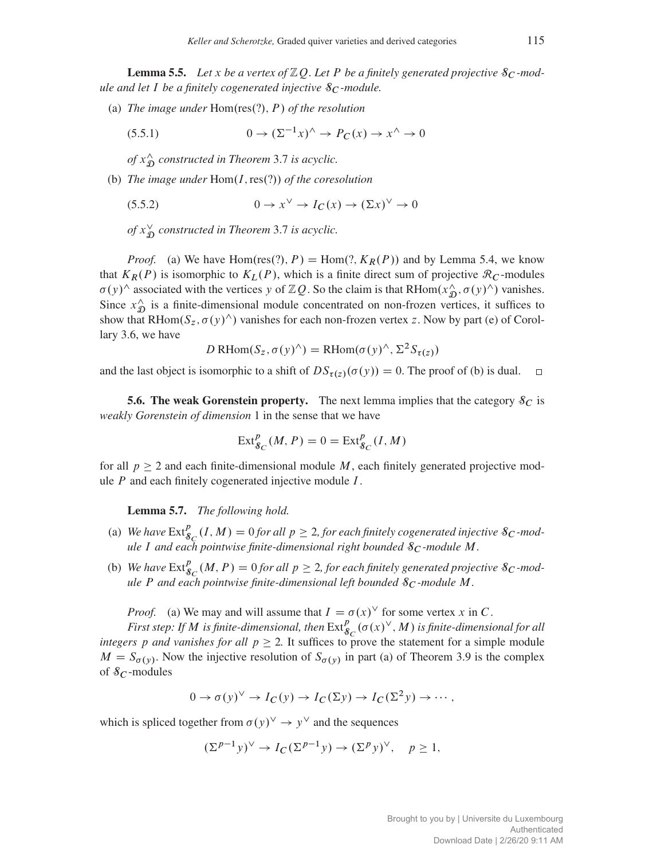<span id="page-30-1"></span>**Lemma 5.5.** Let x be a vertex of  $\mathbb{Z}$ O. Let P be a finitely generated projective  $\mathcal{S}_C$ -mod*ule and let* I *be a finitely cogenerated injective*  $S_C$ *-module.* 

(a) *The image under*  $Hom(res(?)$ *, P of the resolution* 

$$
(5.5.1) \t\t 0 \to (\Sigma^{-1}x)^{\wedge} \to P_C(x) \to x^{\wedge} \to 0
$$

 $\int f(x) \, dx$  $\hat{D}$  constructed in Theorem [3.7](#page-13-1) is acyclic.

(b) *The image under*  $Hom(I, res(?)$  *of the coresolution* 

$$
(5.5.2) \t\t 0 \to x^{\vee} \to I_C(x) \to (\Sigma x)^{\vee} \to 0
$$

 $\int f(x) \, dx$  $_{\mathfrak{D}}^{\vee}$  constructed in Theorem [3.7](#page-13-1) is acyclic.

*Proof.* (a) We have Hom(res(?), P) = Hom(?,  $K_R(P)$ ) and by Lemma [5.4,](#page-29-0) we know that  $K_R(P)$  is isomorphic to  $K_L(P)$ , which is a finite direct sum of projective  $\mathcal{R}_C$ -modules  $\sigma(y)$ <sup>^</sup> associated with the vertices y of ZQ. So the claim is that RHom $(x_0^{\lambda}, \sigma(y)^{\lambda})$  vanishes. Since  $x_{\mathcal{T}}^{\wedge}$  $\hat{D}$  is a finite-dimensional module concentrated on non-frozen vertices, it suffices to show that RHom $(S_z, \sigma(y)$ <sup> $\land$ </sup>) vanishes for each non-frozen vertex z. Now by part (e) of Corollary [3.6,](#page-12-2) we have

$$
D \text{ RHom}(S_z, \sigma(y)^\wedge) = \text{RHom}(\sigma(y)^\wedge, \Sigma^2 S_{\tau(z)})
$$

and the last object is isomorphic to a shift of  $DS_{\tau(z)}(\sigma(y)) = 0$ . The proof of (b) is dual.  $\Box$ 

<span id="page-30-0"></span>**5.6. The weak Gorenstein property.** The next lemma implies that the category  $\mathcal{S}_C$  is *weakly Gorenstein of dimension* 1 in the sense that we have

$$
\operatorname{Ext}^{p}_{\mathcal{S}_C}(M, P) = 0 = \operatorname{Ext}^{p}_{\mathcal{S}_C}(I, M)
$$

for all  $p > 2$  and each finite-dimensional module M, each finitely generated projective module  $P$  and each finitely cogenerated injective module  $I$ .

Lemma 5.7. *The following hold.*

- <span id="page-30-2"></span>(a) We have  $\text{Ext}^p_{\mathcal{S}_C}(I, M) = 0$  for all  $p \geq 2$ , for each finitely cogenerated injective  $\mathcal{S}_C$ -mod*ule* I and each pointwise finite-dimensional right bounded  $\delta_C$ -module M.
- (b) We have  $\text{Ext}_{g}^{p}(M, P) = 0$  for all  $p \geq 2$ , for each finitely generated projective  $g_{\mathcal{C}}$ -mod*ule* P *and each pointwise finite-dimensional left bounded* S<sup>C</sup> *-module* M*.*

*Proof.* (a) We may and will assume that  $I = \sigma(x)^\vee$  for some vertex x in C.

First step: If  $M$  is finite-dimensional, then  $\operatorname{Ext}^p_{\mathcal{S}_C}(\sigma(x)^\vee, M)$  is finite-dimensional for all *integers* p *and vanishes for all*  $p \ge 2$ . It suffices to prove the statement for a simple module  $M = S_{\sigma(y)}$ . Now the injective resolution of  $S_{\sigma(y)}$  in part (a) of Theorem [3.9](#page-14-0) is the complex of  $\mathcal{S}_C$ -modules

$$
0 \to \sigma(y)^{\vee} \to I_C(y) \to I_C(\Sigma y) \to I_C(\Sigma^2 y) \to \cdots,
$$

which is spliced together from  $\sigma(y)^\vee \to y^\vee$  and the sequences

$$
(\Sigma^{p-1}y)^\vee \to I_C(\Sigma^{p-1}y) \to (\Sigma^p y)^\vee, \quad p \ge 1,
$$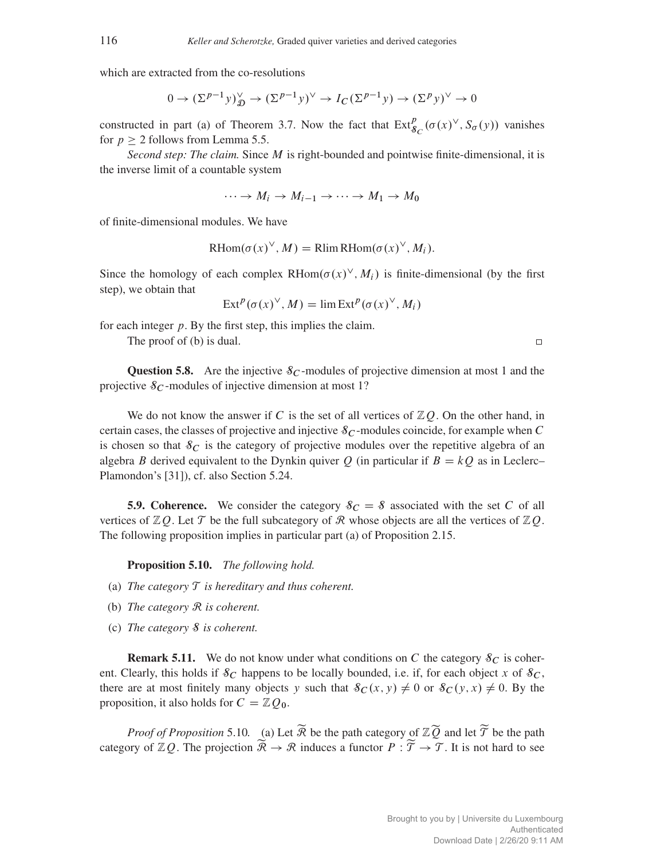which are extracted from the co-resolutions

$$
0 \to (\Sigma^{p-1} y)_{\mathfrak{D}}^{\vee} \to (\Sigma^{p-1} y)^{\vee} \to I_C(\Sigma^{p-1} y) \to (\Sigma^p y)^{\vee} \to 0
$$

constructed in part (a) of Theorem [3.7.](#page-13-1) Now the fact that  $Ext^p_{\mathcal{S}_C}(\sigma(x)^{\vee}, S_{\sigma}(y))$  vanishes for  $p \geq 2$  follows from Lemma [5.5.](#page-30-1)

*Second step: The claim.* Since M is right-bounded and pointwise finite-dimensional, it is the inverse limit of a countable system

$$
\cdots \to M_i \to M_{i-1} \to \cdots \to M_1 \to M_0
$$

of finite-dimensional modules. We have

$$
RHom(\sigma(x)^{\vee}, M) = Rlim RHom(\sigma(x)^{\vee}, M_i).
$$

Since the homology of each complex RHom $(\sigma(x)^{\vee}, M_i)$  is finite-dimensional (by the first step), we obtain that

$$
Ext^{p}(\sigma(x)^{\vee}, M) = \lim Ext^{p}(\sigma(x)^{\vee}, M_{i})
$$

for each integer  $p$ . By the first step, this implies the claim.

The proof of (b) is dual.

 $\Box$ 

**Question 5.8.** Are the injective  $\delta_C$ -modules of projective dimension at most 1 and the projective  $\mathcal{S}_C$ -modules of injective dimension at most 1?

We do not know the answer if C is the set of all vertices of  $\mathbb{Z}Q$ . On the other hand, in certain cases, the classes of projective and injective  $\mathcal{S}_C$ -modules coincide, for example when C is chosen so that  $\delta_C$  is the category of projective modules over the repetitive algebra of an algebra B derived equivalent to the Dynkin quiver Q (in particular if  $B = kQ$  as in Leclerc– Plamondon's [\[31\]](#page-42-7)), cf. also Section [5.24.](#page-39-1)

<span id="page-31-0"></span>**5.9. Coherence.** We consider the category  $\delta C = \delta$  associated with the set C of all vertices of  $\mathbb{Z}Q$ . Let  $\mathcal T$  be the full subcategory of  $\mathcal R$  whose objects are all the vertices of  $\mathbb{Z}Q$ . The following proposition implies in particular part (a) of Proposition [2.15.](#page-9-1)

<span id="page-31-1"></span>Proposition 5.10. *The following hold.*

- (a) *The category* T *is hereditary and thus coherent.*
- (b) *The category* R *is coherent.*
- (c) *The category* S *is coherent.*

**Remark 5.11.** We do not know under what conditions on C the category  $\delta_C$  is coherent. Clearly, this holds if  $\mathcal{S}_C$  happens to be locally bounded, i.e. if, for each object x of  $\mathcal{S}_C$ , there are at most finitely many objects y such that  $\delta_C(x, y) \neq 0$  or  $\delta_C(y, x) \neq 0$ . By the proposition, it also holds for  $C = \mathbb{Z}Q_0$ .

*Proof of Proposition* [5.10](#page-31-1). (a) Let  $\widetilde{R}$  be the path category of  $\mathbb{Z}\widetilde{Q}$  and let  $\widetilde{T}$  be the path category of  $\mathbb{Z}Q$ . The projection  $\widetilde{\mathcal{R}} \to \mathcal{R}$  induces a functor  $P : \widetilde{\mathcal{T}} \to \mathcal{T}$ . It is not hard to see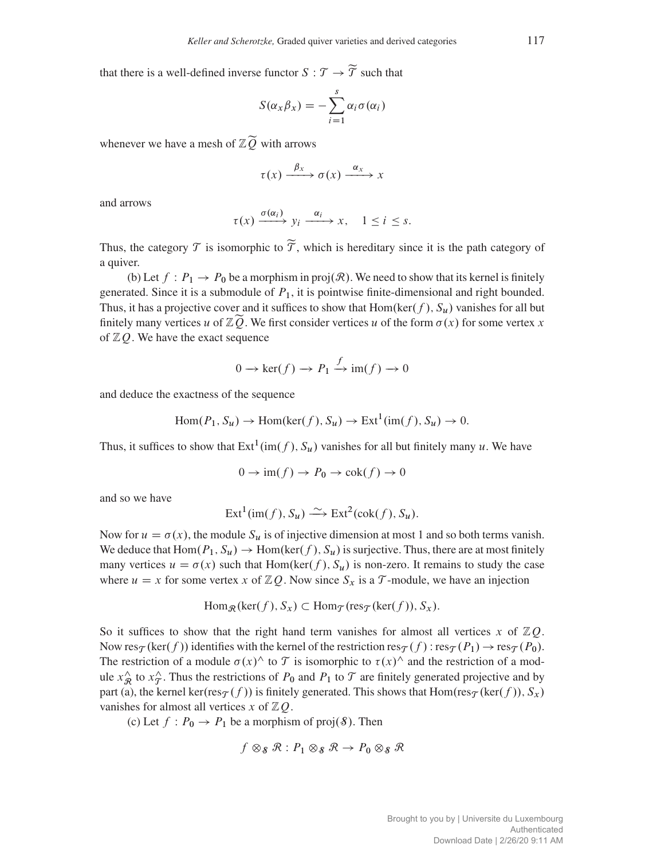that there is a well-defined inverse functor  $S : \mathcal{T} \to \widetilde{\mathcal{T}}$  such that

$$
S(\alpha_x \beta_x) = -\sum_{i=1}^s \alpha_i \sigma(\alpha_i)
$$

whenever we have a mesh of  $\mathbb{Z}\widetilde{Q}$  with arrows

$$
\tau(x) \xrightarrow{\beta_x} \sigma(x) \xrightarrow{\alpha_x} x
$$

and arrows

$$
\tau(x) \xrightarrow{\sigma(\alpha_i)} y_i \xrightarrow{\alpha_i} x, \quad 1 \le i \le s.
$$

Thus, the category  $\mathcal T$  is isomorphic to  $\widetilde{\mathcal T}$ , which is hereditary since it is the path category of a quiver.

(b) Let  $f : P_1 \to P_0$  be a morphism in proj $(\mathcal{R})$ . We need to show that its kernel is finitely generated. Since it is a submodule of  $P_1$ , it is pointwise finite-dimensional and right bounded. Thus, it has a projective cover and it suffices to show that Hom(ker(f),  $S_u$ ) vanishes for all but finitely many vertices u of  $\mathbb{Z}\widetilde{Q}$ . We first consider vertices u of the form  $\sigma(x)$  for some vertex x of  $ZO$ . We have the exact sequence

$$
0 \to \ker(f) \to P_1 \xrightarrow{f} \operatorname{im}(f) \to 0
$$

and deduce the exactness of the sequence

$$
Hom(P_1, S_u) \to Hom(ker(f), S_u) \to Ext^1(im(f), S_u) \to 0.
$$

Thus, it suffices to show that  $Ext^1(im(f), S_u)$  vanishes for all but finitely many u. We have

$$
0 \to \text{im}(f) \to P_0 \to \text{cok}(f) \to 0
$$

and so we have

$$
Ext1(im(f), Su) \xrightarrow{\sim} Ext2(cok(f), Su).
$$

Now for  $u = \sigma(x)$ , the module  $S_u$  is of injective dimension at most 1 and so both terms vanish. We deduce that  $\text{Hom}(P_1, S_u) \to \text{Hom}(\text{ker}(f), S_u)$  is surjective. Thus, there are at most finitely many vertices  $u = \sigma(x)$  such that Hom(ker(f),  $S_u$ ) is non-zero. It remains to study the case where  $u = x$  for some vertex x of  $\mathbb{Z}Q$ . Now since  $S_x$  is a T-module, we have an injection

$$
\operatorname{Hom}_{\mathcal{R}}(\ker(f), S_x) \subset \operatorname{Hom}_{\mathcal{T}}(\operatorname{res}_{\mathcal{T}}(\ker(f)), S_x).
$$

So it suffices to show that the right hand term vanishes for almost all vertices x of  $\mathbb{Z}Q$ . Now res<sub>T</sub> (ker(f)) identifies with the kernel of the restriction res<sub>T</sub> (f):  $res_T(P_1) \rightarrow res_T(P_0)$ . The restriction of a module  $\sigma(x)$ <sup>^</sup> to  $\mathcal T$  is isomorphic to  $\tau(x)$ <sup>^</sup> and the restriction of a module  $x_{\mathcal{R}}^{\wedge}$  $\hat{x}$  to  $x_{\hat{\mathcal{T}}}$  $\hat{\tau}$ . Thus the restrictions of  $P_0$  and  $P_1$  to  $\tau$  are finitely generated projective and by part (a), the kernel ker(res<sub>T</sub> (f)) is finitely generated. This shows that  $Hom(res_{\mathcal{T}}(ker(f)), S_x)$ vanishes for almost all vertices x of  $\mathbb{Z}Q$ .

(c) Let  $f : P_0 \to P_1$  be a morphism of proj $(\mathcal{S})$ . Then

$$
f \otimes_{\mathcal{S}} \mathcal{R} : P_1 \otimes_{\mathcal{S}} \mathcal{R} \to P_0 \otimes_{\mathcal{S}} \mathcal{R}
$$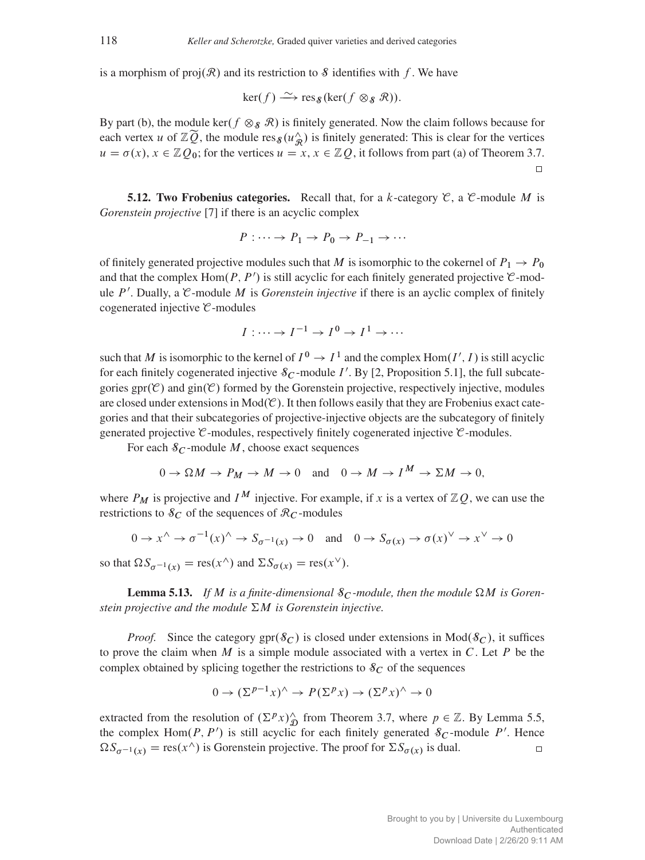is a morphism of  $proj(R)$  and its restriction to S identifies with f. We have

$$
\ker(f) \xrightarrow{\sim} \operatorname{res}_{\mathcal{S}}(\ker(f \otimes_{\mathcal{S}} \mathcal{R})).
$$

By part (b), the module ker( $f \otimes_{\mathcal{S}} \mathcal{R}$ ) is finitely generated. Now the claim follows because for each vertex u of  $\mathbb{Z}(\widetilde{Q})$ , the module res<sub> $\mathcal{S}(u^{\wedge}_{\mathcal{R}})$ </sub> is finitely generated: This is clear for the vertices  $u = \sigma(x), x \in \mathbb{Z}Q_0$ ; for the vertices  $u = x, x \in \mathbb{Z}Q$ , it follows from part (a) of Theorem [3.7.](#page-13-1)  $\Box$ 

<span id="page-33-0"></span>**5.12. Two Frobenius categories.** Recall that, for a k-category  $\mathcal{C}$ , a  $\mathcal{C}$ -module M is *Gorenstein projective* [\[7\]](#page-41-18) if there is an acyclic complex

$$
P : \cdots \to P_1 \to P_0 \to P_{-1} \to \cdots
$$

of finitely generated projective modules such that M is isomorphic to the cokernel of  $P_1 \rightarrow P_0$ and that the complex  $\text{Hom}(P, P')$  is still acyclic for each finitely generated projective  $\mathcal{C}$ -module  $P'$ . Dually, a  $\mathcal C$ -module M is *Gorenstein injective* if there is an ayclic complex of finitely cogenerated injective  $C$ -modules

$$
I:\cdots\to I^{-1}\to I^0\to I^1\to\cdots
$$

such that M is isomorphic to the kernel of  $I^0 \to I^1$  and the complex Hom $(I', I)$  is still acyclic for each finitely cogenerated injective  $\mathcal{S}_C$ -module I'. By [\[2,](#page-41-19) Proposition 5.1], the full subcategories  $gr(\mathcal{C})$  and  $gin(\mathcal{C})$  formed by the Gorenstein projective, respectively injective, modules are closed under extensions in  $Mod(\mathcal{C})$ . It then follows easily that they are Frobenius exact categories and that their subcategories of projective-injective objects are the subcategory of finitely generated projective  $\mathcal C$ -modules, respectively finitely cogenerated injective  $\mathcal C$ -modules.

For each  $\mathcal{S}_C$ -module  $M$ , choose exact sequences

$$
0 \to \Omega M \to P_M \to M \to 0 \quad \text{and} \quad 0 \to M \to I^M \to \Sigma M \to 0,
$$

where  $P_M$  is projective and  $I^M$  injective. For example, if x is a vertex of  $\mathbb{Z}Q$ , we can use the restrictions to  $\delta_C$  of the sequences of  $\mathcal{R}_C$ -modules

$$
0 \to x^{\wedge} \to \sigma^{-1}(x)^{\wedge} \to S_{\sigma^{-1}(x)} \to 0 \quad \text{and} \quad 0 \to S_{\sigma(x)} \to \sigma(x)^{\vee} \to x^{\vee} \to 0
$$

so that  $\Omega S_{\sigma^{-1}(x)} = \text{res}(x^{\wedge})$  and  $\Sigma S_{\sigma(x)} = \text{res}(x^{\vee}).$ 

**Lemma 5.13.** If M is a finite-dimensional  $\mathcal{S}_C$ -module, then the module  $\Omega M$  is Goren*stein projective and the module*  $\Sigma M$  *is Gorenstein injective.* 

*Proof.* Since the category  $spr(\mathcal{S}_C)$  is closed under extensions in Mod $(\mathcal{S}_C)$ , it suffices to prove the claim when  $M$  is a simple module associated with a vertex in  $C$ . Let  $P$  be the complex obtained by splicing together the restrictions to  $\delta_C$  of the sequences

$$
0 \to (\Sigma^{p-1} x)^{\wedge} \to P(\Sigma^p x) \to (\Sigma^p x)^{\wedge} \to 0
$$

extracted from the resolution of  $(\Sigma^p x)_{\mathfrak{D}}^{\wedge}$  from Theorem [3.7,](#page-13-1) where  $p \in \mathbb{Z}$ . By Lemma [5.5,](#page-30-1) the complex Hom $(P, P')$  is still acyclic for each finitely generated  $\mathcal{S}_C$ -module P'. Hence  $\Omega S_{\sigma^{-1}(x)} = \text{res}(x^{\wedge})$  is Gorenstein projective. The proof for  $\Sigma S_{\sigma(x)}$  is dual.  $\Box$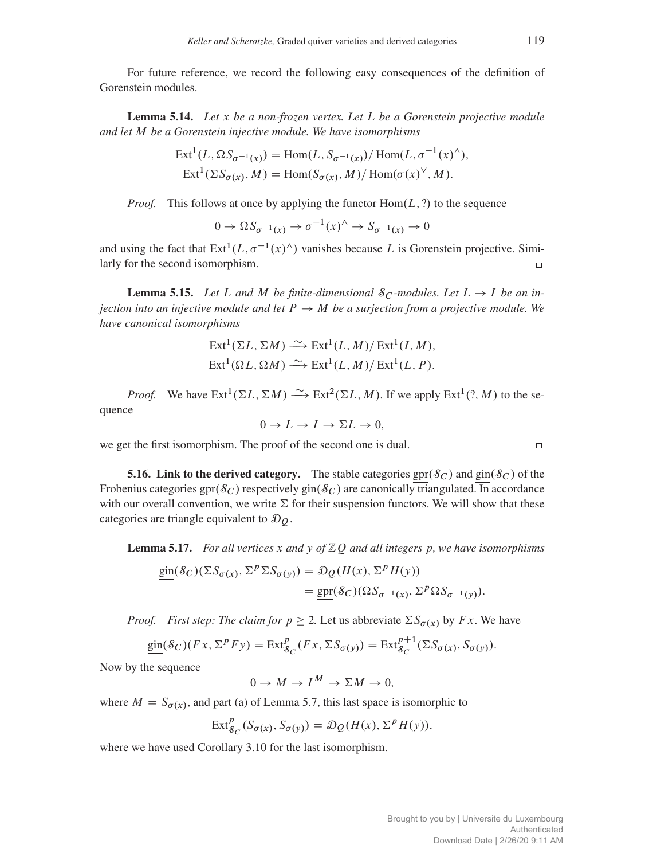For future reference, we record the following easy consequences of the definition of Gorenstein modules.

Lemma 5.14. *Let* x *be a non-frozen vertex. Let* L *be a Gorenstein projective module and let* M *be a Gorenstein injective module. We have isomorphisms*

$$
Ext1(L, \Omega S_{\sigma^{-1}(x)}) = Hom(L, S_{\sigma^{-1}(x)})/Hom(L, \sigma^{-1}(x)^{\wedge}),
$$
  
\n
$$
Ext1(\Sigma S_{\sigma(x)}, M) = Hom(S_{\sigma(x)}, M)/Hom(\sigma(x)^{\vee}, M).
$$

*Proof.* This follows at once by applying the functor  $Hom(L, ?)$  to the sequence

$$
0 \to \Omega S_{\sigma^{-1}(x)} \to \sigma^{-1}(x) \land \to S_{\sigma^{-1}(x)} \to 0
$$

and using the fact that  $Ext^1(L, \sigma^{-1}(x)^{\wedge})$  vanishes because L is Gorenstein projective. Similarly for the second isomorphism.  $\Box$ 

<span id="page-34-1"></span>**Lemma 5.15.** Let L and M be finite-dimensional  $\delta_C$ -modules. Let  $L \rightarrow I$  be an in*jection into an injective module and let*  $P \rightarrow M$  *be a surjection from a projective module. We have canonical isomorphisms*

$$
Ext^1(\Sigma L, \Sigma M) \xrightarrow{\sim} Ext^1(L, M)/ Ext^1(I, M),
$$
  

$$
Ext^1(\Omega L, \Omega M) \xrightarrow{\sim} Ext^1(L, M)/ Ext^1(L, P).
$$

*Proof.* We have  $\text{Ext}^1(\Sigma L, \Sigma M) \longrightarrow \text{Ext}^2(\Sigma L, M)$ . If we apply  $\text{Ext}^1(?, M)$  to the sequence

$$
0 \to L \to I \to \Sigma L \to 0,
$$

we get the first isomorphism. The proof of the second one is dual.

<span id="page-34-0"></span>**5.16. Link to the derived category.** The stable categories gpr( $\mathcal{S}_C$ ) and gin( $\mathcal{S}_C$ ) of the Frobenius categories gpr $(\mathcal{S}_C)$  respectively gin $(\mathcal{S}_C)$  are canonically triangulated. In accordance with our overall convention, we write  $\Sigma$  for their suspension functors. We will show that these categories are triangle equivalent to  $\mathcal{D}_0$ .

<span id="page-34-2"></span>Lemma 5.17. *For all vertices* x *and* y *of* ZQ *and all integers* p*, we have isomorphisms*

$$
\underline{\text{gin}}(\mathcal{S}_C)(\Sigma S_{\sigma(x)}, \Sigma^p \Sigma S_{\sigma(y)}) = \mathcal{D}_Q(H(x), \Sigma^p H(y))
$$
  
= 
$$
\text{gpr}(\mathcal{S}_C)(\Omega S_{\sigma^{-1}(x)}, \Sigma^p \Omega S_{\sigma^{-1}(y)}).
$$

*Proof. First step: The claim for*  $p \ge 2$ . Let us abbreviate  $\sum S_{\sigma(x)}$  by F x. We have

$$
\underline{\text{gin}}(\mathcal{S}_C)(Fx,\Sigma^p F y) = \text{Ext}^p_{\mathcal{S}_C}(Fx,\Sigma S_{\sigma(y)}) = \text{Ext}^{p+1}_{\mathcal{S}_C}(\Sigma S_{\sigma(x)},S_{\sigma(y)}).
$$

Now by the sequence

$$
0 \to M \to I^M \to \Sigma M \to 0,
$$

where  $M = S_{\sigma(x)}$ , and part (a) of Lemma [5.7,](#page-30-2) this last space is isomorphic to

$$
\operatorname{Ext}^p_{\mathcal{S}_C}(S_{\sigma(x)}, S_{\sigma(y)}) = \mathcal{D}_Q(H(x), \Sigma^p H(y)),
$$

where we have used Corollary [3.10](#page-15-0) for the last isomorphism.

 $\Box$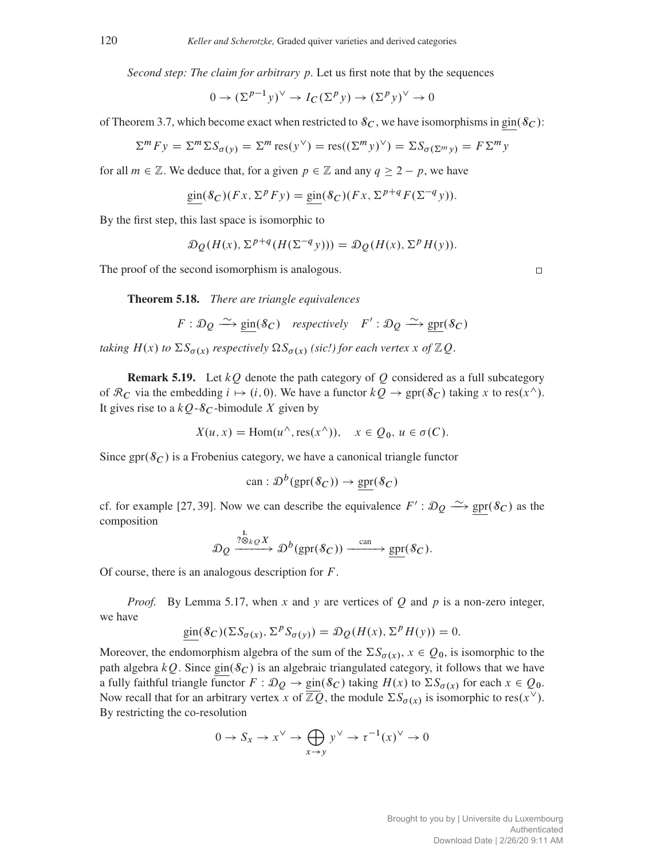*Second step: The claim for arbitrary* p*.* Let us first note that by the sequences

$$
0 \to (\Sigma^{p-1} y)^\vee \to I_C(\Sigma^p y) \to (\Sigma^p y)^\vee \to 0
$$

of Theorem [3.7,](#page-13-1) which become exact when restricted to  $\mathcal{S}_C$ , we have isomorphisms in gin $(\mathcal{S}_C)$ :

$$
\Sigma^m F y = \Sigma^m \Sigma S_{\sigma(y)} = \Sigma^m \operatorname{res}(y^{\vee}) = \operatorname{res}((\Sigma^m y)^{\vee}) = \Sigma S_{\sigma(\Sigma^m y)} = F \Sigma^m y
$$

for all  $m \in \mathbb{Z}$ . We deduce that, for a given  $p \in \mathbb{Z}$  and any  $q \ge 2 - p$ , we have

$$
\text{gin}(\mathcal{S}_C)(Fx,\Sigma^p F y) = \text{gin}(\mathcal{S}_C)(Fx,\Sigma^{p+q} F(\Sigma^{-q} y)).
$$

By the first step, this last space is isomorphic to

$$
\mathcal{D}_{\mathcal{Q}}(H(x), \Sigma^{p+q}(H(\Sigma^{-q}y))) = \mathcal{D}_{\mathcal{Q}}(H(x), \Sigma^{p}H(y)).
$$

<span id="page-35-0"></span>The proof of the second isomorphism is analogous.

Theorem 5.18. *There are triangle equivalences*

$$
F: \mathcal{D}_Q \xrightarrow{\sim} \text{gin}(\mathcal{S}_C) \quad \text{respectively} \quad F': \mathcal{D}_Q \xrightarrow{\sim} \text{gpr}(\mathcal{S}_C)
$$

*taking*  $H(x)$  *to*  $\Sigma S_{\sigma(x)}$  *respectively*  $\Omega S_{\sigma(x)}$  *(sic!) for each vertex* x *of*  $\mathbb{Z}Q$ *.* 

**Remark 5.19.** Let  $kQ$  denote the path category of Q considered as a full subcategory of  $\mathcal{R}_C$  via the embedding  $i \mapsto (i, 0)$ . We have a functor  $kQ \to \text{spr}(\mathcal{S}_C)$  taking x to res(x^). It gives rise to a  $kQ - \mathcal{S}_C$ -bimodule X given by

$$
X(u, x) = \text{Hom}(u^{\wedge}, \text{res}(x^{\wedge})), \quad x \in Q_0, u \in \sigma(C).
$$

Since gpr $(\mathcal{S}_C)$  is a Frobenius category, we have a canonical triangle functor

$$
\text{can}: \mathcal{D}^b(\text{gpr}(\mathcal{S}_C)) \to \text{gpr}(\mathcal{S}_C)
$$

cf. for example [\[27,](#page-42-24) [39\]](#page-42-25). Now we can describe the equivalence  $F' : \mathcal{D}_Q \longrightarrow \text{spr}(\mathcal{S}_C)$  as the composition

$$
\mathcal{D}_{Q} \xrightarrow{\frac{1}{2} \otimes_{kQ} X} \mathcal{D}^{b}(\text{gpr}(\mathcal{S}_{C})) \xrightarrow{\text{can}} \underline{\text{gpr}}(\mathcal{S}_{C}).
$$

Of course, there is an analogous description for  $F$ .

*Proof.* By Lemma [5.17,](#page-34-2) when x and y are vertices of Q and p is a non-zero integer, we have

$$
\text{gin}(\mathcal{S}_C)(\Sigma S_{\sigma(x)}, \Sigma^p S_{\sigma(y)}) = \mathcal{D}_Q(H(x), \Sigma^p H(y)) = 0.
$$

Moreover, the endomorphism algebra of the sum of the  $\Sigma S_{\sigma(x)}$ ,  $x \in Q_0$ , is isomorphic to the path algebra  $kQ$ . Since gin( $\delta$ C) is an algebraic triangulated category, it follows that we have a fully faithful triangle functor  $F : \mathcal{D}_Q \to \text{gin}(\mathcal{S}_C)$  taking  $H(x)$  to  $\Sigma S_{\sigma(x)}$  for each  $x \in Q_0$ . Now recall that for an arbitrary vertex x of  $\mathbb{Z}Q$ , the module  $\Sigma S_{\sigma(x)}$  is isomorphic to res(x<sup>V</sup>). By restricting the co-resolution

$$
0 \to S_x \to x^{\vee} \to \bigoplus_{x \to y} y^{\vee} \to \tau^{-1}(x)^{\vee} \to 0
$$

 $\Box$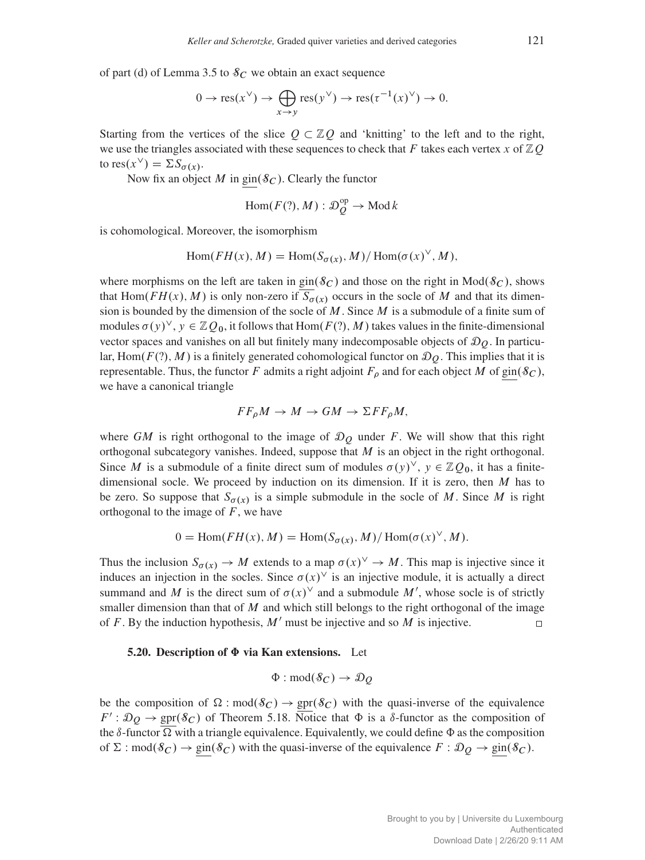of part (d) of Lemma [3.5](#page-12-0) to  $S_C$  we obtain an exact sequence

$$
0 \to \text{res}(x^{\vee}) \to \bigoplus_{x \to y} \text{res}(y^{\vee}) \to \text{res}(\tau^{-1}(x)^{\vee}) \to 0.
$$

Starting from the vertices of the slice  $Q \subset \mathbb{Z}Q$  and 'knitting' to the left and to the right, we use the triangles associated with these sequences to check that F takes each vertex x of  $\mathbb{Z}Q$ to res $(x^{\vee}) = \Sigma S_{\sigma(x)}$ .

Now fix an object M in gin( $\delta_C$ ). Clearly the functor

$$
Hom(F(?), M) : \mathcal{D}_Q^{\text{op}} \to \text{Mod } k
$$

is cohomological. Moreover, the isomorphism

$$
\text{Hom}(FH(x), M) = \text{Hom}(S_{\sigma(x)}, M) / \text{Hom}(\sigma(x)^{\vee}, M),
$$

where morphisms on the left are taken in  $\text{gin}(\mathcal{S}_C)$  and those on the right in Mod $(\mathcal{S}_C)$ , shows that Hom( $FH(x)$ , M) is only non-zero if  $S_{\sigma(x)}$  occurs in the socle of M and that its dimension is bounded by the dimension of the socle of  $M$ . Since  $M$  is a submodule of a finite sum of modules  $\sigma(y)^\vee$ ,  $y \in \mathbb{Z}Q_0$ , it follows that Hom $(F(?)$ , M) takes values in the finite-dimensional vector spaces and vanishes on all but finitely many indecomposable objects of  $\mathcal{D}_O$ . In particular, Hom $(F(?)$ , M) is a finitely generated cohomological functor on  $\mathcal{D}_O$ . This implies that it is representable. Thus, the functor F admits a right adjoint  $F_{\rho}$  and for each object M of gin( $\mathcal{S}_{C}$ ), we have a canonical triangle

$$
FF_{\rho}M \to M \to GM \to \Sigma FF_{\rho}M,
$$

where GM is right orthogonal to the image of  $\mathcal{D}_O$  under F. We will show that this right orthogonal subcategory vanishes. Indeed, suppose that  $M$  is an object in the right orthogonal. Since M is a submodule of a finite direct sum of modules  $\sigma(y)^\vee$ ,  $y \in \mathbb{Z}Q_0$ , it has a finitedimensional socle. We proceed by induction on its dimension. If it is zero, then  $M$  has to be zero. So suppose that  $S_{\sigma(x)}$  is a simple submodule in the socle of M. Since M is right orthogonal to the image of  $F$ , we have

$$
0 = \text{Hom}(FH(x), M) = \text{Hom}(S_{\sigma(x)}, M) / \text{Hom}(\sigma(x)^{\vee}, M).
$$

Thus the inclusion  $S_{\sigma(x)} \to M$  extends to a map  $\sigma(x)^\vee \to M$ . This map is injective since it induces an injection in the socles. Since  $\sigma(x)$ <sup>V</sup> is an injective module, it is actually a direct summand and M is the direct sum of  $\sigma(x)$ <sup>V</sup> and a submodule M', whose socle is of strictly smaller dimension than that of  $M$  and which still belongs to the right orthogonal of the image of F. By the induction hypothesis,  $M'$  must be injective and so M is injective.  $\Box$ 

#### <span id="page-36-0"></span>5.20. Description of  $\Phi$  via Kan extensions. Let

$$
\Phi: \text{mod}(\mathcal{S}_C) \to \mathcal{D}_Q
$$

be the composition of  $\Omega$ :  $mod(\mathcal{S}_C) \rightarrow spr(\mathcal{S}_C)$  with the quasi-inverse of the equivalence  $F': \mathcal{D}_Q \to \text{spr}(\mathcal{S}_C)$  of Theorem [5.18.](#page-35-0) Notice that  $\Phi$  is a  $\delta$ -functor as the composition of the  $\delta$ -functor  $\Omega$  with a triangle equivalence. Equivalently, we could define  $\Phi$  as the composition of  $\Sigma$ :  $mod(\mathscr{S}_C) \rightarrow gen(\mathscr{S}_C)$  with the quasi-inverse of the equivalence  $F : \mathcal{D}_Q \rightarrow gen(\mathscr{S}_C)$ .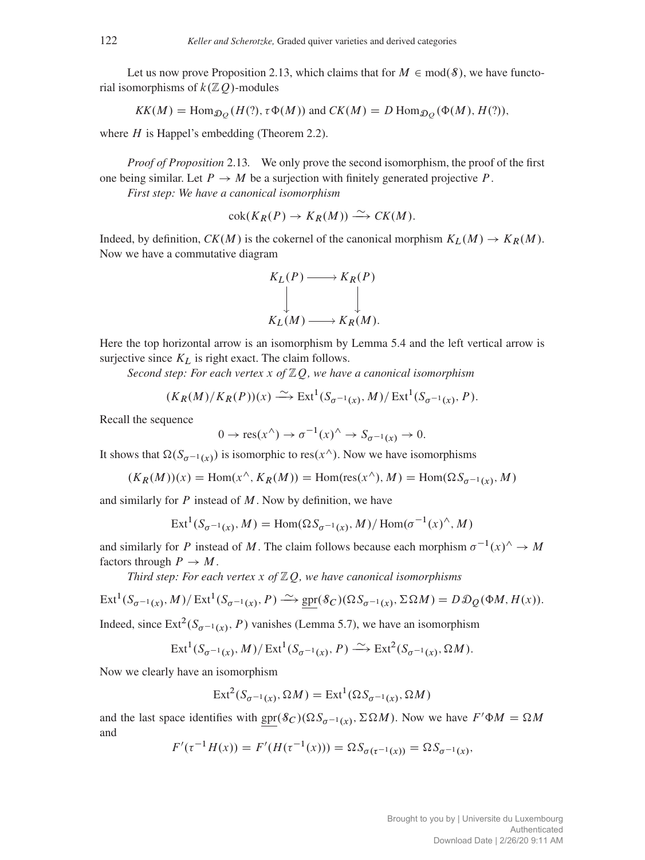Let us now prove Proposition [2.13,](#page-8-2) which claims that for  $M \in \text{mod}(\mathcal{S})$ , we have functorial isomorphisms of  $k(\mathbb{Z}Q)$ -modules

$$
KK(M) = \text{Hom}_{\mathcal{D}_{Q}}(H(?) \, \tau \Phi(M)) \text{ and } CK(M) = D \text{ Hom}_{\mathcal{D}_{Q}}(\Phi(M), H(?)),
$$

where  $H$  is Happel's embedding (Theorem [2.2\)](#page-3-1).

*Proof of Proposition* [2.13](#page-8-2)*.* We only prove the second isomorphism, the proof of the first one being similar. Let  $P \to M$  be a surjection with finitely generated projective P. *First step: We have a canonical isomorphism*

$$
\operatorname{cok}(K_R(P) \to K_R(M)) \xrightarrow{\sim} CK(M).
$$

Indeed, by definition,  $CK(M)$  is the cokernel of the canonical morphism  $K_L(M) \to K_R(M)$ . Now we have a commutative diagram



Here the top horizontal arrow is an isomorphism by Lemma [5.4](#page-29-0) and the left vertical arrow is surjective since  $K_L$  is right exact. The claim follows.

*Second step: For each vertex* x *of* ZQ*, we have a canonical isomorphism*

$$
(K_R(M)/K_R(P))(x) \xrightarrow{\sim} \operatorname{Ext}^1(S_{\sigma^{-1}(x)}, M)/\operatorname{Ext}^1(S_{\sigma^{-1}(x)}, P).
$$

Recall the sequence

$$
0 \to \text{res}(x^{\wedge}) \to \sigma^{-1}(x)^{\wedge} \to S_{\sigma^{-1}(x)} \to 0.
$$

It shows that  $\Omega(S_{\sigma^{-1}(x)})$  is isomorphic to res $(x^{\wedge})$ . Now we have isomorphisms

$$
(K_R(M))(x) = \text{Hom}(x^{\wedge}, K_R(M)) = \text{Hom}(\text{res}(x^{\wedge}), M) = \text{Hom}(\Omega S_{\sigma^{-1}(x)}, M)
$$

and similarly for  $P$  instead of  $M$ . Now by definition, we have

$$
Ext1(S\sigma-1(x), M) = Hom(\Omega S\sigma-1(x), M)/Hom(\sigma-1(x)\wedge, M)
$$

and similarly for P instead of M. The claim follows because each morphism  $\sigma^{-1}(x)$ <sup>^</sup>  $\rightarrow$  M factors through  $P \rightarrow M$ .

*Third step: For each vertex* x *of* ZQ*, we have canonical isomorphisms*

$$
\operatorname{Ext}^1(S_{\sigma^{-1}(x)}, M)/\operatorname{Ext}^1(S_{\sigma^{-1}(x)}, P) \xrightarrow{\sim} \underline{\operatorname{spr}}(\mathcal{S}_C)(\Omega S_{\sigma^{-1}(x)}, \Sigma \Omega M) = D \mathcal{D}_Q(\Phi M, H(x)).
$$

Indeed, since  $\text{Ext}^2(S_{\sigma^{-1}(x)}, P)$  vanishes (Lemma [5.7\)](#page-30-2), we have an isomorphism

$$
\operatorname{Ext}^1(S_{\sigma^{-1}(x)}, M)/\operatorname{Ext}^1(S_{\sigma^{-1}(x)}, P) \xrightarrow{\sim} \operatorname{Ext}^2(S_{\sigma^{-1}(x)}, \Omega M).
$$

Now we clearly have an isomorphism

$$
\text{Ext}^2(S_{\sigma^{-1}(x)}, \Omega M) = \text{Ext}^1(\Omega S_{\sigma^{-1}(x)}, \Omega M)
$$

and the last space identifies with  $spr(S_C)(\Omega S_{\sigma^{-1}(x)}, \Sigma \Omega M)$ . Now we have  $F' \Phi M = \Omega M$ and

$$
F'(\tau^{-1}H(x)) = F'(H(\tau^{-1}(x))) = \Omega S_{\sigma(\tau^{-1}(x))} = \Omega S_{\sigma^{-1}(x)},
$$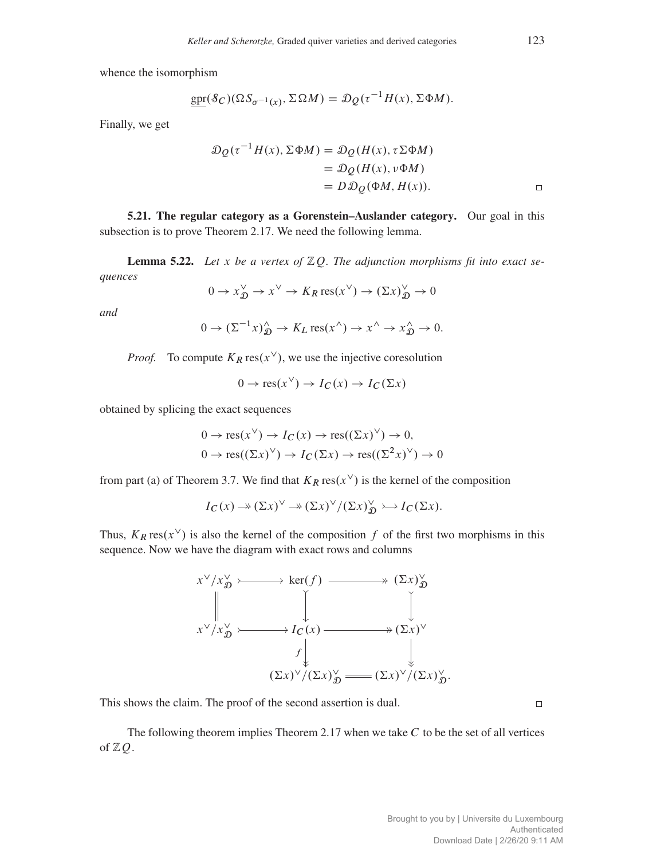whence the isomorphism

$$
\underline{\text{spr}}(\mathcal{S}_C)(\Omega S_{\sigma^{-1}(x)}, \Sigma \Omega M) = \mathcal{D}_Q(\tau^{-1}H(x), \Sigma \Phi M).
$$

Finally, we get

$$
\mathcal{D}_{Q}(\tau^{-1}H(x), \Sigma \Phi M) = \mathcal{D}_{Q}(H(x), \tau \Sigma \Phi M)
$$
  
=  $\mathcal{D}_{Q}(H(x), \nu \Phi M)$   
=  $D \mathcal{D}_{Q}(\Phi M, H(x)).$ 

<span id="page-38-0"></span>5.21. The regular category as a Gorenstein–Auslander category. Our goal in this subsection is to prove Theorem [2.17.](#page-9-2) We need the following lemma.

<span id="page-38-1"></span>**Lemma 5.22.** Let x be a vertex of  $\mathbb{Z}Q$ . The adjunction morphisms fit into exact se*quences*

$$
0 \to x_{\mathcal{D}}^{\vee} \to x^{\vee} \to K_R \operatorname{res}(x^{\vee}) \to (\Sigma x)_{\mathcal{D}}^{\vee} \to 0
$$

*and*

$$
0 \to (\Sigma^{-1} x)^{\wedge}_{\mathfrak{D}} \to K_L \operatorname{res}(x^{\wedge}) \to x^{\wedge} \to x^{\wedge}_{\mathfrak{D}} \to 0.
$$

*Proof.* To compute  $K_R \text{res}(x^{\vee})$ , we use the injective coresolution

$$
0 \to \text{res}(x^{\vee}) \to I_C(x) \to I_C(\Sigma x)
$$

obtained by splicing the exact sequences

$$
0 \to \text{res}(x^{\vee}) \to I_C(x) \to \text{res}((\Sigma x)^{\vee}) \to 0,
$$
  

$$
0 \to \text{res}((\Sigma x)^{\vee}) \to I_C(\Sigma x) \to \text{res}((\Sigma^2 x)^{\vee}) \to 0
$$

from part (a) of Theorem [3.7.](#page-13-1) We find that  $K_R \text{res}(x^{\vee})$  is the kernel of the composition

$$
I_C(x) \to (\Sigma x)^\vee \to (\Sigma x)^\vee / (\Sigma x)^\vee_{\mathfrak{D}} \to I_C(\Sigma x).
$$

Thus,  $K_R \text{res}(x^{\vee})$  is also the kernel of the composition f of the first two morphisms in this sequence. Now we have the diagram with exact rows and columns



This shows the claim. The proof of the second assertion is dual.

 $\Box$ 

The following theorem implies Theorem [2.17](#page-9-2) when we take  $C$  to be the set of all vertices of  $\mathbb{Z}Q$ .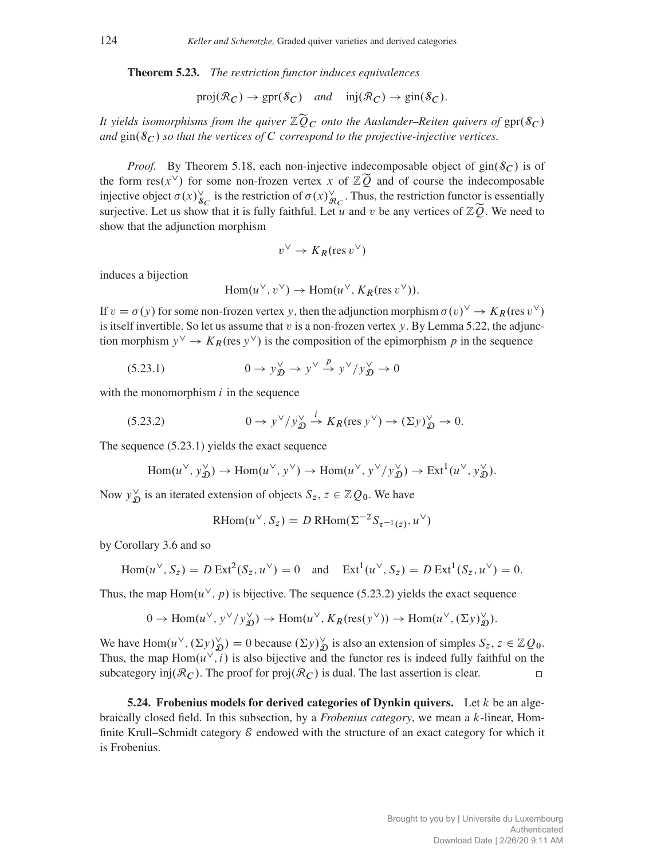<span id="page-39-0"></span>Theorem 5.23. *The restriction functor induces equivalences*

$$
\text{proj}(\mathcal{R}_C) \to \text{gpr}(\mathcal{S}_C) \quad \text{and} \quad \text{inj}(\mathcal{R}_C) \to \text{gin}(\mathcal{S}_C).
$$

*It yields isomorphisms from the quiver*  $\mathbb{Z}\widetilde{Q}_C$  *onto the Auslander–Reiten quivers of* gpr $(\mathcal{S}_C)$ and  $\sin(\mathcal{S}_C)$  *so that the vertices of* C *correspond to the projective-injective vertices.* 

*Proof.* By Theorem [5.18,](#page-35-0) each non-injective indecomposable object of  $\text{gin}(\mathcal{S}_C)$  is of the form res(x<sup> $\vee$ </sup>) for some non-frozen vertex x of  $\mathbb{Z}\tilde{Q}$  and of course the indecomposable injective object  $\sigma(x)_{\mathcal{S}_C}^{\vee}$  is the restriction of  $\sigma(x)_{\mathcal{R}_C}^{\vee}$ . Thus, the restriction functor is essentially surjective. Let us show that it is fully faithful. Let u and v be any vertices of  $\mathbb{Z}\tilde{Q}$ . We need to show that the adjunction morphism

$$
v^{\vee} \to K_R(\text{res } v^{\vee})
$$

induces a bijection

<span id="page-39-2"></span>
$$
\text{Hom}(u^{\vee}, v^{\vee}) \to \text{Hom}(u^{\vee}, K_R(\text{res } v^{\vee})).
$$

If  $v = \sigma(y)$  for some non-frozen vertex y, then the adjunction morphism  $\sigma(v)^\vee \to K_R$  (res  $v^\vee$ ) is itself invertible. So let us assume that  $v$  is a non-frozen vertex  $y$ . By Lemma [5.22,](#page-38-1) the adjunction morphism  $y^{\vee} \to K_R$  (res  $y^{\vee}$ ) is the composition of the epimorphism p in the sequence

$$
(5.23.1) \t\t 0 \to y^{\vee}_{\mathfrak{D}} \to y^{\vee} \stackrel{p}{\to} y^{\vee}/y^{\vee}_{\mathfrak{D}} \to 0
$$

with the monomorphism  $i$  in the sequence

(5.23.2) 
$$
0 \to y^{\vee}/y^{\vee}_{\mathfrak{D}} \xrightarrow{i} K_R(\text{res } y^{\vee}) \to (\Sigma y)^{\vee}_{\mathfrak{D}} \to 0.
$$

The sequence [\(5.23.1\)](#page-39-2) yields the exact sequence

$$
\text{Hom}(u^{\vee}, y_{\mathfrak{D}}^{\vee}) \to \text{Hom}(u^{\vee}, y^{\vee}) \to \text{Hom}(u^{\vee}, y^{\vee}/y_{\mathfrak{D}}^{\vee}) \to \text{Ext}^{1}(u^{\vee}, y_{\mathfrak{D}}^{\vee}).
$$

Now  $y_{\mathcal{I}}^{\vee}$  $\chi_D^{\vee}$  is an iterated extension of objects  $S_z$ ,  $z \in \mathbb{Z}Q_0$ . We have

<span id="page-39-3"></span>
$$
\text{RHom}(u^{\vee}, S_z) = D \text{RHom}(\Sigma^{-2} S_{\tau^{-1}(z)}, u^{\vee})
$$

by Corollary [3.6](#page-12-2) and so

$$
\text{Hom}(u^{\vee}, S_z) = D \operatorname{Ext}^2(S_z, u^{\vee}) = 0 \quad \text{and} \quad \operatorname{Ext}^1(u^{\vee}, S_z) = D \operatorname{Ext}^1(S_z, u^{\vee}) = 0.
$$

Thus, the map Hom $(u^{\vee}, p)$  is bijective. The sequence [\(5.23.2\)](#page-39-3) yields the exact sequence

$$
0 \to \text{Hom}(u^{\vee}, y^{\vee}/y^{\vee}_{\mathfrak{D}}) \to \text{Hom}(u^{\vee}, K_R(\text{res}(y^{\vee})) \to \text{Hom}(u^{\vee}, (\Sigma y)^{\vee}_{\mathfrak{D}}).
$$

We have Hom $(u^{\vee}, (\Sigma y)_{\mathcal{D}}^{\vee}) = 0$  because  $(\Sigma y)_{\mathcal{D}}^{\vee}$  is also an extension of simples  $S_z, z \in \mathbb{Z}Q_0$ . Thus, the map  $Hom(u^{\vee}, i)$  is also bijective and the functor res is indeed fully faithful on the subcategory inj $(\mathcal{R}_C)$ . The proof for proj $(\mathcal{R}_C)$  is dual. The last assertion is clear.

<span id="page-39-1"></span>**5.24. Frobenius models for derived categories of Dynkin quivers.** Let k be an algebraically closed field. In this subsection, by a *Frobenius category*, we mean a k-linear, Homfinite Krull–Schmidt category  $\mathcal E$  endowed with the structure of an exact category for which it is Frobenius.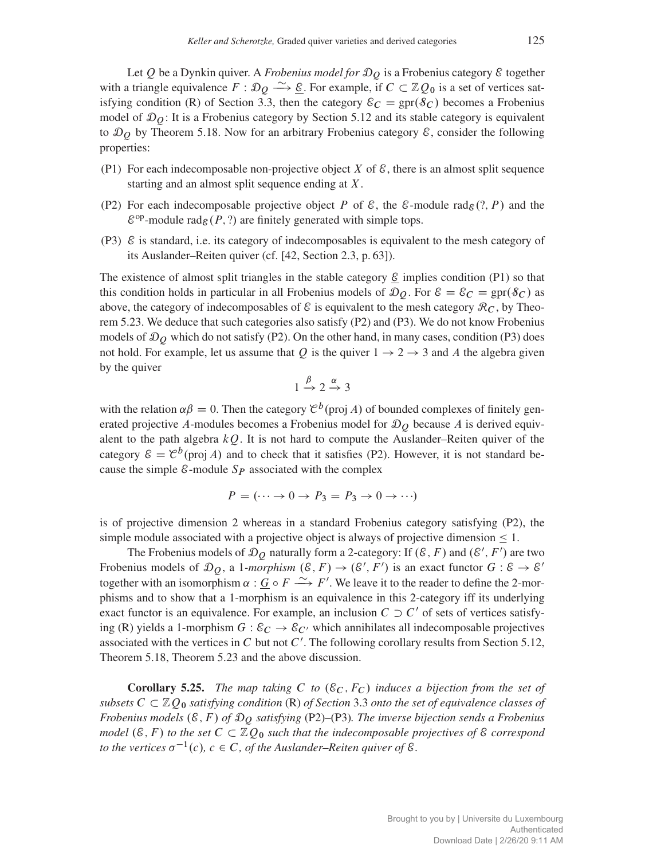Let  $Q$  be a Dynkin quiver. A *Frobenius model for*  $D<sub>O</sub>$  is a Frobenius category  $\&$  together with a triangle equivalence  $F : \mathcal{D}_Q \longrightarrow \underline{\mathcal{E}}$ . For example, if  $C \subset \mathbb{Z}Q_0$  is a set of vertices sat-isfying condition (R) of Section [3.3,](#page-11-0) then the category  $\varepsilon_C = \text{spr}(\mathcal{S}_C)$  becomes a Frobenius model of  $\mathcal{D}_0$ : It is a Frobenius category by Section [5.12](#page-33-0) and its stable category is equivalent to  $\mathcal{D}_O$  by Theorem [5.18.](#page-35-0) Now for an arbitrary Frobenius category  $\mathcal{E}$ , consider the following properties:

- (P1) For each indecomposable non-projective object X of  $\mathcal{E}$ , there is an almost split sequence starting and an almost split sequence ending at X.
- (P2) For each indecomposable projective object P of  $\mathcal{E}$ , the  $\mathcal{E}$ -module rad $_{\mathcal{E}}(?, P)$  and the  $\mathcal{E}^{\text{op}}$ -module rad $_{\mathcal{E}}(P, ?)$  are finitely generated with simple tops.
- (P3)  $\&$  is standard, i.e. its category of indecomposables is equivalent to the mesh category of its Auslander–Reiten quiver (cf. [\[42,](#page-42-19) Section 2.3, p. 63]).

The existence of almost split triangles in the stable category  $\mathcal E$  implies condition (P1) so that this condition holds in particular in all Frobenius models of  $\mathcal{D}_Q$ . For  $\mathcal{E} = \mathcal{E}_C = \text{spr}(\mathcal{S}_C)$  as above, the category of indecomposables of  $\mathcal E$  is equivalent to the mesh category  $\mathcal R_C$ , by Theorem [5.23.](#page-39-0) We deduce that such categories also satisfy (P2) and (P3). We do not know Frobenius models of  $\mathcal{D}_Q$  which do not satisfy (P2). On the other hand, in many cases, condition (P3) does not hold. For example, let us assume that Q is the quiver  $1 \rightarrow 2 \rightarrow 3$  and A the algebra given by the quiver

$$
1 \xrightarrow{\beta} 2 \xrightarrow{\alpha} 3
$$

with the relation  $\alpha\beta = 0$ . Then the category  $\mathcal{C}^b$  (proj A) of bounded complexes of finitely generated projective A-modules becomes a Frobenius model for  $\mathcal{D}_O$  because A is derived equivalent to the path algebra  $kQ$ . It is not hard to compute the Auslander–Reiten quiver of the category  $\mathcal{E} = \mathcal{C}^b$ (proj A) and to check that it satisfies (P2). However, it is not standard because the simple  $\varepsilon$ -module  $S_P$  associated with the complex

$$
P = (\cdots \to 0 \to P_3 = P_3 \to 0 \to \cdots)
$$

is of projective dimension 2 whereas in a standard Frobenius category satisfying (P2), the simple module associated with a projective object is always of projective dimension  $\leq 1$ .

The Frobenius models of  $\mathcal{D}_{Q}$  naturally form a 2-category: If  $(\mathcal{E}, F)$  and  $(\mathcal{E}', F')$  are two Frobenius models of  $\mathcal{D}_Q$ , a 1*-morphism*  $(\mathcal{E}, F) \to (\mathcal{E}', F')$  is an exact functor  $G : \mathcal{E} \to \mathcal{E}'$ together with an isomorphism  $\alpha : G \circ F \longrightarrow F'$ . We leave it to the reader to define the 2-morphisms and to show that a 1-morphism is an equivalence in this 2-category iff its underlying exact functor is an equivalence. For example, an inclusion  $C \supset C'$  of sets of vertices satisfying (R) yields a 1-morphism  $G : \mathcal{E}_C \to \mathcal{E}_{C'}$  which annihilates all indecomposable projectives associated with the vertices in C but not  $C'$ . The following corollary results from Section [5.12,](#page-33-0) Theorem [5.18,](#page-35-0) Theorem [5.23](#page-39-0) and the above discussion.

<span id="page-40-0"></span>**Corollary 5.25.** *The map taking*  $C$  *to*  $(\mathcal{E}_C, F_C)$  *induces a bijection from the set of subsets*  $C \subset \mathbb{Z}Q_0$  *satisfying condition* (R) *of Section* [3.3](#page-11-0) *onto the set of equivalence classes of Frobenius models*  $(\mathcal{E}, F)$  *of*  $\mathcal{D}_O$  *satisfying* (P2)–(P3)*. The inverse bijection sends a Frobenius model* ( $\mathcal{E}, F$ ) *to the set*  $C \subset \mathbb{Z}Q_0$  *such that the indecomposable projectives of*  $\mathcal{E}$  *correspond* to the vertices  $\sigma^{-1}(c)$ ,  $c \in C$ , of the Auslander–Reiten quiver of  $\mathcal{E}$ .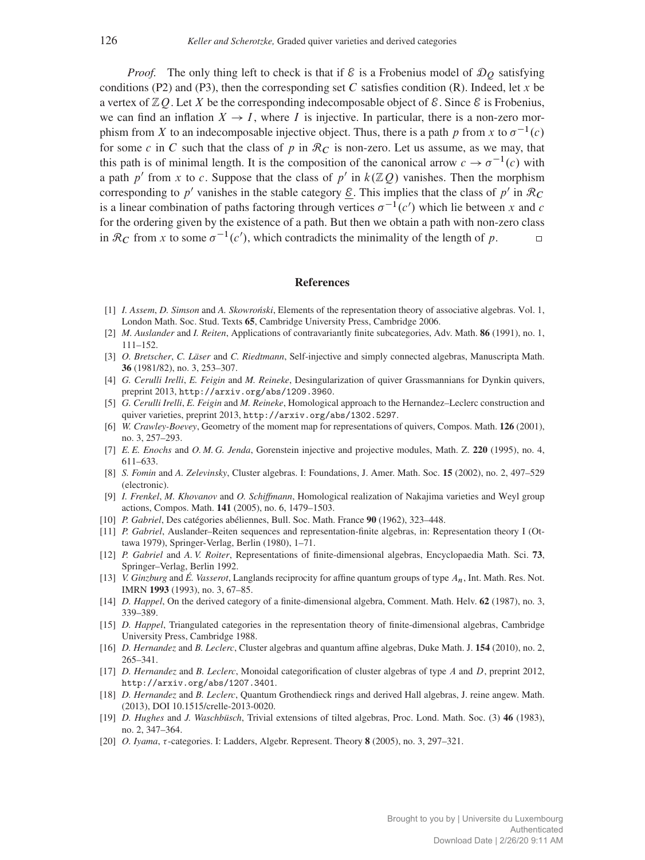*Proof.* The only thing left to check is that if  $\mathcal E$  is a Frobenius model of  $\mathcal D_O$  satisfying conditions (P2) and (P3), then the corresponding set C satisfies condition (R). Indeed, let x be a vertex of  $\mathbb{Z}Q$ . Let X be the corresponding indecomposable object of  $\mathcal{E}$ . Since  $\mathcal{E}$  is Frobenius, we can find an inflation  $X \to I$ , where I is injective. In particular, there is a non-zero morphism from X to an indecomposable injective object. Thus, there is a path p from x to  $\sigma^{-1}(c)$ for some c in C such that the class of p in  $\mathcal{R}_C$  is non-zero. Let us assume, as we may, that this path is of minimal length. It is the composition of the canonical arrow  $c \to \sigma^{-1}(c)$  with a path p' from x to c. Suppose that the class of p' in  $k(\mathbb{Z}Q)$  vanishes. Then the morphism corresponding to p' vanishes in the stable category  $\underline{\mathcal{E}}$ . This implies that the class of p' in  $\mathcal{R}_C$ is a linear combination of paths factoring through vertices  $\sigma^{-1}(c')$  which lie between x and c for the ordering given by the existence of a path. But then we obtain a path with non-zero class in  $\mathcal{R}_C$  from x to some  $\sigma^{-1}(c')$ , which contradicts the minimality of the length of p.  $\Box$ 

#### References

- <span id="page-41-15"></span>[1] *I. Assem, D. Simson* and *A. Skowroński*, Elements of the representation theory of associative algebras. Vol. 1, London Math. Soc. Stud. Texts 65, Cambridge University Press, Cambridge 2006.
- <span id="page-41-19"></span>[2] *M. Auslander* and *I. Reiten*, Applications of contravariantly finite subcategories, Adv. Math. 86 (1991), no. 1, 111–152.
- <span id="page-41-17"></span>[3] *O. Bretscher*, *C. Läser* and *C. Riedtmann*, Self-injective and simply connected algebras, Manuscripta Math. 36 (1981/82), no. 3, 253–307.
- <span id="page-41-7"></span>[4] *G. Cerulli Irelli*, *E. Feigin* and *M. Reineke*, Desingularization of quiver Grassmannians for Dynkin quivers, preprint 2013, <http://arxiv.org/abs/1209.3960>.
- <span id="page-41-8"></span>[5] *G. Cerulli Irelli*, *E. Feigin* and *M. Reineke*, Homological approach to the Hernandez–Leclerc construction and quiver varieties, preprint 2013, <http://arxiv.org/abs/1302.5297>.
- <span id="page-41-9"></span>[6] *W. Crawley-Boevey*, Geometry of the moment map for representations of quivers, Compos. Math. 126 (2001), no. 3, 257–293.
- <span id="page-41-18"></span>[7] *E. E. Enochs* and *O. M. G. Jenda*, Gorenstein injective and projective modules, Math. Z. 220 (1995), no. 4, 611–633.
- <span id="page-41-1"></span>[8] *S. Fomin* and *A. Zelevinsky*, Cluster algebras. I: Foundations, J. Amer. Math. Soc. 15 (2002), no. 2, 497–529 (electronic).
- <span id="page-41-10"></span>[9] *I. Frenkel*, *M. Khovanov* and *O. Schiffmann*, Homological realization of Nakajima varieties and Weyl group actions, Compos. Math. 141 (2005), no. 6, 1479–1503.
- <span id="page-41-16"></span>[10] *P. Gabriel*, Des catégories abéliennes, Bull. Soc. Math. France 90 (1962), 323–448.
- <span id="page-41-12"></span>[11] *P. Gabriel*, Auslander–Reiten sequences and representation-finite algebras, in: Representation theory I (Ottawa 1979), Springer-Verlag, Berlin (1980), 1–71.
- <span id="page-41-14"></span>[12] *P. Gabriel* and *A. V. Roiter*, Representations of finite-dimensional algebras, Encyclopaedia Math. Sci. 73, Springer–Verlag, Berlin 1992.
- <span id="page-41-0"></span>[13] *V. Ginzburg* and *É. Vasserot*, Langlands reciprocity for affine quantum groups of type An, Int. Math. Res. Not. IMRN 1993 (1993), no. 3, 67–85.
- <span id="page-41-5"></span>[14] *D. Happel*, On the derived category of a finite-dimensional algebra, Comment. Math. Helv. 62 (1987), no. 3, 339–389.
- <span id="page-41-13"></span>[15] *D. Happel*, Triangulated categories in the representation theory of finite-dimensional algebras, Cambridge University Press, Cambridge 1988.
- <span id="page-41-2"></span>[16] *D. Hernandez* and *B. Leclerc*, Cluster algebras and quantum affine algebras, Duke Math. J. 154 (2010), no. 2, 265–341.
- <span id="page-41-3"></span>[17] *D. Hernandez* and *B. Leclerc*, Monoidal categorification of cluster algebras of type A and D, preprint 2012, <http://arxiv.org/abs/1207.3401>.
- <span id="page-41-4"></span>[18] *D. Hernandez* and *B. Leclerc*, Quantum Grothendieck rings and derived Hall algebras, J. reine angew. Math. (2013), DOI 10.1515/crelle-2013-0020.
- <span id="page-41-6"></span>[19] *D. Hughes* and *J. Waschbüsch*, Trivial extensions of tilted algebras, Proc. Lond. Math. Soc. (3) 46 (1983), no. 2, 347–364.
- <span id="page-41-11"></span>[20] *O. Iyama, t*-categories. I: Ladders, Algebr. Represent. Theory **8** (2005), no. 3, 297–321.